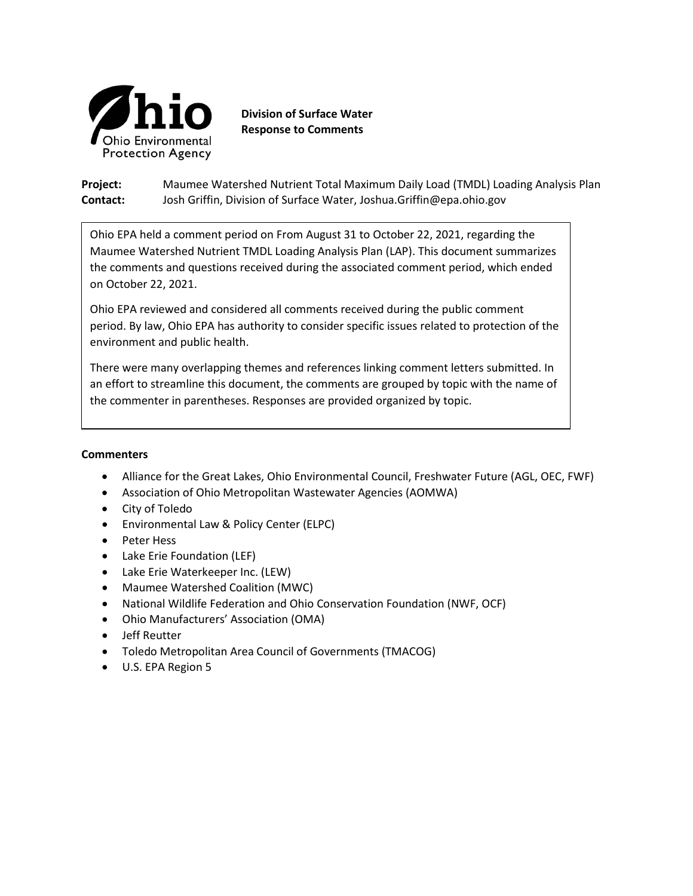

**Division of Surface Water Response to Comments**

**Project:** Maumee Watershed Nutrient Total Maximum Daily Load (TMDL) Loading Analysis Plan **Contact:** Josh Griffin, Division of Surface Water, Joshua.Griffin@epa.ohio.gov

Ohio EPA held a comment period on From August 31 to October 22, 2021, regarding the Maumee Watershed Nutrient TMDL Loading Analysis Plan (LAP). This document summarizes the comments and questions received during the associated comment period, which ended on October 22, 2021.

Ohio EPA reviewed and considered all comments received during the public comment period. By law, Ohio EPA has authority to consider specific issues related to protection of the environment and public health.

There were many overlapping themes and references linking comment letters submitted. In an effort to streamline this document, the comments are grouped by topic with the name of the commenter in parentheses. Responses are provided organized by topic.

### **Commenters**

- Alliance for the Great Lakes, Ohio Environmental Council, Freshwater Future (AGL, OEC, FWF)
- Association of Ohio Metropolitan Wastewater Agencies (AOMWA)
- City of Toledo
- Environmental Law & Policy Center (ELPC)
- Peter Hess
- Lake Erie Foundation (LEF)
- Lake Erie Waterkeeper Inc. (LEW)
- Maumee Watershed Coalition (MWC)
- National Wildlife Federation and Ohio Conservation Foundation (NWF, OCF)
- Ohio Manufacturers' Association (OMA)
- Jeff Reutter
- Toledo Metropolitan Area Council of Governments (TMACOG)
- U.S. EPA Region 5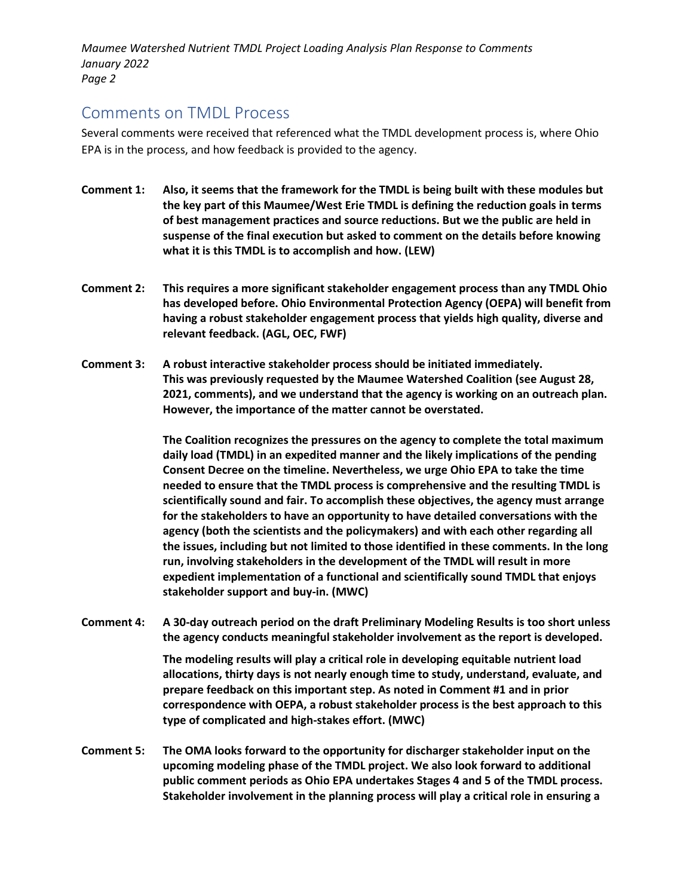### Comments on TMDL Process

Several comments were received that referenced what the TMDL development process is, where Ohio EPA is in the process, and how feedback is provided to the agency.

- **Comment 1: Also, it seems that the framework for the TMDL is being built with these modules but the key part of this Maumee/West Erie TMDL is defining the reduction goals in terms of best management practices and source reductions. But we the public are held in suspense of the final execution but asked to comment on the details before knowing what it is this TMDL is to accomplish and how. (LEW)**
- **Comment 2: This requires a more significant stakeholder engagement process than any TMDL Ohio has developed before. Ohio Environmental Protection Agency (OEPA) will benefit from having a robust stakeholder engagement process that yields high quality, diverse and relevant feedback. (AGL, OEC, FWF)**
- **Comment 3: A robust interactive stakeholder process should be initiated immediately. This was previously requested by the Maumee Watershed Coalition (see August 28, 2021, comments), and we understand that the agency is working on an outreach plan. However, the importance of the matter cannot be overstated.**

**The Coalition recognizes the pressures on the agency to complete the total maximum daily load (TMDL) in an expedited manner and the likely implications of the pending Consent Decree on the timeline. Nevertheless, we urge Ohio EPA to take the time needed to ensure that the TMDL process is comprehensive and the resulting TMDL is scientifically sound and fair. To accomplish these objectives, the agency must arrange for the stakeholders to have an opportunity to have detailed conversations with the agency (both the scientists and the policymakers) and with each other regarding all the issues, including but not limited to those identified in these comments. In the long run, involving stakeholders in the development of the TMDL will result in more expedient implementation of a functional and scientifically sound TMDL that enjoys stakeholder support and buy-in. (MWC)**

**Comment 4: A 30-day outreach period on the draft Preliminary Modeling Results is too short unless the agency conducts meaningful stakeholder involvement as the report is developed.** 

> **The modeling results will play a critical role in developing equitable nutrient load allocations, thirty days is not nearly enough time to study, understand, evaluate, and prepare feedback on this important step. As noted in Comment #1 and in prior correspondence with OEPA, a robust stakeholder process is the best approach to this type of complicated and high-stakes effort. (MWC)**

**Comment 5: The OMA looks forward to the opportunity for discharger stakeholder input on the upcoming modeling phase of the TMDL project. We also look forward to additional public comment periods as Ohio EPA undertakes Stages 4 and 5 of the TMDL process. Stakeholder involvement in the planning process will play a critical role in ensuring a**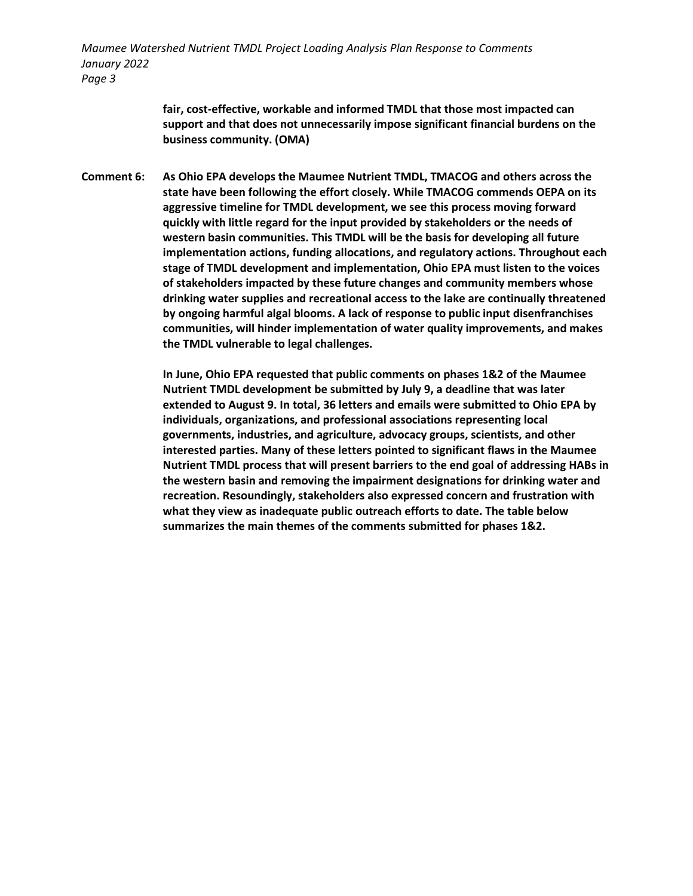> **fair, cost-effective, workable and informed TMDL that those most impacted can support and that does not unnecessarily impose significant financial burdens on the business community. (OMA)**

**Comment 6: As Ohio EPA develops the Maumee Nutrient TMDL, TMACOG and others across the state have been following the effort closely. While TMACOG commends OEPA on its aggressive timeline for TMDL development, we see this process moving forward quickly with little regard for the input provided by stakeholders or the needs of western basin communities. This TMDL will be the basis for developing all future implementation actions, funding allocations, and regulatory actions. Throughout each stage of TMDL development and implementation, Ohio EPA must listen to the voices of stakeholders impacted by these future changes and community members whose drinking water supplies and recreational access to the lake are continually threatened by ongoing harmful algal blooms. A lack of response to public input disenfranchises communities, will hinder implementation of water quality improvements, and makes the TMDL vulnerable to legal challenges.** 

> **In June, Ohio EPA requested that public comments on phases 1&2 of the Maumee Nutrient TMDL development be submitted by July 9, a deadline that was later extended to August 9. In total, 36 letters and emails were submitted to Ohio EPA by individuals, organizations, and professional associations representing local governments, industries, and agriculture, advocacy groups, scientists, and other interested parties. Many of these letters pointed to significant flaws in the Maumee Nutrient TMDL process that will present barriers to the end goal of addressing HABs in the western basin and removing the impairment designations for drinking water and recreation. Resoundingly, stakeholders also expressed concern and frustration with what they view as inadequate public outreach efforts to date. The table below summarizes the main themes of the comments submitted for phases 1&2.**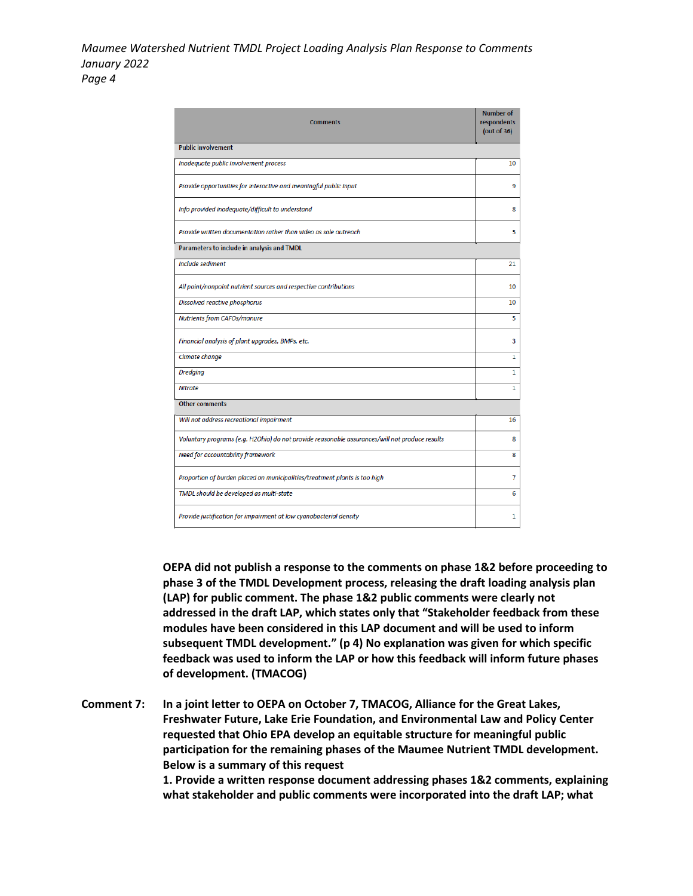| <b>Comments</b>                                                                                | <b>Number of</b><br>respondents<br>(out of $36$ ) |
|------------------------------------------------------------------------------------------------|---------------------------------------------------|
| <b>Public involvement</b>                                                                      |                                                   |
| Inadequate public involvement process                                                          | 10                                                |
| Provide opportunities for interactive and meaningful public input                              | 9                                                 |
| Info provided inadequate/difficult to understand                                               | 8                                                 |
| Provide written documentation rather than video as sole outreach                               | 5                                                 |
| Parameters to include in analysis and TMDL                                                     |                                                   |
| Include sediment                                                                               | 21                                                |
| All point/nonpoint nutrient sources and respective contributions                               | 10                                                |
| Dissolved reactive phosphorus                                                                  | 10                                                |
| Nutrients from CAFOs/manure                                                                    | 5                                                 |
| Financial analysis of plant upgrades, BMPs, etc.                                               | 3                                                 |
| Climate change                                                                                 | $\mathbf{1}$                                      |
| <b>Dredging</b>                                                                                | $\mathbf{1}$                                      |
| <b>Nitrate</b>                                                                                 | $\mathbf{1}$                                      |
| <b>Other comments</b>                                                                          |                                                   |
| Will not address recreational impairment                                                       | 16                                                |
| Voluntary programs (e.g. H2Ohio) do not provide reasonable assurances/will not produce results | 8                                                 |
| Need for accountability framework                                                              | 8                                                 |
| Proportion of burden placed on municipalities/treatment plants is too high                     | 7                                                 |
| TMDL should be developed as multi-state                                                        | 6                                                 |
| Provide justification for impairment at low cyanobacterial density                             | 1                                                 |

**OEPA did not publish a response to the comments on phase 1&2 before proceeding to phase 3 of the TMDL Development process, releasing the draft loading analysis plan (LAP) for public comment. The phase 1&2 public comments were clearly not addressed in the draft LAP, which states only that "Stakeholder feedback from these modules have been considered in this LAP document and will be used to inform subsequent TMDL development." (p 4) No explanation was given for which specific feedback was used to inform the LAP or how this feedback will inform future phases of development. (TMACOG)**

**Comment 7: In a joint letter to OEPA on October 7, TMACOG, Alliance for the Great Lakes, Freshwater Future, Lake Erie Foundation, and Environmental Law and Policy Center requested that Ohio EPA develop an equitable structure for meaningful public participation for the remaining phases of the Maumee Nutrient TMDL development. Below is a summary of this request** 

**1. Provide a written response document addressing phases 1&2 comments, explaining what stakeholder and public comments were incorporated into the draft LAP; what**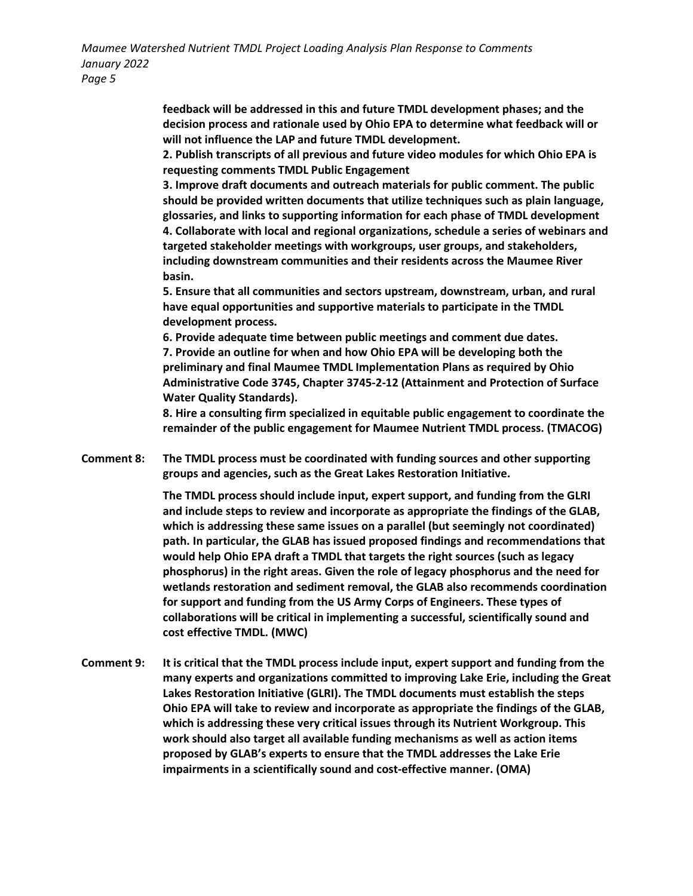> **feedback will be addressed in this and future TMDL development phases; and the decision process and rationale used by Ohio EPA to determine what feedback will or will not influence the LAP and future TMDL development.**

> **2. Publish transcripts of all previous and future video modules for which Ohio EPA is requesting comments TMDL Public Engagement**

**3. Improve draft documents and outreach materials for public comment. The public should be provided written documents that utilize techniques such as plain language, glossaries, and links to supporting information for each phase of TMDL development 4. Collaborate with local and regional organizations, schedule a series of webinars and targeted stakeholder meetings with workgroups, user groups, and stakeholders, including downstream communities and their residents across the Maumee River basin.** 

**5. Ensure that all communities and sectors upstream, downstream, urban, and rural have equal opportunities and supportive materials to participate in the TMDL development process.** 

**6. Provide adequate time between public meetings and comment due dates. 7. Provide an outline for when and how Ohio EPA will be developing both the preliminary and final Maumee TMDL Implementation Plans as required by Ohio Administrative Code 3745, Chapter 3745-2-12 (Attainment and Protection of Surface Water Quality Standards).** 

**8. Hire a consulting firm specialized in equitable public engagement to coordinate the remainder of the public engagement for Maumee Nutrient TMDL process. (TMACOG)**

**Comment 8: The TMDL process must be coordinated with funding sources and other supporting groups and agencies, such as the Great Lakes Restoration Initiative.** 

> **The TMDL process should include input, expert support, and funding from the GLRI and include steps to review and incorporate as appropriate the findings of the GLAB, which is addressing these same issues on a parallel (but seemingly not coordinated) path. In particular, the GLAB has issued proposed findings and recommendations that would help Ohio EPA draft a TMDL that targets the right sources (such as legacy phosphorus) in the right areas. Given the role of legacy phosphorus and the need for wetlands restoration and sediment removal, the GLAB also recommends coordination for support and funding from the US Army Corps of Engineers. These types of collaborations will be critical in implementing a successful, scientifically sound and cost effective TMDL. (MWC)**

**Comment 9: It is critical that the TMDL process include input, expert support and funding from the many experts and organizations committed to improving Lake Erie, including the Great Lakes Restoration Initiative (GLRI). The TMDL documents must establish the steps Ohio EPA will take to review and incorporate as appropriate the findings of the GLAB, which is addressing these very critical issues through its Nutrient Workgroup. This work should also target all available funding mechanisms as well as action items proposed by GLAB's experts to ensure that the TMDL addresses the Lake Erie impairments in a scientifically sound and cost-effective manner. (OMA)**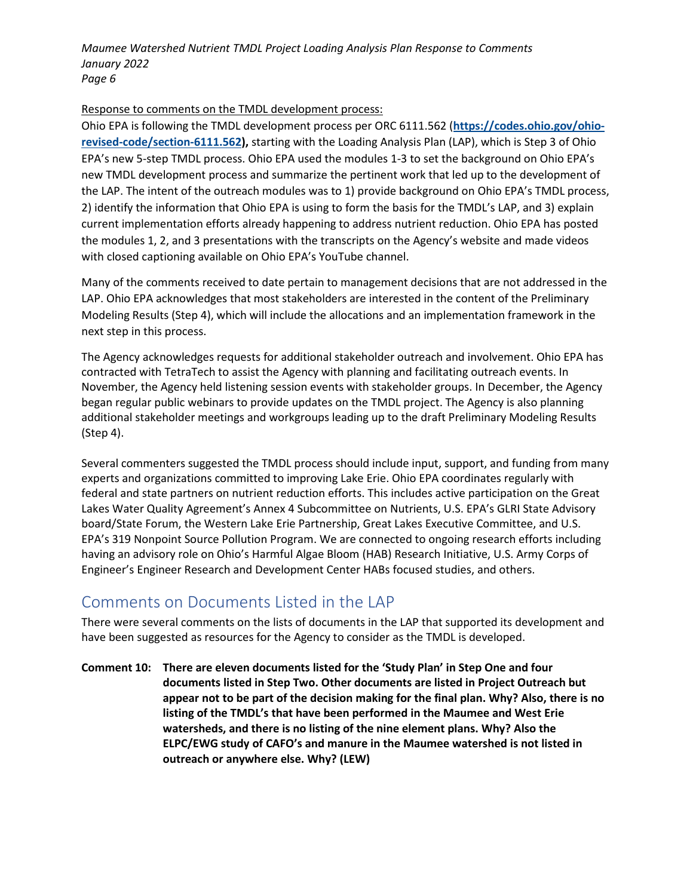### Response to comments on the TMDL development process:

Ohio EPA is following the TMDL development process per ORC 6111.562 (**[https://codes.ohio.gov/ohio](https://codes.ohio.gov/ohio-revised-code/section-6111.562)[revised-code/section-6111.562\)](https://codes.ohio.gov/ohio-revised-code/section-6111.562),** starting with the Loading Analysis Plan (LAP), which is Step 3 of Ohio EPA's new 5-step TMDL process. Ohio EPA used the modules 1-3 to set the background on Ohio EPA's new TMDL development process and summarize the pertinent work that led up to the development of the LAP. The intent of the outreach modules was to 1) provide background on Ohio EPA's TMDL process, 2) identify the information that Ohio EPA is using to form the basis for the TMDL's LAP, and 3) explain current implementation efforts already happening to address nutrient reduction. Ohio EPA has posted the modules 1, 2, and 3 presentations with the transcripts on the Agency's website and made videos with closed captioning available on Ohio EPA's YouTube channel.

Many of the comments received to date pertain to management decisions that are not addressed in the LAP. Ohio EPA acknowledges that most stakeholders are interested in the content of the Preliminary Modeling Results (Step 4), which will include the allocations and an implementation framework in the next step in this process.

The Agency acknowledges requests for additional stakeholder outreach and involvement. Ohio EPA has contracted with TetraTech to assist the Agency with planning and facilitating outreach events. In November, the Agency held listening session events with stakeholder groups. In December, the Agency began regular public webinars to provide updates on the TMDL project. The Agency is also planning additional stakeholder meetings and workgroups leading up to the draft Preliminary Modeling Results (Step 4).

Several commenters suggested the TMDL process should include input, support, and funding from many experts and organizations committed to improving Lake Erie. Ohio EPA coordinates regularly with federal and state partners on nutrient reduction efforts. This includes active participation on the Great Lakes Water Quality Agreement's Annex 4 Subcommittee on Nutrients, U.S. EPA's GLRI State Advisory board/State Forum, the Western Lake Erie Partnership, Great Lakes Executive Committee, and U.S. EPA's 319 Nonpoint Source Pollution Program. We are connected to ongoing research efforts including having an advisory role on Ohio's Harmful Algae Bloom (HAB) Research Initiative, U.S. Army Corps of Engineer's Engineer Research and Development Center HABs focused studies, and others.

# Comments on Documents Listed in the LAP

There were several comments on the lists of documents in the LAP that supported its development and have been suggested as resources for the Agency to consider as the TMDL is developed.

**Comment 10: There are eleven documents listed for the 'Study Plan' in Step One and four documents listed in Step Two. Other documents are listed in Project Outreach but appear not to be part of the decision making for the final plan. Why? Also, there is no listing of the TMDL's that have been performed in the Maumee and West Erie watersheds, and there is no listing of the nine element plans. Why? Also the ELPC/EWG study of CAFO's and manure in the Maumee watershed is not listed in outreach or anywhere else. Why? (LEW)**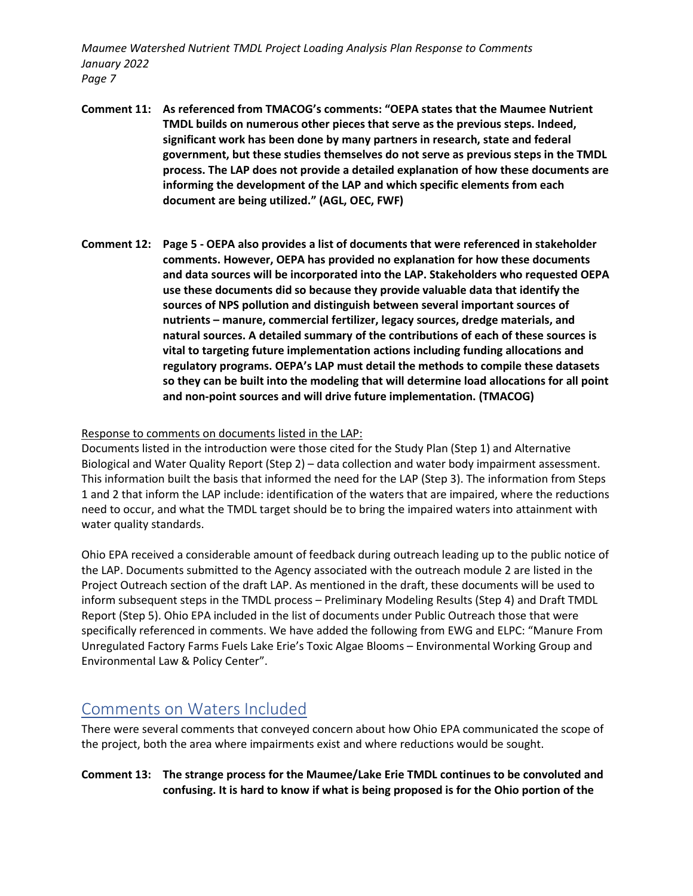- **Comment 11: As referenced from TMACOG's comments: "OEPA states that the Maumee Nutrient TMDL builds on numerous other pieces that serve as the previous steps. Indeed, significant work has been done by many partners in research, state and federal government, but these studies themselves do not serve as previous steps in the TMDL process. The LAP does not provide a detailed explanation of how these documents are informing the development of the LAP and which specific elements from each document are being utilized." (AGL, OEC, FWF)**
- **Comment 12: Page 5 - OEPA also provides a list of documents that were referenced in stakeholder comments. However, OEPA has provided no explanation for how these documents and data sources will be incorporated into the LAP. Stakeholders who requested OEPA use these documents did so because they provide valuable data that identify the sources of NPS pollution and distinguish between several important sources of nutrients – manure, commercial fertilizer, legacy sources, dredge materials, and natural sources. A detailed summary of the contributions of each of these sources is vital to targeting future implementation actions including funding allocations and regulatory programs. OEPA's LAP must detail the methods to compile these datasets so they can be built into the modeling that will determine load allocations for all point and non-point sources and will drive future implementation. (TMACOG)**

### Response to comments on documents listed in the LAP:

Documents listed in the introduction were those cited for the Study Plan (Step 1) and Alternative Biological and Water Quality Report (Step 2) – data collection and water body impairment assessment. This information built the basis that informed the need for the LAP (Step 3). The information from Steps 1 and 2 that inform the LAP include: identification of the waters that are impaired, where the reductions need to occur, and what the TMDL target should be to bring the impaired waters into attainment with water quality standards.

Ohio EPA received a considerable amount of feedback during outreach leading up to the public notice of the LAP. Documents submitted to the Agency associated with the outreach module 2 are listed in the Project Outreach section of the draft LAP. As mentioned in the draft, these documents will be used to inform subsequent steps in the TMDL process – Preliminary Modeling Results (Step 4) and Draft TMDL Report (Step 5). Ohio EPA included in the list of documents under Public Outreach those that were specifically referenced in comments. We have added the following from EWG and ELPC: "Manure From Unregulated Factory Farms Fuels Lake Erie's Toxic Algae Blooms – Environmental Working Group and Environmental Law & Policy Center".

### Comments on Waters Included

There were several comments that conveyed concern about how Ohio EPA communicated the scope of the project, both the area where impairments exist and where reductions would be sought.

### **Comment 13: The strange process for the Maumee/Lake Erie TMDL continues to be convoluted and confusing. It is hard to know if what is being proposed is for the Ohio portion of the**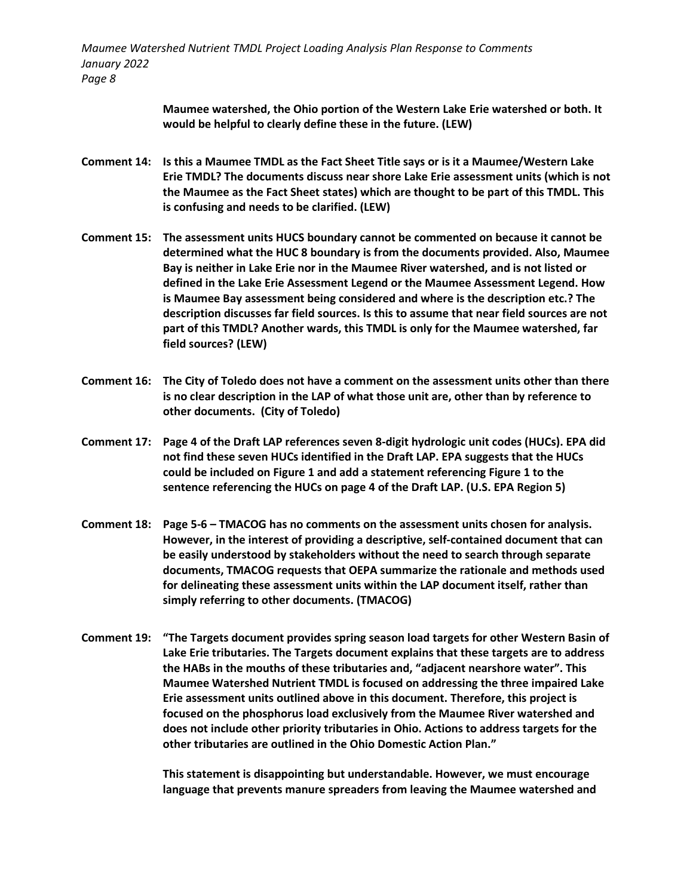> **Maumee watershed, the Ohio portion of the Western Lake Erie watershed or both. It would be helpful to clearly define these in the future. (LEW)**

- **Comment 14: Is this a Maumee TMDL as the Fact Sheet Title says or is it a Maumee/Western Lake Erie TMDL? The documents discuss near shore Lake Erie assessment units (which is not the Maumee as the Fact Sheet states) which are thought to be part of this TMDL. This is confusing and needs to be clarified. (LEW)**
- **Comment 15: The assessment units HUCS boundary cannot be commented on because it cannot be determined what the HUC 8 boundary is from the documents provided. Also, Maumee Bay is neither in Lake Erie nor in the Maumee River watershed, and is not listed or defined in the Lake Erie Assessment Legend or the Maumee Assessment Legend. How is Maumee Bay assessment being considered and where is the description etc.? The description discusses far field sources. Is this to assume that near field sources are not part of this TMDL? Another wards, this TMDL is only for the Maumee watershed, far field sources? (LEW)**
- **Comment 16: The City of Toledo does not have a comment on the assessment units other than there is no clear description in the LAP of what those unit are, other than by reference to other documents. (City of Toledo)**
- **Comment 17: Page 4 of the Draft LAP references seven 8-digit hydrologic unit codes (HUCs). EPA did not find these seven HUCs identified in the Draft LAP. EPA suggests that the HUCs could be included on Figure 1 and add a statement referencing Figure 1 to the sentence referencing the HUCs on page 4 of the Draft LAP. (U.S. EPA Region 5)**
- **Comment 18: Page 5-6 – TMACOG has no comments on the assessment units chosen for analysis. However, in the interest of providing a descriptive, self-contained document that can be easily understood by stakeholders without the need to search through separate documents, TMACOG requests that OEPA summarize the rationale and methods used for delineating these assessment units within the LAP document itself, rather than simply referring to other documents. (TMACOG)**
- **Comment 19: "The Targets document provides spring season load targets for other Western Basin of Lake Erie tributaries. The Targets document explains that these targets are to address the HABs in the mouths of these tributaries and, "adjacent nearshore water". This Maumee Watershed Nutrient TMDL is focused on addressing the three impaired Lake Erie assessment units outlined above in this document. Therefore, this project is focused on the phosphorus load exclusively from the Maumee River watershed and does not include other priority tributaries in Ohio. Actions to address targets for the other tributaries are outlined in the Ohio Domestic Action Plan."**

**This statement is disappointing but understandable. However, we must encourage language that prevents manure spreaders from leaving the Maumee watershed and**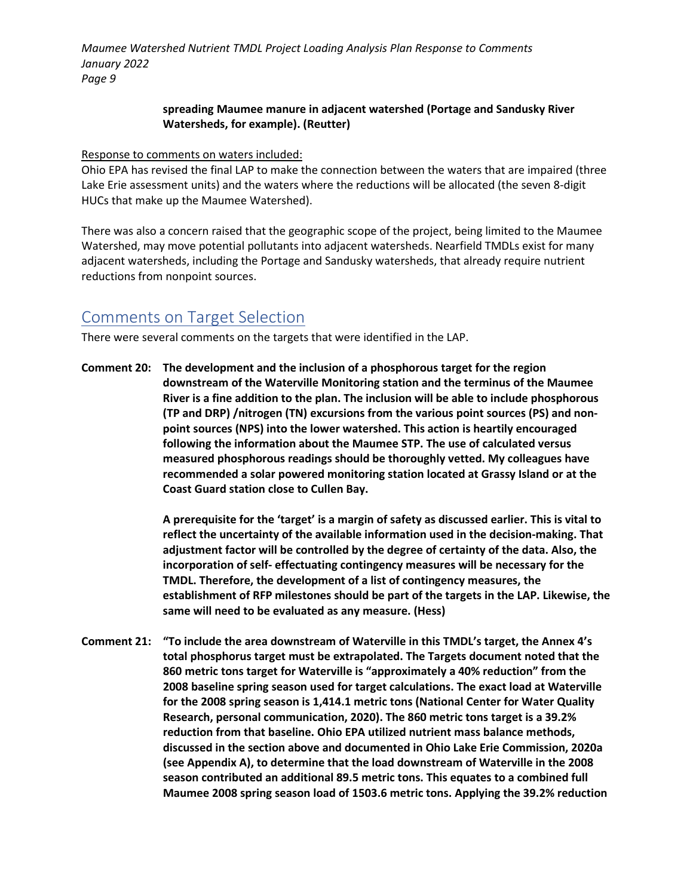### **spreading Maumee manure in adjacent watershed (Portage and Sandusky River Watersheds, for example). (Reutter)**

Response to comments on waters included:

Ohio EPA has revised the final LAP to make the connection between the waters that are impaired (three Lake Erie assessment units) and the waters where the reductions will be allocated (the seven 8-digit HUCs that make up the Maumee Watershed).

There was also a concern raised that the geographic scope of the project, being limited to the Maumee Watershed, may move potential pollutants into adjacent watersheds. Nearfield TMDLs exist for many adjacent watersheds, including the Portage and Sandusky watersheds, that already require nutrient reductions from nonpoint sources.

# Comments on Target Selection

There were several comments on the targets that were identified in the LAP.

**Comment 20: The development and the inclusion of a phosphorous target for the region downstream of the Waterville Monitoring station and the terminus of the Maumee River is a fine addition to the plan. The inclusion will be able to include phosphorous (TP and DRP) /nitrogen (TN) excursions from the various point sources (PS) and nonpoint sources (NPS) into the lower watershed. This action is heartily encouraged following the information about the Maumee STP. The use of calculated versus measured phosphorous readings should be thoroughly vetted. My colleagues have recommended a solar powered monitoring station located at Grassy Island or at the Coast Guard station close to Cullen Bay.**

> **A prerequisite for the 'target' is a margin of safety as discussed earlier. This is vital to reflect the uncertainty of the available information used in the decision-making. That adjustment factor will be controlled by the degree of certainty of the data. Also, the incorporation of self- effectuating contingency measures will be necessary for the TMDL. Therefore, the development of a list of contingency measures, the establishment of RFP milestones should be part of the targets in the LAP. Likewise, the same will need to be evaluated as any measure. (Hess)**

**Comment 21: "To include the area downstream of Waterville in this TMDL's target, the Annex 4's total phosphorus target must be extrapolated. The Targets document noted that the 860 metric tons target for Waterville is "approximately a 40% reduction" from the 2008 baseline spring season used for target calculations. The exact load at Waterville for the 2008 spring season is 1,414.1 metric tons (National Center for Water Quality Research, personal communication, 2020). The 860 metric tons target is a 39.2% reduction from that baseline. Ohio EPA utilized nutrient mass balance methods, discussed in the section above and documented in Ohio Lake Erie Commission, 2020a (see Appendix A), to determine that the load downstream of Waterville in the 2008 season contributed an additional 89.5 metric tons. This equates to a combined full Maumee 2008 spring season load of 1503.6 metric tons. Applying the 39.2% reduction**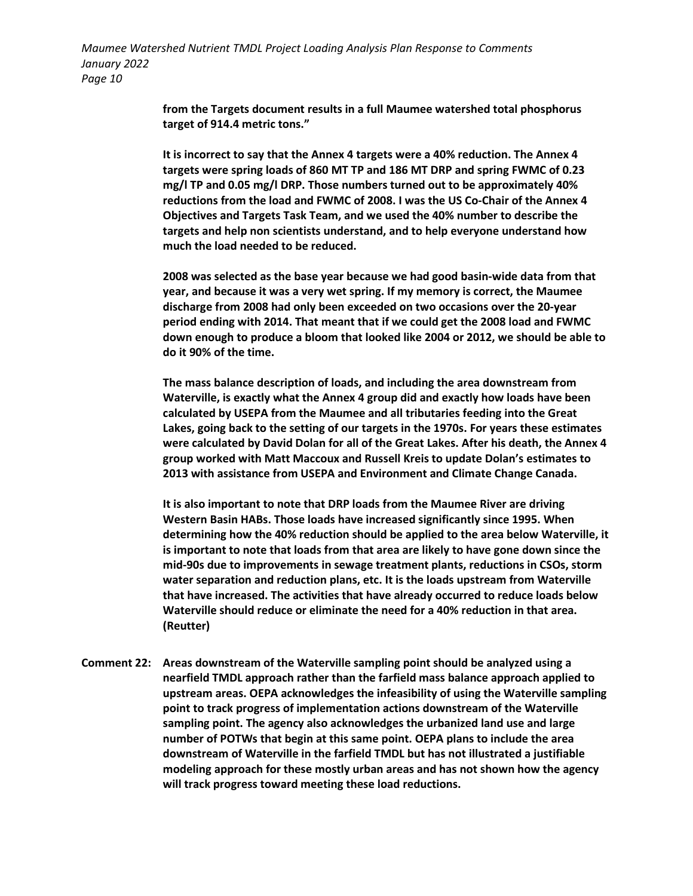> **from the Targets document results in a full Maumee watershed total phosphorus target of 914.4 metric tons."**

**It is incorrect to say that the Annex 4 targets were a 40% reduction. The Annex 4 targets were spring loads of 860 MT TP and 186 MT DRP and spring FWMC of 0.23 mg/l TP and 0.05 mg/l DRP. Those numbers turned out to be approximately 40% reductions from the load and FWMC of 2008. I was the US Co-Chair of the Annex 4 Objectives and Targets Task Team, and we used the 40% number to describe the targets and help non scientists understand, and to help everyone understand how much the load needed to be reduced.**

**2008 was selected as the base year because we had good basin-wide data from that year, and because it was a very wet spring. If my memory is correct, the Maumee discharge from 2008 had only been exceeded on two occasions over the 20-year period ending with 2014. That meant that if we could get the 2008 load and FWMC down enough to produce a bloom that looked like 2004 or 2012, we should be able to do it 90% of the time.**

**The mass balance description of loads, and including the area downstream from Waterville, is exactly what the Annex 4 group did and exactly how loads have been calculated by USEPA from the Maumee and all tributaries feeding into the Great Lakes, going back to the setting of our targets in the 1970s. For years these estimates were calculated by David Dolan for all of the Great Lakes. After his death, the Annex 4 group worked with Matt Maccoux and Russell Kreis to update Dolan's estimates to 2013 with assistance from USEPA and Environment and Climate Change Canada.**

**It is also important to note that DRP loads from the Maumee River are driving Western Basin HABs. Those loads have increased significantly since 1995. When determining how the 40% reduction should be applied to the area below Waterville, it is important to note that loads from that area are likely to have gone down since the mid-90s due to improvements in sewage treatment plants, reductions in CSOs, storm water separation and reduction plans, etc. It is the loads upstream from Waterville that have increased. The activities that have already occurred to reduce loads below Waterville should reduce or eliminate the need for a 40% reduction in that area. (Reutter)**

**Comment 22: Areas downstream of the Waterville sampling point should be analyzed using a nearfield TMDL approach rather than the farfield mass balance approach applied to upstream areas. OEPA acknowledges the infeasibility of using the Waterville sampling point to track progress of implementation actions downstream of the Waterville sampling point. The agency also acknowledges the urbanized land use and large number of POTWs that begin at this same point. OEPA plans to include the area downstream of Waterville in the farfield TMDL but has not illustrated a justifiable modeling approach for these mostly urban areas and has not shown how the agency will track progress toward meeting these load reductions.**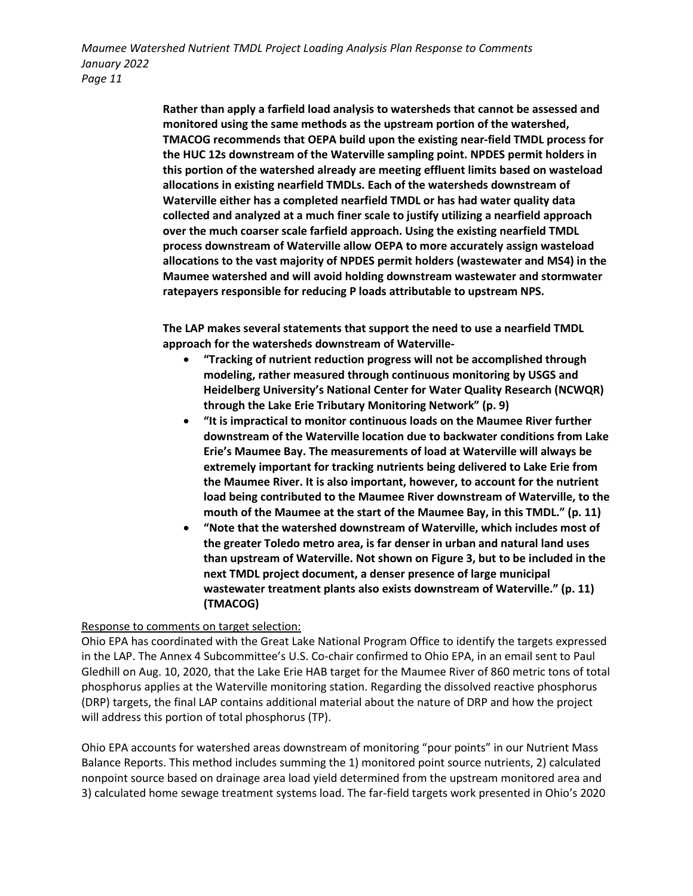> **Rather than apply a farfield load analysis to watersheds that cannot be assessed and monitored using the same methods as the upstream portion of the watershed, TMACOG recommends that OEPA build upon the existing near-field TMDL process for the HUC 12s downstream of the Waterville sampling point. NPDES permit holders in this portion of the watershed already are meeting effluent limits based on wasteload allocations in existing nearfield TMDLs. Each of the watersheds downstream of Waterville either has a completed nearfield TMDL or has had water quality data collected and analyzed at a much finer scale to justify utilizing a nearfield approach over the much coarser scale farfield approach. Using the existing nearfield TMDL process downstream of Waterville allow OEPA to more accurately assign wasteload allocations to the vast majority of NPDES permit holders (wastewater and MS4) in the Maumee watershed and will avoid holding downstream wastewater and stormwater ratepayers responsible for reducing P loads attributable to upstream NPS.**

**The LAP makes several statements that support the need to use a nearfield TMDL approach for the watersheds downstream of Waterville-**

- **"Tracking of nutrient reduction progress will not be accomplished through modeling, rather measured through continuous monitoring by USGS and Heidelberg University's National Center for Water Quality Research (NCWQR) through the Lake Erie Tributary Monitoring Network" (p. 9)**
- **"It is impractical to monitor continuous loads on the Maumee River further downstream of the Waterville location due to backwater conditions from Lake Erie's Maumee Bay. The measurements of load at Waterville will always be extremely important for tracking nutrients being delivered to Lake Erie from the Maumee River. It is also important, however, to account for the nutrient load being contributed to the Maumee River downstream of Waterville, to the mouth of the Maumee at the start of the Maumee Bay, in this TMDL." (p. 11)**
- **"Note that the watershed downstream of Waterville, which includes most of the greater Toledo metro area, is far denser in urban and natural land uses than upstream of Waterville. Not shown on Figure 3, but to be included in the next TMDL project document, a denser presence of large municipal wastewater treatment plants also exists downstream of Waterville." (p. 11) (TMACOG)**

### Response to comments on target selection:

Ohio EPA has coordinated with the Great Lake National Program Office to identify the targets expressed in the LAP. The Annex 4 Subcommittee's U.S. Co-chair confirmed to Ohio EPA, in an email sent to Paul Gledhill on Aug. 10, 2020, that the Lake Erie HAB target for the Maumee River of 860 metric tons of total phosphorus applies at the Waterville monitoring station. Regarding the dissolved reactive phosphorus (DRP) targets, the final LAP contains additional material about the nature of DRP and how the project will address this portion of total phosphorus (TP).

Ohio EPA accounts for watershed areas downstream of monitoring "pour points" in our Nutrient Mass Balance Reports. This method includes summing the 1) monitored point source nutrients, 2) calculated nonpoint source based on drainage area load yield determined from the upstream monitored area and 3) calculated home sewage treatment systems load. The far-field targets work presented in Ohio's 2020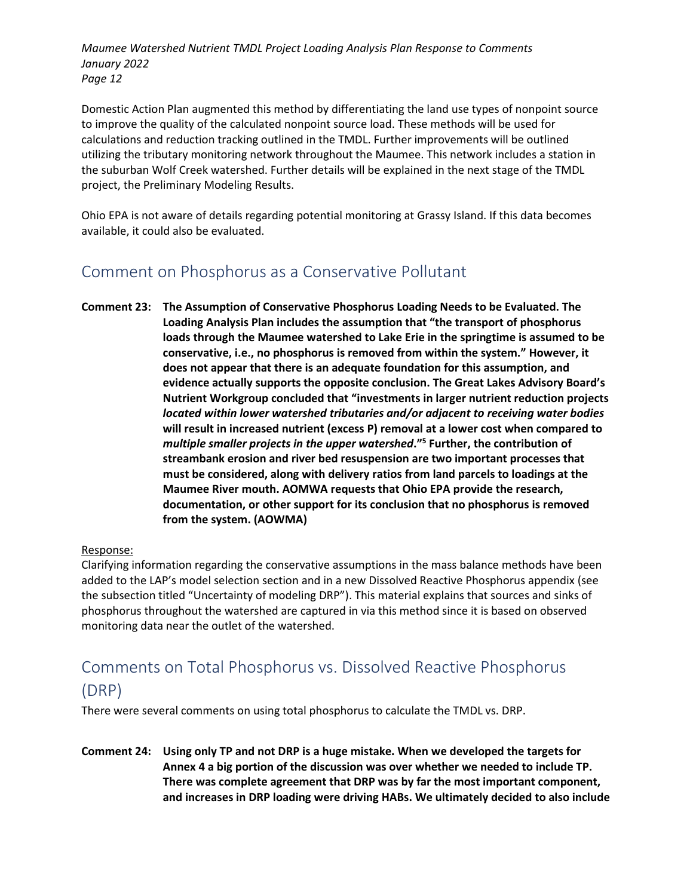Domestic Action Plan augmented this method by differentiating the land use types of nonpoint source to improve the quality of the calculated nonpoint source load. These methods will be used for calculations and reduction tracking outlined in the TMDL. Further improvements will be outlined utilizing the tributary monitoring network throughout the Maumee. This network includes a station in the suburban Wolf Creek watershed. Further details will be explained in the next stage of the TMDL project, the Preliminary Modeling Results.

Ohio EPA is not aware of details regarding potential monitoring at Grassy Island. If this data becomes available, it could also be evaluated.

# Comment on Phosphorus as a Conservative Pollutant

**Comment 23: The Assumption of Conservative Phosphorus Loading Needs to be Evaluated. The Loading Analysis Plan includes the assumption that "the transport of phosphorus loads through the Maumee watershed to Lake Erie in the springtime is assumed to be conservative, i.e., no phosphorus is removed from within the system." However, it does not appear that there is an adequate foundation for this assumption, and evidence actually supports the opposite conclusion. The Great Lakes Advisory Board's Nutrient Workgroup concluded that "investments in larger nutrient reduction projects**  *located within lower watershed tributaries and/or adjacent to receiving water bodies*  **will result in increased nutrient (excess P) removal at a lower cost when compared to**  *multiple smaller projects in the upper watershed***."5 Further, the contribution of streambank erosion and river bed resuspension are two important processes that must be considered, along with delivery ratios from land parcels to loadings at the Maumee River mouth. AOMWA requests that Ohio EPA provide the research, documentation, or other support for its conclusion that no phosphorus is removed from the system. (AOWMA)**

### Response:

Clarifying information regarding the conservative assumptions in the mass balance methods have been added to the LAP's model selection section and in a new Dissolved Reactive Phosphorus appendix (see the subsection titled "Uncertainty of modeling DRP"). This material explains that sources and sinks of phosphorus throughout the watershed are captured in via this method since it is based on observed monitoring data near the outlet of the watershed.

# Comments on Total Phosphorus vs. Dissolved Reactive Phosphorus (DRP)

There were several comments on using total phosphorus to calculate the TMDL vs. DRP.

**Comment 24: Using only TP and not DRP is a huge mistake. When we developed the targets for Annex 4 a big portion of the discussion was over whether we needed to include TP. There was complete agreement that DRP was by far the most important component, and increases in DRP loading were driving HABs. We ultimately decided to also include**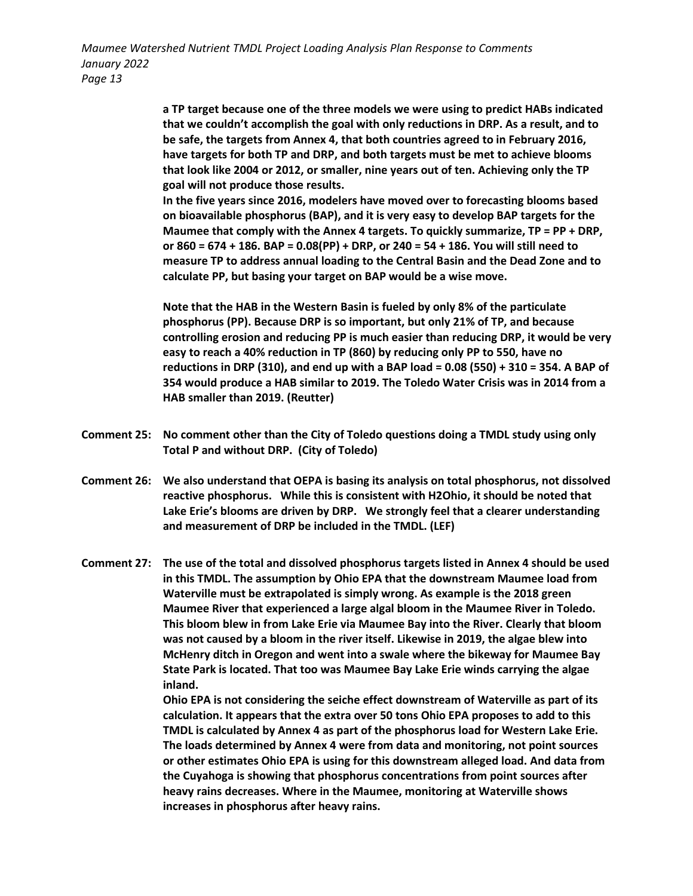> **a TP target because one of the three models we were using to predict HABs indicated that we couldn't accomplish the goal with only reductions in DRP. As a result, and to be safe, the targets from Annex 4, that both countries agreed to in February 2016, have targets for both TP and DRP, and both targets must be met to achieve blooms that look like 2004 or 2012, or smaller, nine years out of ten. Achieving only the TP goal will not produce those results.**

> **In the five years since 2016, modelers have moved over to forecasting blooms based on bioavailable phosphorus (BAP), and it is very easy to develop BAP targets for the Maumee that comply with the Annex 4 targets. To quickly summarize, TP = PP + DRP, or 860 = 674 + 186. BAP = 0.08(PP) + DRP, or 240 = 54 + 186. You will still need to measure TP to address annual loading to the Central Basin and the Dead Zone and to calculate PP, but basing your target on BAP would be a wise move.**

**Note that the HAB in the Western Basin is fueled by only 8% of the particulate phosphorus (PP). Because DRP is so important, but only 21% of TP, and because controlling erosion and reducing PP is much easier than reducing DRP, it would be very easy to reach a 40% reduction in TP (860) by reducing only PP to 550, have no reductions in DRP (310), and end up with a BAP load = 0.08 (550) + 310 = 354. A BAP of 354 would produce a HAB similar to 2019. The Toledo Water Crisis was in 2014 from a HAB smaller than 2019. (Reutter)**

- **Comment 25: No comment other than the City of Toledo questions doing a TMDL study using only Total P and without DRP. (City of Toledo)**
- **Comment 26: We also understand that OEPA is basing its analysis on total phosphorus, not dissolved reactive phosphorus. While this is consistent with H2Ohio, it should be noted that Lake Erie's blooms are driven by DRP. We strongly feel that a clearer understanding and measurement of DRP be included in the TMDL. (LEF)**
- **Comment 27: The use of the total and dissolved phosphorus targets listed in Annex 4 should be used in this TMDL. The assumption by Ohio EPA that the downstream Maumee load from Waterville must be extrapolated is simply wrong. As example is the 2018 green Maumee River that experienced a large algal bloom in the Maumee River in Toledo. This bloom blew in from Lake Erie via Maumee Bay into the River. Clearly that bloom was not caused by a bloom in the river itself. Likewise in 2019, the algae blew into McHenry ditch in Oregon and went into a swale where the bikeway for Maumee Bay State Park is located. That too was Maumee Bay Lake Erie winds carrying the algae inland.**

**Ohio EPA is not considering the seiche effect downstream of Waterville as part of its calculation. It appears that the extra over 50 tons Ohio EPA proposes to add to this TMDL is calculated by Annex 4 as part of the phosphorus load for Western Lake Erie. The loads determined by Annex 4 were from data and monitoring, not point sources or other estimates Ohio EPA is using for this downstream alleged load. And data from the Cuyahoga is showing that phosphorus concentrations from point sources after heavy rains decreases. Where in the Maumee, monitoring at Waterville shows increases in phosphorus after heavy rains.**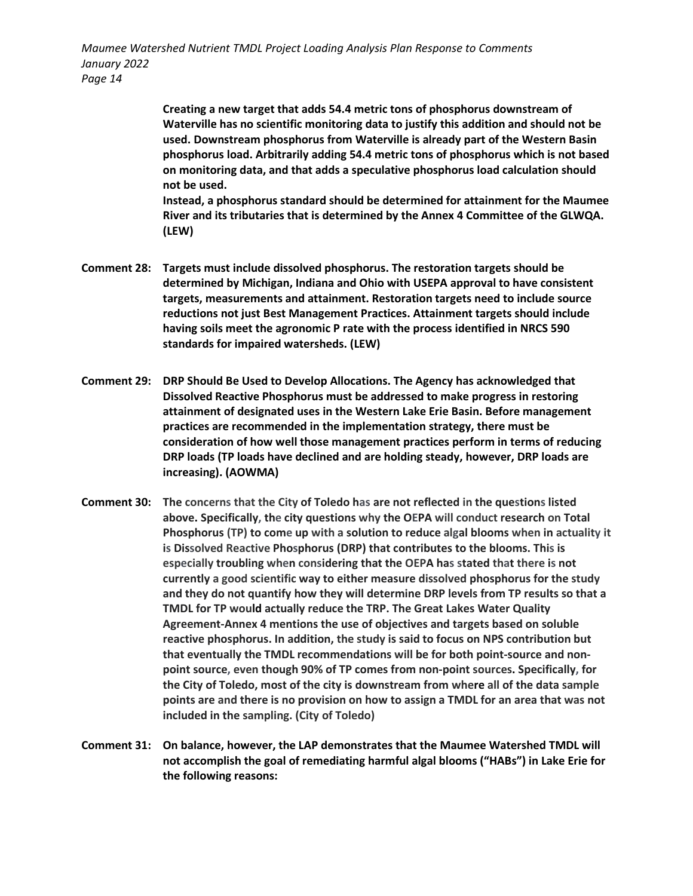> **Creating a new target that adds 54.4 metric tons of phosphorus downstream of Waterville has no scientific monitoring data to justify this addition and should not be used. Downstream phosphorus from Waterville is already part of the Western Basin phosphorus load. Arbitrarily adding 54.4 metric tons of phosphorus which is not based on monitoring data, and that adds a speculative phosphorus load calculation should not be used.**

> **Instead, a phosphorus standard should be determined for attainment for the Maumee River and its tributaries that is determined by the Annex 4 Committee of the GLWQA. (LEW)**

- **Comment 28: Targets must include dissolved phosphorus. The restoration targets should be determined by Michigan, Indiana and Ohio with USEPA approval to have consistent targets, measurements and attainment. Restoration targets need to include source reductions not just Best Management Practices. Attainment targets should include having soils meet the agronomic P rate with the process identified in NRCS 590 standards for impaired watersheds. (LEW)**
- **Comment 29: DRP Should Be Used to Develop Allocations. The Agency has acknowledged that Dissolved Reactive Phosphorus must be addressed to make progress in restoring attainment of designated uses in the Western Lake Erie Basin. Before management practices are recommended in the implementation strategy, there must be consideration of how well those management practices perform in terms of reducing DRP loads (TP loads have declined and are holding steady, however, DRP loads are increasing). (AOWMA)**
- **Comment 30: The concerns that the City of Toledo has are not reflected in the questions listed above. Specifically, the city questions why the OEPA will conduct research on Total Phosphorus (TP) to come up with a solution to reduce algal blooms when in actuality it is Dissolved Reactive Phosphorus (DRP) that contributes to the blooms. This is especially troubling when considering that the OEPA has stated that there is not currently a good scientific way to either measure dissolved phosphorus for the study and they do not quantify how they will determine DRP levels from TP results so that a TMDL for TP would actually reduce the TRP. The Great Lakes Water Quality Agreement-Annex 4 mentions the use of objectives and targets based on soluble reactive phosphorus. In addition, the study is said to focus on NPS contribution but that eventually the TMDL recommendations will be for both point-source and nonpoint source, even though 90% of TP comes from non-point sources. Specifically, for the City of Toledo, most of the city is downstream from where all of the data sample points are and there is no provision on how to assign a TMDL for an area that was not included in the sampling. (City of Toledo)**
- **Comment 31: On balance, however, the LAP demonstrates that the Maumee Watershed TMDL will not accomplish the goal of remediating harmful algal blooms ("HABs") in Lake Erie for the following reasons:**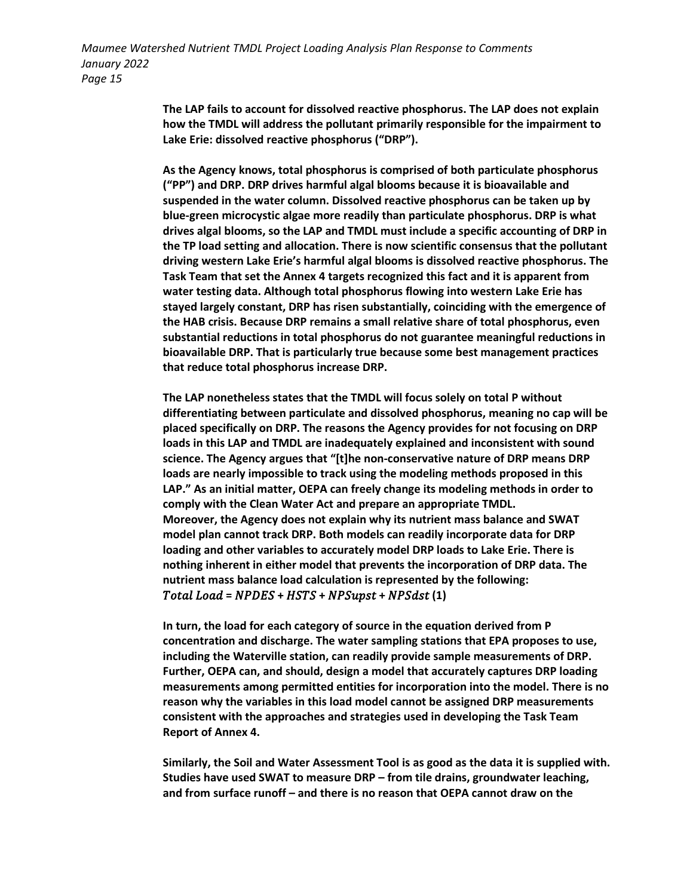> **The LAP fails to account for dissolved reactive phosphorus. The LAP does not explain how the TMDL will address the pollutant primarily responsible for the impairment to Lake Erie: dissolved reactive phosphorus ("DRP").**

**As the Agency knows, total phosphorus is comprised of both particulate phosphorus ("PP") and DRP. DRP drives harmful algal blooms because it is bioavailable and suspended in the water column. Dissolved reactive phosphorus can be taken up by blue-green microcystic algae more readily than particulate phosphorus. DRP is what drives algal blooms, so the LAP and TMDL must include a specific accounting of DRP in the TP load setting and allocation. There is now scientific consensus that the pollutant driving western Lake Erie's harmful algal blooms is dissolved reactive phosphorus. The Task Team that set the Annex 4 targets recognized this fact and it is apparent from water testing data. Although total phosphorus flowing into western Lake Erie has stayed largely constant, DRP has risen substantially, coinciding with the emergence of the HAB crisis. Because DRP remains a small relative share of total phosphorus, even substantial reductions in total phosphorus do not guarantee meaningful reductions in bioavailable DRP. That is particularly true because some best management practices that reduce total phosphorus increase DRP.**

**The LAP nonetheless states that the TMDL will focus solely on total P without differentiating between particulate and dissolved phosphorus, meaning no cap will be placed specifically on DRP. The reasons the Agency provides for not focusing on DRP loads in this LAP and TMDL are inadequately explained and inconsistent with sound science. The Agency argues that "[t]he non-conservative nature of DRP means DRP loads are nearly impossible to track using the modeling methods proposed in this LAP." As an initial matter, OEPA can freely change its modeling methods in order to comply with the Clean Water Act and prepare an appropriate TMDL. Moreover, the Agency does not explain why its nutrient mass balance and SWAT model plan cannot track DRP. Both models can readily incorporate data for DRP loading and other variables to accurately model DRP loads to Lake Erie. There is nothing inherent in either model that prevents the incorporation of DRP data. The nutrient mass balance load calculation is represented by the following: Total Load = NPDES + HSTS + NPSupst + NPSdst (1)** 

**In turn, the load for each category of source in the equation derived from P concentration and discharge. The water sampling stations that EPA proposes to use, including the Waterville station, can readily provide sample measurements of DRP. Further, OEPA can, and should, design a model that accurately captures DRP loading measurements among permitted entities for incorporation into the model. There is no reason why the variables in this load model cannot be assigned DRP measurements consistent with the approaches and strategies used in developing the Task Team Report of Annex 4.**

**Similarly, the Soil and Water Assessment Tool is as good as the data it is supplied with. Studies have used SWAT to measure DRP – from tile drains, groundwater leaching, and from surface runoff – and there is no reason that OEPA cannot draw on the**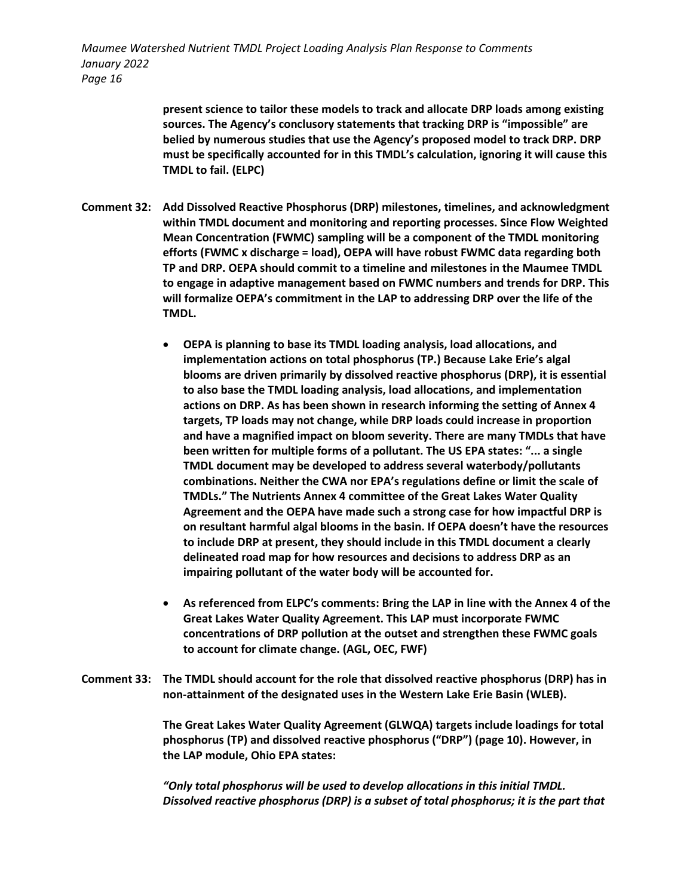> **present science to tailor these models to track and allocate DRP loads among existing sources. The Agency's conclusory statements that tracking DRP is "impossible" are belied by numerous studies that use the Agency's proposed model to track DRP. DRP must be specifically accounted for in this TMDL's calculation, ignoring it will cause this TMDL to fail. (ELPC)**

- **Comment 32: Add Dissolved Reactive Phosphorus (DRP) milestones, timelines, and acknowledgment within TMDL document and monitoring and reporting processes. Since Flow Weighted Mean Concentration (FWMC) sampling will be a component of the TMDL monitoring efforts (FWMC x discharge = load), OEPA will have robust FWMC data regarding both TP and DRP. OEPA should commit to a timeline and milestones in the Maumee TMDL to engage in adaptive management based on FWMC numbers and trends for DRP. This will formalize OEPA's commitment in the LAP to addressing DRP over the life of the TMDL.** 
	- **OEPA is planning to base its TMDL loading analysis, load allocations, and implementation actions on total phosphorus (TP.) Because Lake Erie's algal blooms are driven primarily by dissolved reactive phosphorus (DRP), it is essential to also base the TMDL loading analysis, load allocations, and implementation actions on DRP. As has been shown in research informing the setting of Annex 4 targets, TP loads may not change, while DRP loads could increase in proportion and have a magnified impact on bloom severity. There are many TMDLs that have been written for multiple forms of a pollutant. The US EPA states: "... a single TMDL document may be developed to address several waterbody/pollutants combinations. Neither the CWA nor EPA's regulations define or limit the scale of TMDLs." The Nutrients Annex 4 committee of the Great Lakes Water Quality Agreement and the OEPA have made such a strong case for how impactful DRP is on resultant harmful algal blooms in the basin. If OEPA doesn't have the resources to include DRP at present, they should include in this TMDL document a clearly delineated road map for how resources and decisions to address DRP as an impairing pollutant of the water body will be accounted for.**
	- **As referenced from ELPC's comments: Bring the LAP in line with the Annex 4 of the Great Lakes Water Quality Agreement. This LAP must incorporate FWMC concentrations of DRP pollution at the outset and strengthen these FWMC goals to account for climate change. (AGL, OEC, FWF)**
- **Comment 33: The TMDL should account for the role that dissolved reactive phosphorus (DRP) has in non-attainment of the designated uses in the Western Lake Erie Basin (WLEB).**

**The Great Lakes Water Quality Agreement (GLWQA) targets include loadings for total phosphorus (TP) and dissolved reactive phosphorus ("DRP") (page 10). However, in the LAP module, Ohio EPA states:** 

*"Only total phosphorus will be used to develop allocations in this initial TMDL. Dissolved reactive phosphorus (DRP) is a subset of total phosphorus; it is the part that*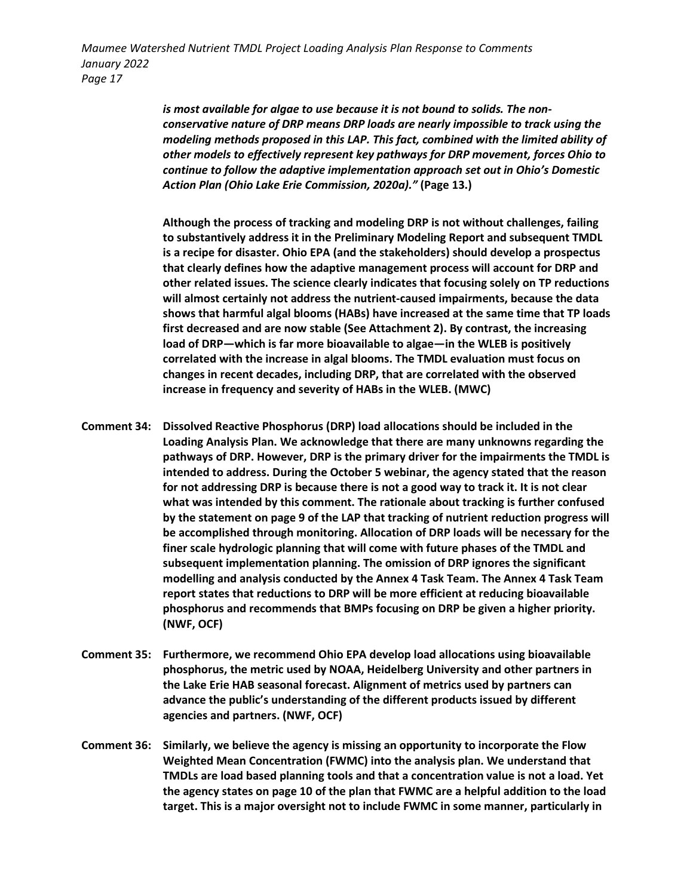> *is most available for algae to use because it is not bound to solids. The nonconservative nature of DRP means DRP loads are nearly impossible to track using the modeling methods proposed in this LAP. This fact, combined with the limited ability of other models to effectively represent key pathways for DRP movement, forces Ohio to continue to follow the adaptive implementation approach set out in Ohio's Domestic Action Plan (Ohio Lake Erie Commission, 2020a)."* **(Page 13.)**

> **Although the process of tracking and modeling DRP is not without challenges, failing to substantively address it in the Preliminary Modeling Report and subsequent TMDL is a recipe for disaster. Ohio EPA (and the stakeholders) should develop a prospectus that clearly defines how the adaptive management process will account for DRP and other related issues. The science clearly indicates that focusing solely on TP reductions will almost certainly not address the nutrient-caused impairments, because the data shows that harmful algal blooms (HABs) have increased at the same time that TP loads first decreased and are now stable (See Attachment 2). By contrast, the increasing load of DRP—which is far more bioavailable to algae—in the WLEB is positively correlated with the increase in algal blooms. The TMDL evaluation must focus on changes in recent decades, including DRP, that are correlated with the observed increase in frequency and severity of HABs in the WLEB. (MWC)**

- **Comment 34: Dissolved Reactive Phosphorus (DRP) load allocations should be included in the Loading Analysis Plan. We acknowledge that there are many unknowns regarding the pathways of DRP. However, DRP is the primary driver for the impairments the TMDL is intended to address. During the October 5 webinar, the agency stated that the reason for not addressing DRP is because there is not a good way to track it. It is not clear what was intended by this comment. The rationale about tracking is further confused by the statement on page 9 of the LAP that tracking of nutrient reduction progress will be accomplished through monitoring. Allocation of DRP loads will be necessary for the finer scale hydrologic planning that will come with future phases of the TMDL and subsequent implementation planning. The omission of DRP ignores the significant modelling and analysis conducted by the Annex 4 Task Team. The Annex 4 Task Team report states that reductions to DRP will be more efficient at reducing bioavailable phosphorus and recommends that BMPs focusing on DRP be given a higher priority. (NWF, OCF)**
- **Comment 35: Furthermore, we recommend Ohio EPA develop load allocations using bioavailable phosphorus, the metric used by NOAA, Heidelberg University and other partners in the Lake Erie HAB seasonal forecast. Alignment of metrics used by partners can advance the public's understanding of the different products issued by different agencies and partners. (NWF, OCF)**
- **Comment 36: Similarly, we believe the agency is missing an opportunity to incorporate the Flow Weighted Mean Concentration (FWMC) into the analysis plan. We understand that TMDLs are load based planning tools and that a concentration value is not a load. Yet the agency states on page 10 of the plan that FWMC are a helpful addition to the load target. This is a major oversight not to include FWMC in some manner, particularly in**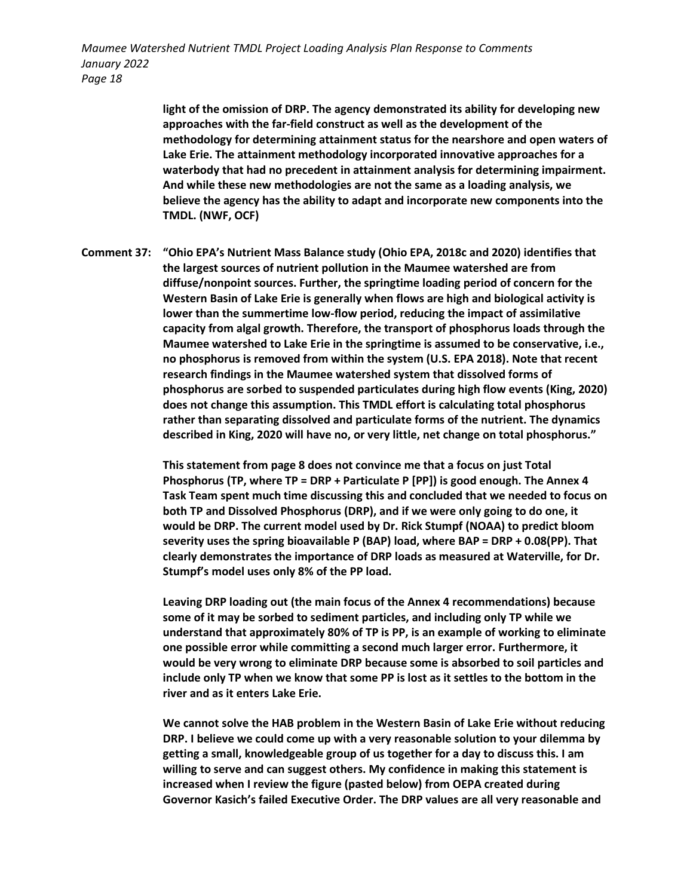> **light of the omission of DRP. The agency demonstrated its ability for developing new approaches with the far-field construct as well as the development of the methodology for determining attainment status for the nearshore and open waters of Lake Erie. The attainment methodology incorporated innovative approaches for a waterbody that had no precedent in attainment analysis for determining impairment. And while these new methodologies are not the same as a loading analysis, we believe the agency has the ability to adapt and incorporate new components into the TMDL. (NWF, OCF)**

**Comment 37: "Ohio EPA's Nutrient Mass Balance study (Ohio EPA, 2018c and 2020) identifies that the largest sources of nutrient pollution in the Maumee watershed are from diffuse/nonpoint sources. Further, the springtime loading period of concern for the Western Basin of Lake Erie is generally when flows are high and biological activity is lower than the summertime low-flow period, reducing the impact of assimilative capacity from algal growth. Therefore, the transport of phosphorus loads through the Maumee watershed to Lake Erie in the springtime is assumed to be conservative, i.e., no phosphorus is removed from within the system (U.S. EPA 2018). Note that recent research findings in the Maumee watershed system that dissolved forms of phosphorus are sorbed to suspended particulates during high flow events (King, 2020) does not change this assumption. This TMDL effort is calculating total phosphorus rather than separating dissolved and particulate forms of the nutrient. The dynamics described in King, 2020 will have no, or very little, net change on total phosphorus."**

> **This statement from page 8 does not convince me that a focus on just Total Phosphorus (TP, where TP = DRP + Particulate P [PP]) is good enough. The Annex 4 Task Team spent much time discussing this and concluded that we needed to focus on both TP and Dissolved Phosphorus (DRP), and if we were only going to do one, it would be DRP. The current model used by Dr. Rick Stumpf (NOAA) to predict bloom severity uses the spring bioavailable P (BAP) load, where BAP = DRP + 0.08(PP). That clearly demonstrates the importance of DRP loads as measured at Waterville, for Dr. Stumpf's model uses only 8% of the PP load.**

> **Leaving DRP loading out (the main focus of the Annex 4 recommendations) because some of it may be sorbed to sediment particles, and including only TP while we understand that approximately 80% of TP is PP, is an example of working to eliminate one possible error while committing a second much larger error. Furthermore, it would be very wrong to eliminate DRP because some is absorbed to soil particles and include only TP when we know that some PP is lost as it settles to the bottom in the river and as it enters Lake Erie.**

> **We cannot solve the HAB problem in the Western Basin of Lake Erie without reducing DRP. I believe we could come up with a very reasonable solution to your dilemma by getting a small, knowledgeable group of us together for a day to discuss this. I am willing to serve and can suggest others. My confidence in making this statement is increased when I review the figure (pasted below) from OEPA created during Governor Kasich's failed Executive Order. The DRP values are all very reasonable and**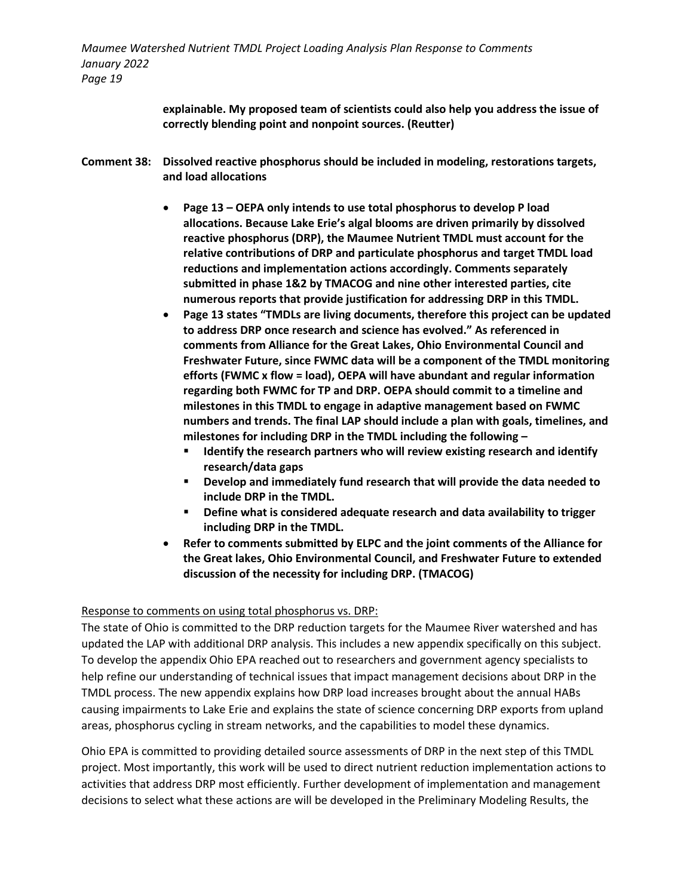> **explainable. My proposed team of scientists could also help you address the issue of correctly blending point and nonpoint sources. (Reutter)**

- **Comment 38: Dissolved reactive phosphorus should be included in modeling, restorations targets, and load allocations** 
	- **Page 13 – OEPA only intends to use total phosphorus to develop P load allocations. Because Lake Erie's algal blooms are driven primarily by dissolved reactive phosphorus (DRP), the Maumee Nutrient TMDL must account for the relative contributions of DRP and particulate phosphorus and target TMDL load reductions and implementation actions accordingly. Comments separately submitted in phase 1&2 by TMACOG and nine other interested parties, cite numerous reports that provide justification for addressing DRP in this TMDL.**
	- **Page 13 states "TMDLs are living documents, therefore this project can be updated to address DRP once research and science has evolved." As referenced in comments from Alliance for the Great Lakes, Ohio Environmental Council and Freshwater Future, since FWMC data will be a component of the TMDL monitoring efforts (FWMC x flow = load), OEPA will have abundant and regular information regarding both FWMC for TP and DRP. OEPA should commit to a timeline and milestones in this TMDL to engage in adaptive management based on FWMC numbers and trends. The final LAP should include a plan with goals, timelines, and milestones for including DRP in the TMDL including the following –**
		- **Identify the research partners who will review existing research and identify research/data gaps**
		- **Develop and immediately fund research that will provide the data needed to include DRP in the TMDL.**
		- **Define what is considered adequate research and data availability to trigger including DRP in the TMDL.**
	- **Refer to comments submitted by ELPC and the joint comments of the Alliance for the Great lakes, Ohio Environmental Council, and Freshwater Future to extended discussion of the necessity for including DRP. (TMACOG)**

### Response to comments on using total phosphorus vs. DRP:

The state of Ohio is committed to the DRP reduction targets for the Maumee River watershed and has updated the LAP with additional DRP analysis. This includes a new appendix specifically on this subject. To develop the appendix Ohio EPA reached out to researchers and government agency specialists to help refine our understanding of technical issues that impact management decisions about DRP in the TMDL process. The new appendix explains how DRP load increases brought about the annual HABs causing impairments to Lake Erie and explains the state of science concerning DRP exports from upland areas, phosphorus cycling in stream networks, and the capabilities to model these dynamics.

Ohio EPA is committed to providing detailed source assessments of DRP in the next step of this TMDL project. Most importantly, this work will be used to direct nutrient reduction implementation actions to activities that address DRP most efficiently. Further development of implementation and management decisions to select what these actions are will be developed in the Preliminary Modeling Results, the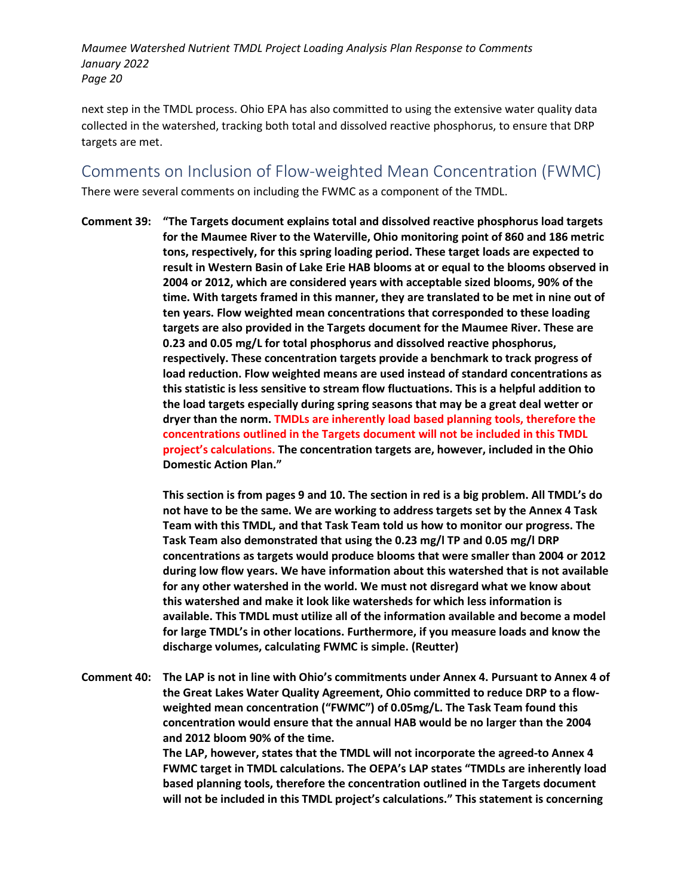next step in the TMDL process. Ohio EPA has also committed to using the extensive water quality data collected in the watershed, tracking both total and dissolved reactive phosphorus, to ensure that DRP targets are met.

Comments on Inclusion of Flow-weighted Mean Concentration (FWMC) There were several comments on including the FWMC as a component of the TMDL.

**Comment 39: "The Targets document explains total and dissolved reactive phosphorus load targets for the Maumee River to the Waterville, Ohio monitoring point of 860 and 186 metric tons, respectively, for this spring loading period. These target loads are expected to result in Western Basin of Lake Erie HAB blooms at or equal to the blooms observed in 2004 or 2012, which are considered years with acceptable sized blooms, 90% of the time. With targets framed in this manner, they are translated to be met in nine out of ten years. Flow weighted mean concentrations that corresponded to these loading targets are also provided in the Targets document for the Maumee River. These are 0.23 and 0.05 mg/L for total phosphorus and dissolved reactive phosphorus, respectively. These concentration targets provide a benchmark to track progress of load reduction. Flow weighted means are used instead of standard concentrations as this statistic is less sensitive to stream flow fluctuations. This is a helpful addition to the load targets especially during spring seasons that may be a great deal wetter or dryer than the norm. TMDLs are inherently load based planning tools, therefore the concentrations outlined in the Targets document will not be included in this TMDL project's calculations. The concentration targets are, however, included in the Ohio Domestic Action Plan."**

> **This section is from pages 9 and 10. The section in red is a big problem. All TMDL's do not have to be the same. We are working to address targets set by the Annex 4 Task Team with this TMDL, and that Task Team told us how to monitor our progress. The Task Team also demonstrated that using the 0.23 mg/l TP and 0.05 mg/l DRP concentrations as targets would produce blooms that were smaller than 2004 or 2012 during low flow years. We have information about this watershed that is not available for any other watershed in the world. We must not disregard what we know about this watershed and make it look like watersheds for which less information is available. This TMDL must utilize all of the information available and become a model for large TMDL's in other locations. Furthermore, if you measure loads and know the discharge volumes, calculating FWMC is simple. (Reutter)**

**Comment 40: The LAP is not in line with Ohio's commitments under Annex 4. Pursuant to Annex 4 of the Great Lakes Water Quality Agreement, Ohio committed to reduce DRP to a flowweighted mean concentration ("FWMC") of 0.05mg/L. The Task Team found this concentration would ensure that the annual HAB would be no larger than the 2004 and 2012 bloom 90% of the time. The LAP, however, states that the TMDL will not incorporate the agreed-to Annex 4 FWMC target in TMDL calculations. The OEPA's LAP states "TMDLs are inherently load based planning tools, therefore the concentration outlined in the Targets document will not be included in this TMDL project's calculations." This statement is concerning**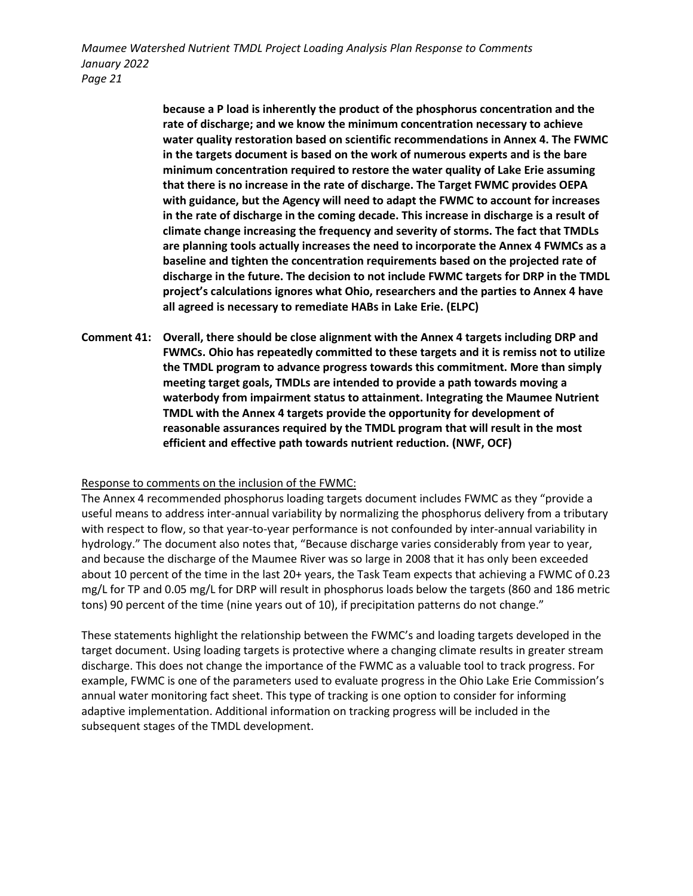> **because a P load is inherently the product of the phosphorus concentration and the rate of discharge; and we know the minimum concentration necessary to achieve water quality restoration based on scientific recommendations in Annex 4. The FWMC in the targets document is based on the work of numerous experts and is the bare minimum concentration required to restore the water quality of Lake Erie assuming that there is no increase in the rate of discharge. The Target FWMC provides OEPA with guidance, but the Agency will need to adapt the FWMC to account for increases in the rate of discharge in the coming decade. This increase in discharge is a result of climate change increasing the frequency and severity of storms. The fact that TMDLs are planning tools actually increases the need to incorporate the Annex 4 FWMCs as a baseline and tighten the concentration requirements based on the projected rate of discharge in the future. The decision to not include FWMC targets for DRP in the TMDL project's calculations ignores what Ohio, researchers and the parties to Annex 4 have all agreed is necessary to remediate HABs in Lake Erie. (ELPC)**

**Comment 41: Overall, there should be close alignment with the Annex 4 targets including DRP and FWMCs. Ohio has repeatedly committed to these targets and it is remiss not to utilize the TMDL program to advance progress towards this commitment. More than simply meeting target goals, TMDLs are intended to provide a path towards moving a waterbody from impairment status to attainment. Integrating the Maumee Nutrient TMDL with the Annex 4 targets provide the opportunity for development of reasonable assurances required by the TMDL program that will result in the most efficient and effective path towards nutrient reduction. (NWF, OCF)**

#### Response to comments on the inclusion of the FWMC:

The Annex 4 recommended phosphorus loading targets document includes FWMC as they "provide a useful means to address inter-annual variability by normalizing the phosphorus delivery from a tributary with respect to flow, so that year-to-year performance is not confounded by inter-annual variability in hydrology." The document also notes that, "Because discharge varies considerably from year to year, and because the discharge of the Maumee River was so large in 2008 that it has only been exceeded about 10 percent of the time in the last 20+ years, the Task Team expects that achieving a FWMC of 0.23 mg/L for TP and 0.05 mg/L for DRP will result in phosphorus loads below the targets (860 and 186 metric tons) 90 percent of the time (nine years out of 10), if precipitation patterns do not change."

These statements highlight the relationship between the FWMC's and loading targets developed in the target document. Using loading targets is protective where a changing climate results in greater stream discharge. This does not change the importance of the FWMC as a valuable tool to track progress. For example, FWMC is one of the parameters used to evaluate progress in the Ohio Lake Erie Commission's annual water monitoring fact sheet. This type of tracking is one option to consider for informing adaptive implementation. Additional information on tracking progress will be included in the subsequent stages of the TMDL development.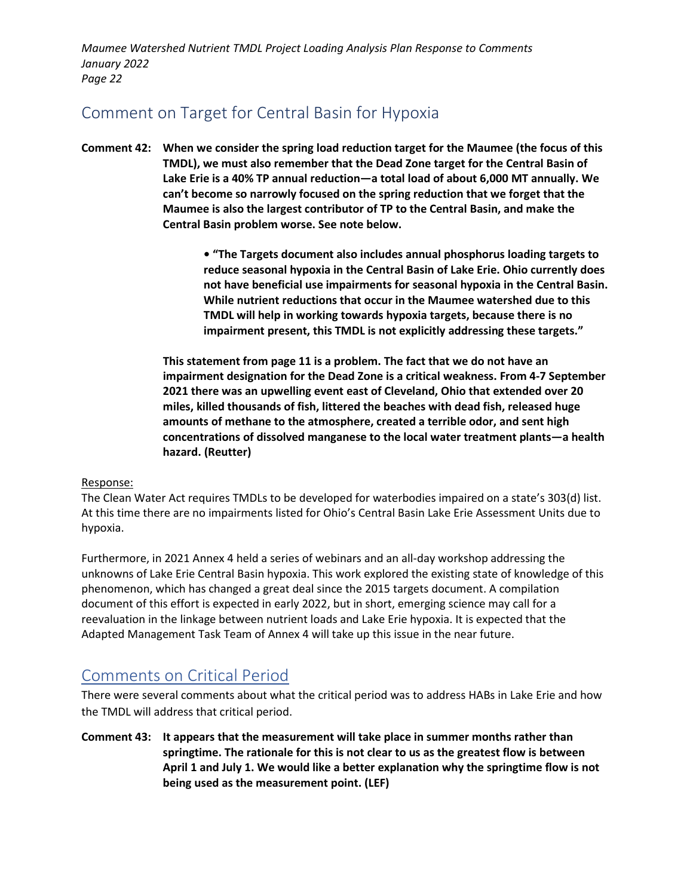## Comment on Target for Central Basin for Hypoxia

**Comment 42: When we consider the spring load reduction target for the Maumee (the focus of this TMDL), we must also remember that the Dead Zone target for the Central Basin of Lake Erie is a 40% TP annual reduction—a total load of about 6,000 MT annually. We can't become so narrowly focused on the spring reduction that we forget that the Maumee is also the largest contributor of TP to the Central Basin, and make the Central Basin problem worse. See note below.**

> **• "The Targets document also includes annual phosphorus loading targets to reduce seasonal hypoxia in the Central Basin of Lake Erie. Ohio currently does not have beneficial use impairments for seasonal hypoxia in the Central Basin. While nutrient reductions that occur in the Maumee watershed due to this TMDL will help in working towards hypoxia targets, because there is no impairment present, this TMDL is not explicitly addressing these targets."**

**This statement from page 11 is a problem. The fact that we do not have an impairment designation for the Dead Zone is a critical weakness. From 4-7 September 2021 there was an upwelling event east of Cleveland, Ohio that extended over 20 miles, killed thousands of fish, littered the beaches with dead fish, released huge amounts of methane to the atmosphere, created a terrible odor, and sent high concentrations of dissolved manganese to the local water treatment plants—a health hazard. (Reutter)**

### Response:

The Clean Water Act requires TMDLs to be developed for waterbodies impaired on a state's 303(d) list. At this time there are no impairments listed for Ohio's Central Basin Lake Erie Assessment Units due to hypoxia.

Furthermore, in 2021 Annex 4 held a series of webinars and an all-day workshop addressing the unknowns of Lake Erie Central Basin hypoxia. This work explored the existing state of knowledge of this phenomenon, which has changed a great deal since the 2015 targets document. A compilation document of this effort is expected in early 2022, but in short, emerging science may call for a reevaluation in the linkage between nutrient loads and Lake Erie hypoxia. It is expected that the Adapted Management Task Team of Annex 4 will take up this issue in the near future.

### Comments on Critical Period

There were several comments about what the critical period was to address HABs in Lake Erie and how the TMDL will address that critical period.

**Comment 43: It appears that the measurement will take place in summer months rather than springtime. The rationale for this is not clear to us as the greatest flow is between April 1 and July 1. We would like a better explanation why the springtime flow is not being used as the measurement point. (LEF)**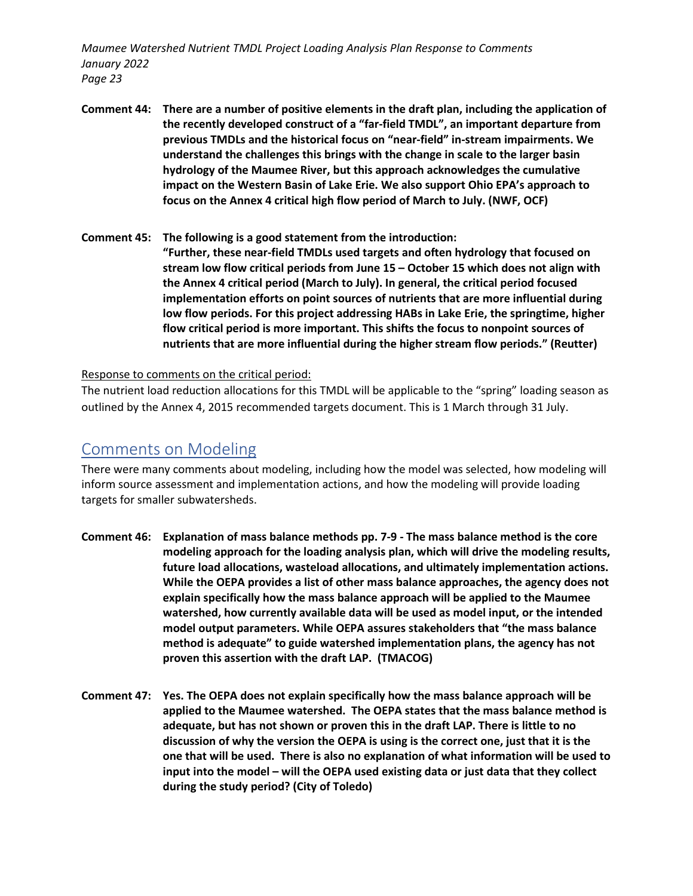- **Comment 44: There are a number of positive elements in the draft plan, including the application of the recently developed construct of a "far-field TMDL", an important departure from previous TMDLs and the historical focus on "near-field" in-stream impairments. We understand the challenges this brings with the change in scale to the larger basin hydrology of the Maumee River, but this approach acknowledges the cumulative impact on the Western Basin of Lake Erie. We also support Ohio EPA's approach to focus on the Annex 4 critical high flow period of March to July. (NWF, OCF)**
- **Comment 45: The following is a good statement from the introduction: "Further, these near-field TMDLs used targets and often hydrology that focused on stream low flow critical periods from June 15 – October 15 which does not align with the Annex 4 critical period (March to July). In general, the critical period focused implementation efforts on point sources of nutrients that are more influential during low flow periods. For this project addressing HABs in Lake Erie, the springtime, higher flow critical period is more important. This shifts the focus to nonpoint sources of nutrients that are more influential during the higher stream flow periods." (Reutter)**

Response to comments on the critical period:

The nutrient load reduction allocations for this TMDL will be applicable to the "spring" loading season as outlined by the Annex 4, 2015 recommended targets document. This is 1 March through 31 July.

### Comments on Modeling

There were many comments about modeling, including how the model was selected, how modeling will inform source assessment and implementation actions, and how the modeling will provide loading targets for smaller subwatersheds.

- **Comment 46: Explanation of mass balance methods pp. 7-9 - The mass balance method is the core modeling approach for the loading analysis plan, which will drive the modeling results, future load allocations, wasteload allocations, and ultimately implementation actions. While the OEPA provides a list of other mass balance approaches, the agency does not explain specifically how the mass balance approach will be applied to the Maumee watershed, how currently available data will be used as model input, or the intended model output parameters. While OEPA assures stakeholders that "the mass balance method is adequate" to guide watershed implementation plans, the agency has not proven this assertion with the draft LAP. (TMACOG)**
- **Comment 47: Yes. The OEPA does not explain specifically how the mass balance approach will be applied to the Maumee watershed. The OEPA states that the mass balance method is adequate, but has not shown or proven this in the draft LAP. There is little to no discussion of why the version the OEPA is using is the correct one, just that it is the one that will be used. There is also no explanation of what information will be used to input into the model – will the OEPA used existing data or just data that they collect during the study period? (City of Toledo)**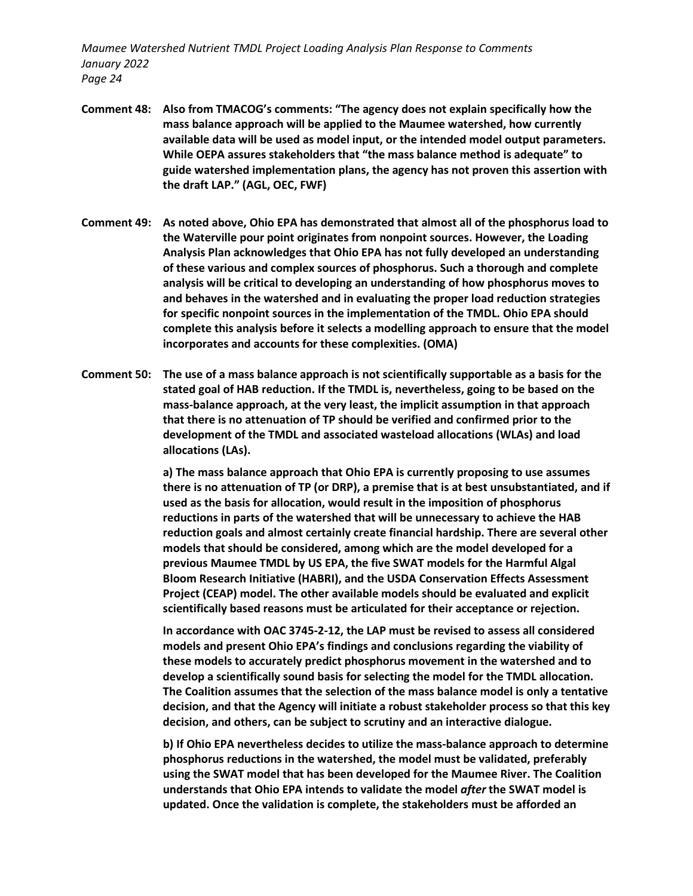- **Comment 48: Also from TMACOG's comments: "The agency does not explain specifically how the mass balance approach will be applied to the Maumee watershed, how currently available data will be used as model input, or the intended model output parameters. While OEPA assures stakeholders that "the mass balance method is adequate" to guide watershed implementation plans, the agency has not proven this assertion with the draft LAP." (AGL, OEC, FWF)**
- **Comment 49: As noted above, Ohio EPA has demonstrated that almost all of the phosphorus load to the Waterville pour point originates from nonpoint sources. However, the Loading Analysis Plan acknowledges that Ohio EPA has not fully developed an understanding of these various and complex sources of phosphorus. Such a thorough and complete analysis will be critical to developing an understanding of how phosphorus moves to and behaves in the watershed and in evaluating the proper load reduction strategies for specific nonpoint sources in the implementation of the TMDL. Ohio EPA should complete this analysis before it selects a modelling approach to ensure that the model incorporates and accounts for these complexities. (OMA)**
- **Comment 50: The use of a mass balance approach is not scientifically supportable as a basis for the stated goal of HAB reduction. If the TMDL is, nevertheless, going to be based on the mass-balance approach, at the very least, the implicit assumption in that approach that there is no attenuation of TP should be verified and confirmed prior to the development of the TMDL and associated wasteload allocations (WLAs) and load allocations (LAs).**

**a) The mass balance approach that Ohio EPA is currently proposing to use assumes there is no attenuation of TP (or DRP), a premise that is at best unsubstantiated, and if used as the basis for allocation, would result in the imposition of phosphorus reductions in parts of the watershed that will be unnecessary to achieve the HAB reduction goals and almost certainly create financial hardship. There are several other models that should be considered, among which are the model developed for a previous Maumee TMDL by US EPA, the five SWAT models for the Harmful Algal Bloom Research Initiative (HABRI), and the USDA Conservation Effects Assessment Project (CEAP) model. The other available models should be evaluated and explicit scientifically based reasons must be articulated for their acceptance or rejection.** 

**In accordance with OAC 3745-2-12, the LAP must be revised to assess all considered models and present Ohio EPA's findings and conclusions regarding the viability of these models to accurately predict phosphorus movement in the watershed and to develop a scientifically sound basis for selecting the model for the TMDL allocation. The Coalition assumes that the selection of the mass balance model is only a tentative decision, and that the Agency will initiate a robust stakeholder process so that this key decision, and others, can be subject to scrutiny and an interactive dialogue.**

**b) If Ohio EPA nevertheless decides to utilize the mass-balance approach to determine phosphorus reductions in the watershed, the model must be validated, preferably using the SWAT model that has been developed for the Maumee River. The Coalition understands that Ohio EPA intends to validate the model** *after* **the SWAT model is updated. Once the validation is complete, the stakeholders must be afforded an**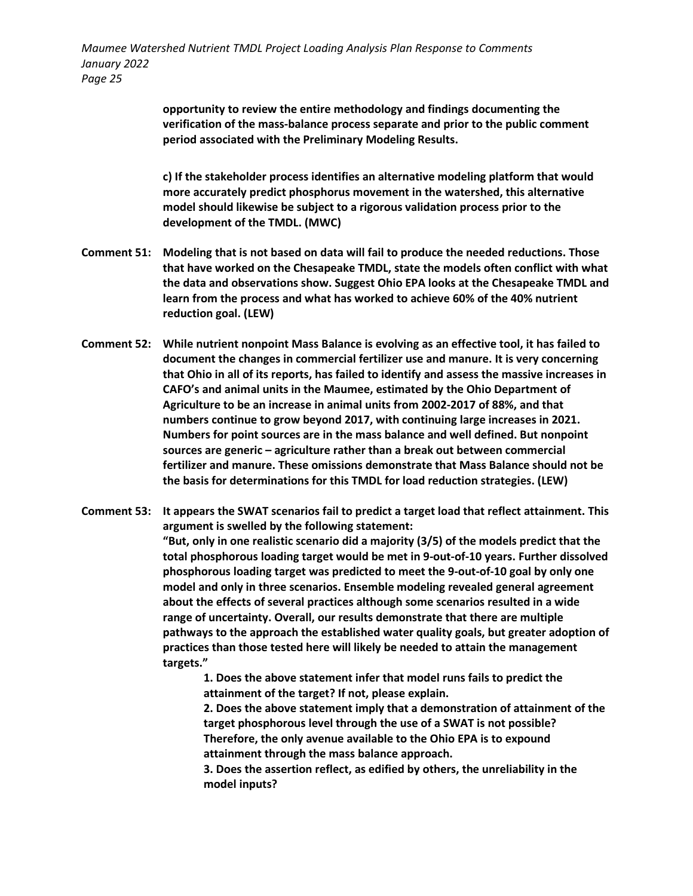> **opportunity to review the entire methodology and findings documenting the verification of the mass-balance process separate and prior to the public comment period associated with the Preliminary Modeling Results.**

**c) If the stakeholder process identifies an alternative modeling platform that would more accurately predict phosphorus movement in the watershed, this alternative model should likewise be subject to a rigorous validation process prior to the development of the TMDL. (MWC)**

- **Comment 51: Modeling that is not based on data will fail to produce the needed reductions. Those that have worked on the Chesapeake TMDL, state the models often conflict with what the data and observations show. Suggest Ohio EPA looks at the Chesapeake TMDL and learn from the process and what has worked to achieve 60% of the 40% nutrient reduction goal. (LEW)**
- **Comment 52: While nutrient nonpoint Mass Balance is evolving as an effective tool, it has failed to document the changes in commercial fertilizer use and manure. It is very concerning that Ohio in all of its reports, has failed to identify and assess the massive increases in CAFO's and animal units in the Maumee, estimated by the Ohio Department of Agriculture to be an increase in animal units from 2002-2017 of 88%, and that numbers continue to grow beyond 2017, with continuing large increases in 2021. Numbers for point sources are in the mass balance and well defined. But nonpoint sources are generic – agriculture rather than a break out between commercial fertilizer and manure. These omissions demonstrate that Mass Balance should not be the basis for determinations for this TMDL for load reduction strategies. (LEW)**
- **Comment 53: It appears the SWAT scenarios fail to predict a target load that reflect attainment. This argument is swelled by the following statement: "But, only in one realistic scenario did a majority (3/5) of the models predict that the total phosphorous loading target would be met in 9-out-of-10 years. Further dissolved phosphorous loading target was predicted to meet the 9-out-of-10 goal by only one model and only in three scenarios. Ensemble modeling revealed general agreement about the effects of several practices although some scenarios resulted in a wide range of uncertainty. Overall, our results demonstrate that there are multiple pathways to the approach the established water quality goals, but greater adoption of practices than those tested here will likely be needed to attain the management targets."**

**1. Does the above statement infer that model runs fails to predict the attainment of the target? If not, please explain.**

**2. Does the above statement imply that a demonstration of attainment of the target phosphorous level through the use of a SWAT is not possible? Therefore, the only avenue available to the Ohio EPA is to expound attainment through the mass balance approach.**

**3. Does the assertion reflect, as edified by others, the unreliability in the model inputs?**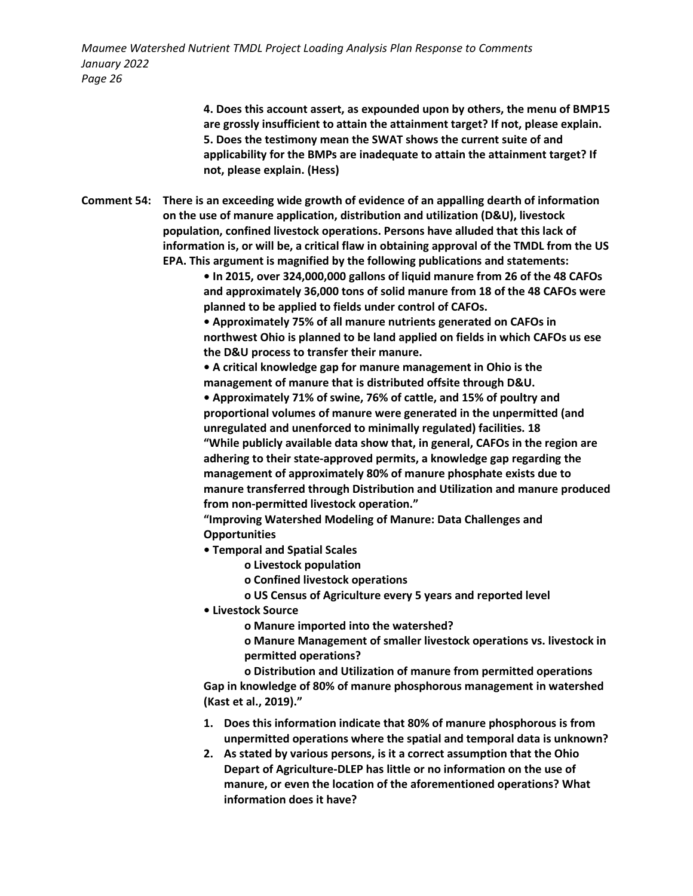> **4. Does this account assert, as expounded upon by others, the menu of BMP15 are grossly insufficient to attain the attainment target? If not, please explain. 5. Does the testimony mean the SWAT shows the current suite of and applicability for the BMPs are inadequate to attain the attainment target? If not, please explain. (Hess)**

**Comment 54: There is an exceeding wide growth of evidence of an appalling dearth of information on the use of manure application, distribution and utilization (D&U), livestock population, confined livestock operations. Persons have alluded that this lack of information is, or will be, a critical flaw in obtaining approval of the TMDL from the US EPA. This argument is magnified by the following publications and statements:**

> **• In 2015, over 324,000,000 gallons of liquid manure from 26 of the 48 CAFOs and approximately 36,000 tons of solid manure from 18 of the 48 CAFOs were planned to be applied to fields under control of CAFOs.**

**• Approximately 75% of all manure nutrients generated on CAFOs in northwest Ohio is planned to be land applied on fields in which CAFOs us ese the D&U process to transfer their manure.**

**• A critical knowledge gap for manure management in Ohio is the management of manure that is distributed offsite through D&U.**

**• Approximately 71% of swine, 76% of cattle, and 15% of poultry and proportional volumes of manure were generated in the unpermitted (and unregulated and unenforced to minimally regulated) facilities. 18 "While publicly available data show that, in general, CAFOs in the region are adhering to their state-approved permits, a knowledge gap regarding the management of approximately 80% of manure phosphate exists due to manure transferred through Distribution and Utilization and manure produced from non-permitted livestock operation."**

**"Improving Watershed Modeling of Manure: Data Challenges and Opportunities**

- **Temporal and Spatial Scales**
	- **o Livestock population**
	- **o Confined livestock operations**

**o US Census of Agriculture every 5 years and reported level**

- **Livestock Source**
	- **o Manure imported into the watershed?**

**o Manure Management of smaller livestock operations vs. livestock in permitted operations?**

**o Distribution and Utilization of manure from permitted operations Gap in knowledge of 80% of manure phosphorous management in watershed (Kast et al., 2019)."**

- **1. Does this information indicate that 80% of manure phosphorous is from unpermitted operations where the spatial and temporal data is unknown?**
- **2. As stated by various persons, is it a correct assumption that the Ohio Depart of Agriculture-DLEP has little or no information on the use of manure, or even the location of the aforementioned operations? What information does it have?**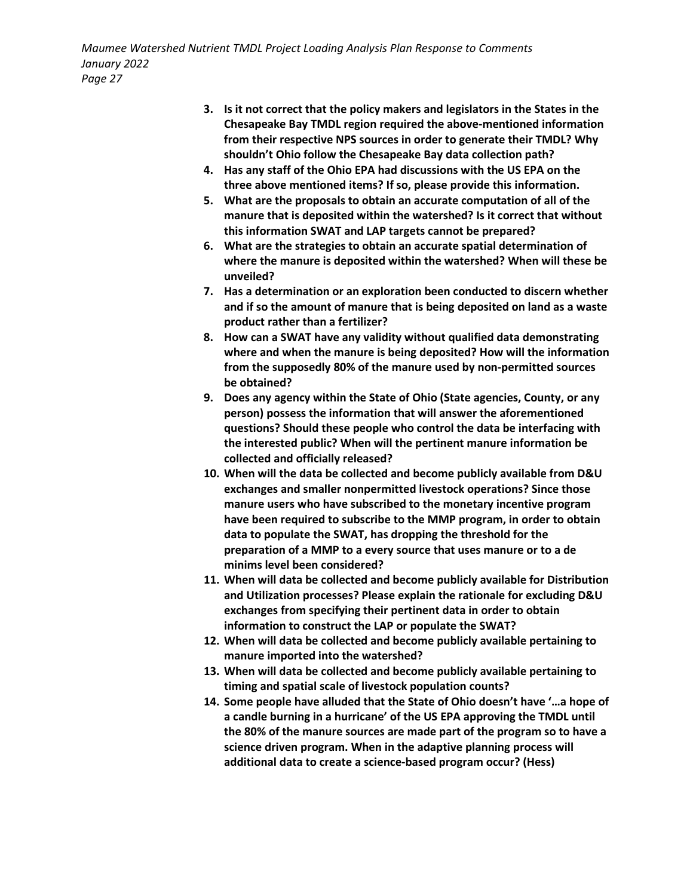- **3. Is it not correct that the policy makers and legislators in the States in the Chesapeake Bay TMDL region required the above-mentioned information from their respective NPS sources in order to generate their TMDL? Why shouldn't Ohio follow the Chesapeake Bay data collection path?**
- **4. Has any staff of the Ohio EPA had discussions with the US EPA on the three above mentioned items? If so, please provide this information.**
- **5. What are the proposals to obtain an accurate computation of all of the manure that is deposited within the watershed? Is it correct that without this information SWAT and LAP targets cannot be prepared?**
- **6. What are the strategies to obtain an accurate spatial determination of where the manure is deposited within the watershed? When will these be unveiled?**
- **7. Has a determination or an exploration been conducted to discern whether and if so the amount of manure that is being deposited on land as a waste product rather than a fertilizer?**
- **8. How can a SWAT have any validity without qualified data demonstrating where and when the manure is being deposited? How will the information from the supposedly 80% of the manure used by non-permitted sources be obtained?**
- **9. Does any agency within the State of Ohio (State agencies, County, or any person) possess the information that will answer the aforementioned questions? Should these people who control the data be interfacing with the interested public? When will the pertinent manure information be collected and officially released?**
- **10. When will the data be collected and become publicly available from D&U exchanges and smaller nonpermitted livestock operations? Since those manure users who have subscribed to the monetary incentive program have been required to subscribe to the MMP program, in order to obtain data to populate the SWAT, has dropping the threshold for the preparation of a MMP to a every source that uses manure or to a de minims level been considered?**
- **11. When will data be collected and become publicly available for Distribution and Utilization processes? Please explain the rationale for excluding D&U exchanges from specifying their pertinent data in order to obtain information to construct the LAP or populate the SWAT?**
- **12. When will data be collected and become publicly available pertaining to manure imported into the watershed?**
- **13. When will data be collected and become publicly available pertaining to timing and spatial scale of livestock population counts?**
- **14. Some people have alluded that the State of Ohio doesn't have '…a hope of a candle burning in a hurricane' of the US EPA approving the TMDL until the 80% of the manure sources are made part of the program so to have a science driven program. When in the adaptive planning process will additional data to create a science-based program occur? (Hess)**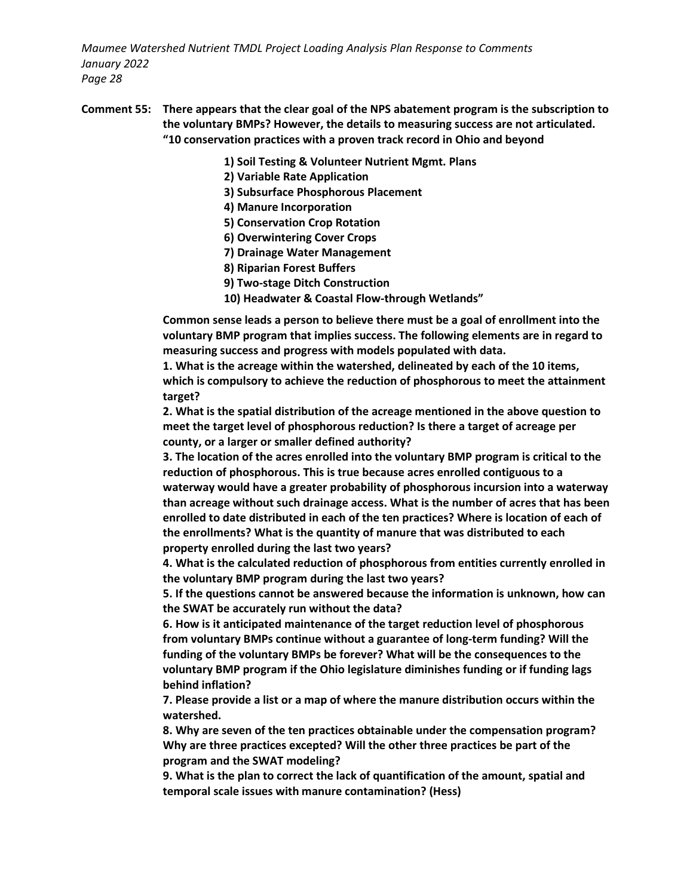- **Comment 55: There appears that the clear goal of the NPS abatement program is the subscription to the voluntary BMPs? However, the details to measuring success are not articulated. "10 conservation practices with a proven track record in Ohio and beyond**
	- **1) Soil Testing & Volunteer Nutrient Mgmt. Plans**
	- **2) Variable Rate Application**
	- **3) Subsurface Phosphorous Placement**
	- **4) Manure Incorporation**
	- **5) Conservation Crop Rotation**
	- **6) Overwintering Cover Crops**
	- **7) Drainage Water Management**
	- **8) Riparian Forest Buffers**
	- **9) Two-stage Ditch Construction**
	- **10) Headwater & Coastal Flow-through Wetlands"**

**Common sense leads a person to believe there must be a goal of enrollment into the voluntary BMP program that implies success. The following elements are in regard to measuring success and progress with models populated with data.**

**1. What is the acreage within the watershed, delineated by each of the 10 items, which is compulsory to achieve the reduction of phosphorous to meet the attainment target?**

**2. What is the spatial distribution of the acreage mentioned in the above question to meet the target level of phosphorous reduction? Is there a target of acreage per county, or a larger or smaller defined authority?**

**3. The location of the acres enrolled into the voluntary BMP program is critical to the reduction of phosphorous. This is true because acres enrolled contiguous to a waterway would have a greater probability of phosphorous incursion into a waterway than acreage without such drainage access. What is the number of acres that has been enrolled to date distributed in each of the ten practices? Where is location of each of the enrollments? What is the quantity of manure that was distributed to each property enrolled during the last two years?**

**4. What is the calculated reduction of phosphorous from entities currently enrolled in the voluntary BMP program during the last two years?**

**5. If the questions cannot be answered because the information is unknown, how can the SWAT be accurately run without the data?**

**6. How is it anticipated maintenance of the target reduction level of phosphorous from voluntary BMPs continue without a guarantee of long-term funding? Will the funding of the voluntary BMPs be forever? What will be the consequences to the voluntary BMP program if the Ohio legislature diminishes funding or if funding lags behind inflation?**

**7. Please provide a list or a map of where the manure distribution occurs within the watershed.**

**8. Why are seven of the ten practices obtainable under the compensation program? Why are three practices excepted? Will the other three practices be part of the program and the SWAT modeling?**

**9. What is the plan to correct the lack of quantification of the amount, spatial and temporal scale issues with manure contamination? (Hess)**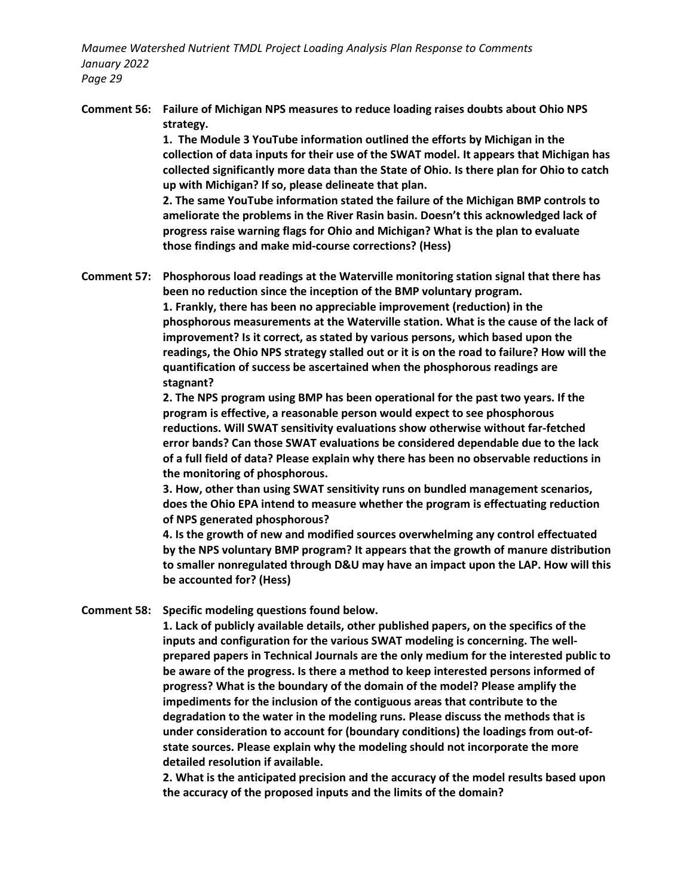**Comment 56: Failure of Michigan NPS measures to reduce loading raises doubts about Ohio NPS strategy.**

> **1. The Module 3 YouTube information outlined the efforts by Michigan in the collection of data inputs for their use of the SWAT model. It appears that Michigan has collected significantly more data than the State of Ohio. Is there plan for Ohio to catch up with Michigan? If so, please delineate that plan.**

**2. The same YouTube information stated the failure of the Michigan BMP controls to ameliorate the problems in the River Rasin basin. Doesn't this acknowledged lack of progress raise warning flags for Ohio and Michigan? What is the plan to evaluate those findings and make mid-course corrections? (Hess)**

**Comment 57: Phosphorous load readings at the Waterville monitoring station signal that there has been no reduction since the inception of the BMP voluntary program.**

> **1. Frankly, there has been no appreciable improvement (reduction) in the phosphorous measurements at the Waterville station. What is the cause of the lack of improvement? Is it correct, as stated by various persons, which based upon the readings, the Ohio NPS strategy stalled out or it is on the road to failure? How will the quantification of success be ascertained when the phosphorous readings are stagnant?**

**2. The NPS program using BMP has been operational for the past two years. If the program is effective, a reasonable person would expect to see phosphorous reductions. Will SWAT sensitivity evaluations show otherwise without far-fetched error bands? Can those SWAT evaluations be considered dependable due to the lack of a full field of data? Please explain why there has been no observable reductions in the monitoring of phosphorous.**

**3. How, other than using SWAT sensitivity runs on bundled management scenarios, does the Ohio EPA intend to measure whether the program is effectuating reduction of NPS generated phosphorous?**

**4. Is the growth of new and modified sources overwhelming any control effectuated by the NPS voluntary BMP program? It appears that the growth of manure distribution to smaller nonregulated through D&U may have an impact upon the LAP. How will this be accounted for? (Hess)**

**Comment 58: Specific modeling questions found below.**

**1. Lack of publicly available details, other published papers, on the specifics of the inputs and configuration for the various SWAT modeling is concerning. The wellprepared papers in Technical Journals are the only medium for the interested public to be aware of the progress. Is there a method to keep interested persons informed of progress? What is the boundary of the domain of the model? Please amplify the impediments for the inclusion of the contiguous areas that contribute to the degradation to the water in the modeling runs. Please discuss the methods that is under consideration to account for (boundary conditions) the loadings from out-ofstate sources. Please explain why the modeling should not incorporate the more detailed resolution if available.**

**2. What is the anticipated precision and the accuracy of the model results based upon the accuracy of the proposed inputs and the limits of the domain?**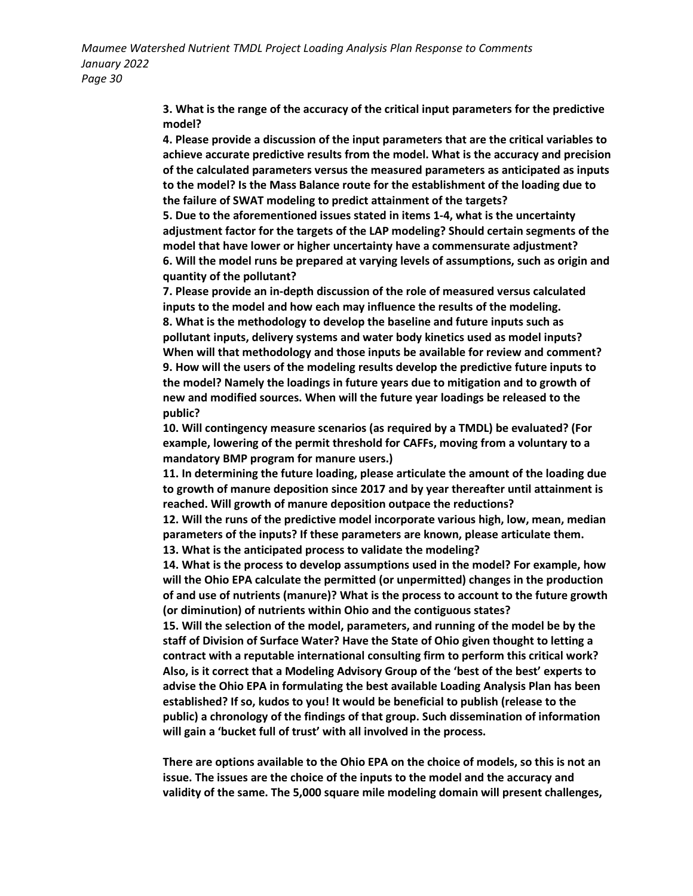> **3. What is the range of the accuracy of the critical input parameters for the predictive model?**

**4. Please provide a discussion of the input parameters that are the critical variables to achieve accurate predictive results from the model. What is the accuracy and precision of the calculated parameters versus the measured parameters as anticipated as inputs to the model? Is the Mass Balance route for the establishment of the loading due to the failure of SWAT modeling to predict attainment of the targets?**

**5. Due to the aforementioned issues stated in items 1-4, what is the uncertainty adjustment factor for the targets of the LAP modeling? Should certain segments of the model that have lower or higher uncertainty have a commensurate adjustment? 6. Will the model runs be prepared at varying levels of assumptions, such as origin and quantity of the pollutant?**

**7. Please provide an in-depth discussion of the role of measured versus calculated inputs to the model and how each may influence the results of the modeling. 8. What is the methodology to develop the baseline and future inputs such as pollutant inputs, delivery systems and water body kinetics used as model inputs? When will that methodology and those inputs be available for review and comment? 9. How will the users of the modeling results develop the predictive future inputs to the model? Namely the loadings in future years due to mitigation and to growth of new and modified sources. When will the future year loadings be released to the public?**

**10. Will contingency measure scenarios (as required by a TMDL) be evaluated? (For example, lowering of the permit threshold for CAFFs, moving from a voluntary to a mandatory BMP program for manure users.)**

**11. In determining the future loading, please articulate the amount of the loading due to growth of manure deposition since 2017 and by year thereafter until attainment is reached. Will growth of manure deposition outpace the reductions?**

**12. Will the runs of the predictive model incorporate various high, low, mean, median parameters of the inputs? If these parameters are known, please articulate them.**

**13. What is the anticipated process to validate the modeling?**

**14. What is the process to develop assumptions used in the model? For example, how will the Ohio EPA calculate the permitted (or unpermitted) changes in the production of and use of nutrients (manure)? What is the process to account to the future growth (or diminution) of nutrients within Ohio and the contiguous states?**

**15. Will the selection of the model, parameters, and running of the model be by the staff of Division of Surface Water? Have the State of Ohio given thought to letting a contract with a reputable international consulting firm to perform this critical work? Also, is it correct that a Modeling Advisory Group of the 'best of the best' experts to advise the Ohio EPA in formulating the best available Loading Analysis Plan has been established? If so, kudos to you! It would be beneficial to publish (release to the public) a chronology of the findings of that group. Such dissemination of information will gain a 'bucket full of trust' with all involved in the process.** 

**There are options available to the Ohio EPA on the choice of models, so this is not an issue. The issues are the choice of the inputs to the model and the accuracy and validity of the same. The 5,000 square mile modeling domain will present challenges,**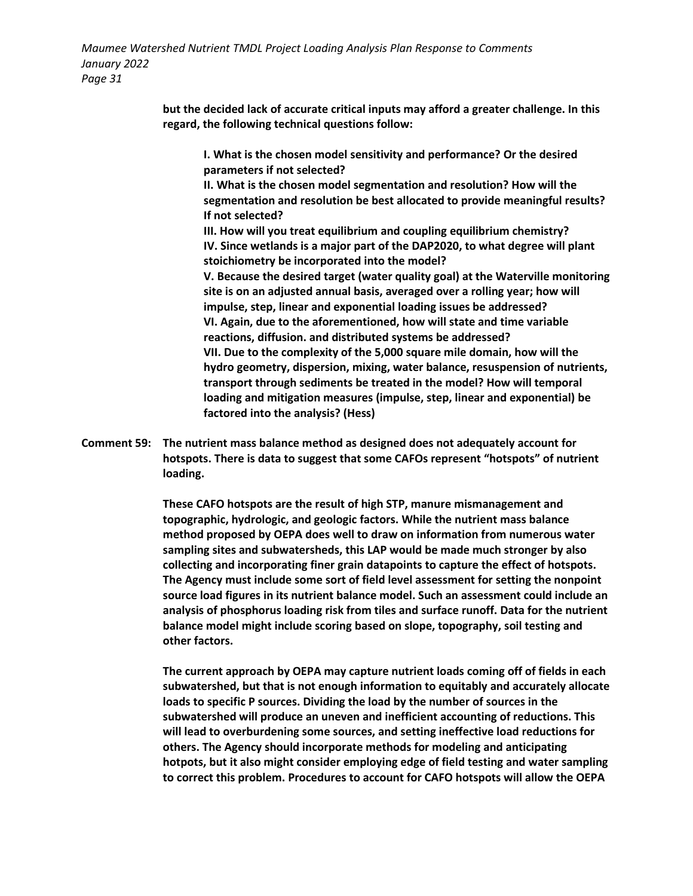> **but the decided lack of accurate critical inputs may afford a greater challenge. In this regard, the following technical questions follow:**

**I. What is the chosen model sensitivity and performance? Or the desired parameters if not selected?**

**II. What is the chosen model segmentation and resolution? How will the segmentation and resolution be best allocated to provide meaningful results? If not selected?**

**III. How will you treat equilibrium and coupling equilibrium chemistry? IV. Since wetlands is a major part of the DAP2020, to what degree will plant stoichiometry be incorporated into the model?**

**V. Because the desired target (water quality goal) at the Waterville monitoring site is on an adjusted annual basis, averaged over a rolling year; how will impulse, step, linear and exponential loading issues be addressed? VI. Again, due to the aforementioned, how will state and time variable reactions, diffusion. and distributed systems be addressed? VII. Due to the complexity of the 5,000 square mile domain, how will the hydro geometry, dispersion, mixing, water balance, resuspension of nutrients, transport through sediments be treated in the model? How will temporal loading and mitigation measures (impulse, step, linear and exponential) be factored into the analysis? (Hess)**

**Comment 59: The nutrient mass balance method as designed does not adequately account for hotspots. There is data to suggest that some CAFOs represent "hotspots" of nutrient loading.**

> **These CAFO hotspots are the result of high STP, manure mismanagement and topographic, hydrologic, and geologic factors. While the nutrient mass balance method proposed by OEPA does well to draw on information from numerous water sampling sites and subwatersheds, this LAP would be made much stronger by also collecting and incorporating finer grain datapoints to capture the effect of hotspots. The Agency must include some sort of field level assessment for setting the nonpoint source load figures in its nutrient balance model. Such an assessment could include an analysis of phosphorus loading risk from tiles and surface runoff. Data for the nutrient balance model might include scoring based on slope, topography, soil testing and other factors.**

> **The current approach by OEPA may capture nutrient loads coming off of fields in each subwatershed, but that is not enough information to equitably and accurately allocate loads to specific P sources. Dividing the load by the number of sources in the subwatershed will produce an uneven and inefficient accounting of reductions. This will lead to overburdening some sources, and setting ineffective load reductions for others. The Agency should incorporate methods for modeling and anticipating hotpots, but it also might consider employing edge of field testing and water sampling to correct this problem. Procedures to account for CAFO hotspots will allow the OEPA**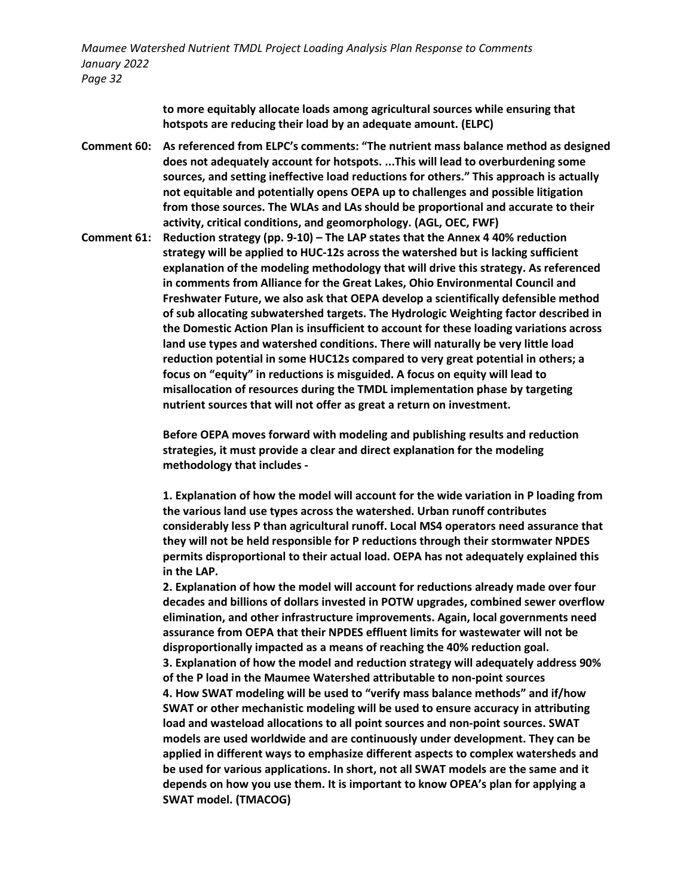> **to more equitably allocate loads among agricultural sources while ensuring that hotspots are reducing their load by an adequate amount. (ELPC)**

- **Comment 60: As referenced from ELPC's comments: "The nutrient mass balance method as designed does not adequately account for hotspots. ...This will lead to overburdening some sources, and setting ineffective load reductions for others." This approach is actually not equitable and potentially opens OEPA up to challenges and possible litigation from those sources. The WLAs and LAs should be proportional and accurate to their activity, critical conditions, and geomorphology. (AGL, OEC, FWF)**
- **Comment 61: Reduction strategy (pp. 9-10) – The LAP states that the Annex 4 40% reduction strategy will be applied to HUC-12s across the watershed but is lacking sufficient explanation of the modeling methodology that will drive this strategy. As referenced in comments from Alliance for the Great Lakes, Ohio Environmental Council and Freshwater Future, we also ask that OEPA develop a scientifically defensible method of sub allocating subwatershed targets. The Hydrologic Weighting factor described in the Domestic Action Plan is insufficient to account for these loading variations across land use types and watershed conditions. There will naturally be very little load reduction potential in some HUC12s compared to very great potential in others; a focus on "equity" in reductions is misguided. A focus on equity will lead to misallocation of resources during the TMDL implementation phase by targeting nutrient sources that will not offer as great a return on investment.**

**Before OEPA moves forward with modeling and publishing results and reduction strategies, it must provide a clear and direct explanation for the modeling methodology that includes -**

**1. Explanation of how the model will account for the wide variation in P loading from the various land use types across the watershed. Urban runoff contributes considerably less P than agricultural runoff. Local MS4 operators need assurance that they will not be held responsible for P reductions through their stormwater NPDES permits disproportional to their actual load. OEPA has not adequately explained this in the LAP.** 

**2. Explanation of how the model will account for reductions already made over four decades and billions of dollars invested in POTW upgrades, combined sewer overflow elimination, and other infrastructure improvements. Again, local governments need assurance from OEPA that their NPDES effluent limits for wastewater will not be disproportionally impacted as a means of reaching the 40% reduction goal. 3. Explanation of how the model and reduction strategy will adequately address 90% of the P load in the Maumee Watershed attributable to non-point sources 4. How SWAT modeling will be used to "verify mass balance methods" and if/how SWAT or other mechanistic modeling will be used to ensure accuracy in attributing load and wasteload allocations to all point sources and non-point sources. SWAT models are used worldwide and are continuously under development. They can be applied in different ways to emphasize different aspects to complex watersheds and be used for various applications. In short, not all SWAT models are the same and it depends on how you use them. It is important to know OPEA's plan for applying a SWAT model. (TMACOG)**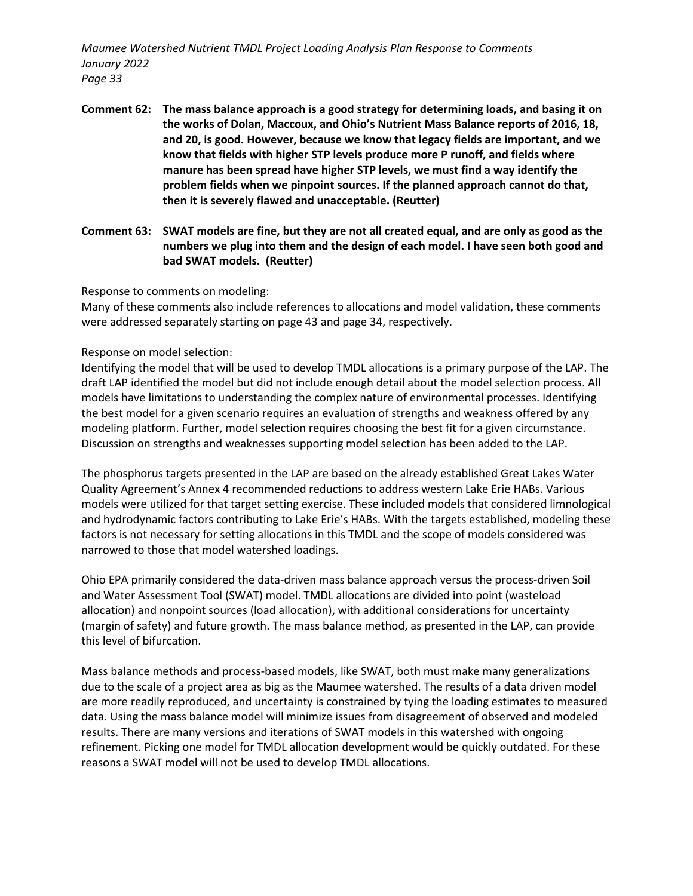- **Comment 62: The mass balance approach is a good strategy for determining loads, and basing it on the works of Dolan, Maccoux, and Ohio's Nutrient Mass Balance reports of 2016, 18, and 20, is good. However, because we know that legacy fields are important, and we know that fields with higher STP levels produce more P runoff, and fields where manure has been spread have higher STP levels, we must find a way identify the problem fields when we pinpoint sources. If the planned approach cannot do that, then it is severely flawed and unacceptable. (Reutter)**
- **Comment 63: SWAT models are fine, but they are not all created equal, and are only as good as the numbers we plug into them and the design of each model. I have seen both good and bad SWAT models. (Reutter)**

#### Response to comments on modeling:

Many of these comments also include references to allocations and model validation, these comments were addressed separately starting on page 43 and page 34, respectively.

### Response on model selection:

Identifying the model that will be used to develop TMDL allocations is a primary purpose of the LAP. The draft LAP identified the model but did not include enough detail about the model selection process. All models have limitations to understanding the complex nature of environmental processes. Identifying the best model for a given scenario requires an evaluation of strengths and weakness offered by any modeling platform. Further, model selection requires choosing the best fit for a given circumstance. Discussion on strengths and weaknesses supporting model selection has been added to the LAP.

The phosphorus targets presented in the LAP are based on the already established Great Lakes Water Quality Agreement's Annex 4 recommended reductions to address western Lake Erie HABs. Various models were utilized for that target setting exercise. These included models that considered limnological and hydrodynamic factors contributing to Lake Erie's HABs. With the targets established, modeling these factors is not necessary for setting allocations in this TMDL and the scope of models considered was narrowed to those that model watershed loadings.

Ohio EPA primarily considered the data-driven mass balance approach versus the process-driven Soil and Water Assessment Tool (SWAT) model. TMDL allocations are divided into point (wasteload allocation) and nonpoint sources (load allocation), with additional considerations for uncertainty (margin of safety) and future growth. The mass balance method, as presented in the LAP, can provide this level of bifurcation.

Mass balance methods and process-based models, like SWAT, both must make many generalizations due to the scale of a project area as big as the Maumee watershed. The results of a data driven model are more readily reproduced, and uncertainty is constrained by tying the loading estimates to measured data. Using the mass balance model will minimize issues from disagreement of observed and modeled results. There are many versions and iterations of SWAT models in this watershed with ongoing refinement. Picking one model for TMDL allocation development would be quickly outdated. For these reasons a SWAT model will not be used to develop TMDL allocations.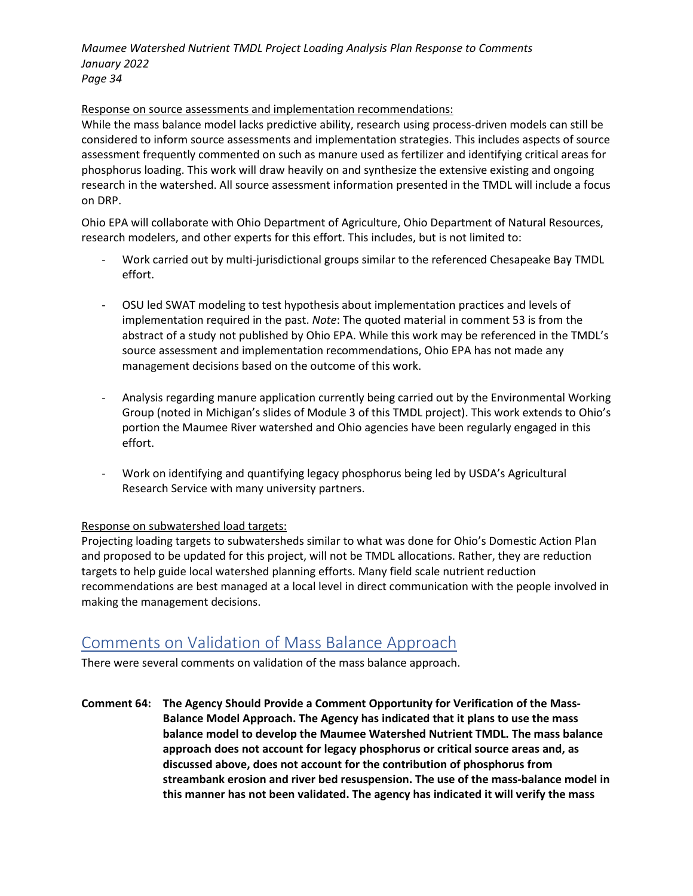### Response on source assessments and implementation recommendations:

While the mass balance model lacks predictive ability, research using process-driven models can still be considered to inform source assessments and implementation strategies. This includes aspects of source assessment frequently commented on such as manure used as fertilizer and identifying critical areas for phosphorus loading. This work will draw heavily on and synthesize the extensive existing and ongoing research in the watershed. All source assessment information presented in the TMDL will include a focus on DRP.

Ohio EPA will collaborate with Ohio Department of Agriculture, Ohio Department of Natural Resources, research modelers, and other experts for this effort. This includes, but is not limited to:

- Work carried out by multi-jurisdictional groups similar to the referenced Chesapeake Bay TMDL effort.
- OSU led SWAT modeling to test hypothesis about implementation practices and levels of implementation required in the past. *Note*: The quoted material in comment 53 is from the abstract of a study not published by Ohio EPA. While this work may be referenced in the TMDL's source assessment and implementation recommendations, Ohio EPA has not made any management decisions based on the outcome of this work.
- Analysis regarding manure application currently being carried out by the Environmental Working Group (noted in Michigan's slides of Module 3 of this TMDL project). This work extends to Ohio's portion the Maumee River watershed and Ohio agencies have been regularly engaged in this effort.
- Work on identifying and quantifying legacy phosphorus being led by USDA's Agricultural Research Service with many university partners.

### Response on subwatershed load targets:

Projecting loading targets to subwatersheds similar to what was done for Ohio's Domestic Action Plan and proposed to be updated for this project, will not be TMDL allocations. Rather, they are reduction targets to help guide local watershed planning efforts. Many field scale nutrient reduction recommendations are best managed at a local level in direct communication with the people involved in making the management decisions.

### Comments on Validation of Mass Balance Approach

There were several comments on validation of the mass balance approach.

**Comment 64: The Agency Should Provide a Comment Opportunity for Verification of the Mass-Balance Model Approach. The Agency has indicated that it plans to use the mass balance model to develop the Maumee Watershed Nutrient TMDL. The mass balance approach does not account for legacy phosphorus or critical source areas and, as discussed above, does not account for the contribution of phosphorus from streambank erosion and river bed resuspension. The use of the mass-balance model in this manner has not been validated. The agency has indicated it will verify the mass**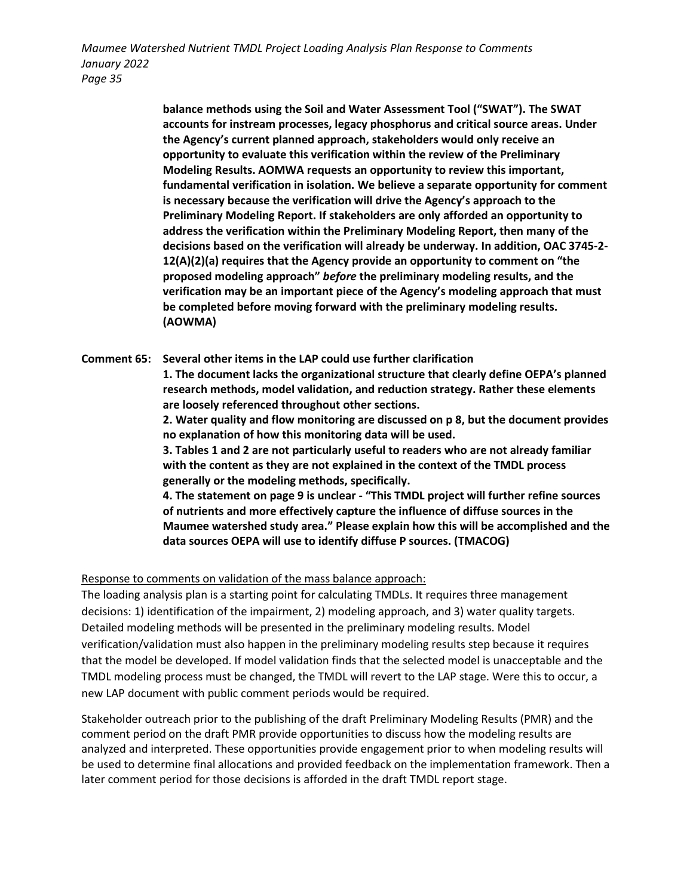> **balance methods using the Soil and Water Assessment Tool ("SWAT"). The SWAT accounts for instream processes, legacy phosphorus and critical source areas. Under the Agency's current planned approach, stakeholders would only receive an opportunity to evaluate this verification within the review of the Preliminary Modeling Results. AOMWA requests an opportunity to review this important, fundamental verification in isolation. We believe a separate opportunity for comment is necessary because the verification will drive the Agency's approach to the Preliminary Modeling Report. If stakeholders are only afforded an opportunity to address the verification within the Preliminary Modeling Report, then many of the decisions based on the verification will already be underway. In addition, OAC 3745-2- 12(A)(2)(a) requires that the Agency provide an opportunity to comment on "the proposed modeling approach"** *before* **the preliminary modeling results, and the verification may be an important piece of the Agency's modeling approach that must be completed before moving forward with the preliminary modeling results. (AOWMA)**

**Comment 65: Several other items in the LAP could use further clarification 1. The document lacks the organizational structure that clearly define OEPA's planned research methods, model validation, and reduction strategy. Rather these elements are loosely referenced throughout other sections.** 

> **2. Water quality and flow monitoring are discussed on p 8, but the document provides no explanation of how this monitoring data will be used.**

**3. Tables 1 and 2 are not particularly useful to readers who are not already familiar with the content as they are not explained in the context of the TMDL process generally or the modeling methods, specifically.** 

**4. The statement on page 9 is unclear - "This TMDL project will further refine sources of nutrients and more effectively capture the influence of diffuse sources in the Maumee watershed study area." Please explain how this will be accomplished and the data sources OEPA will use to identify diffuse P sources. (TMACOG)**

Response to comments on validation of the mass balance approach:

The loading analysis plan is a starting point for calculating TMDLs. It requires three management decisions: 1) identification of the impairment, 2) modeling approach, and 3) water quality targets. Detailed modeling methods will be presented in the preliminary modeling results. Model verification/validation must also happen in the preliminary modeling results step because it requires that the model be developed. If model validation finds that the selected model is unacceptable and the TMDL modeling process must be changed, the TMDL will revert to the LAP stage. Were this to occur, a new LAP document with public comment periods would be required.

Stakeholder outreach prior to the publishing of the draft Preliminary Modeling Results (PMR) and the comment period on the draft PMR provide opportunities to discuss how the modeling results are analyzed and interpreted. These opportunities provide engagement prior to when modeling results will be used to determine final allocations and provided feedback on the implementation framework. Then a later comment period for those decisions is afforded in the draft TMDL report stage.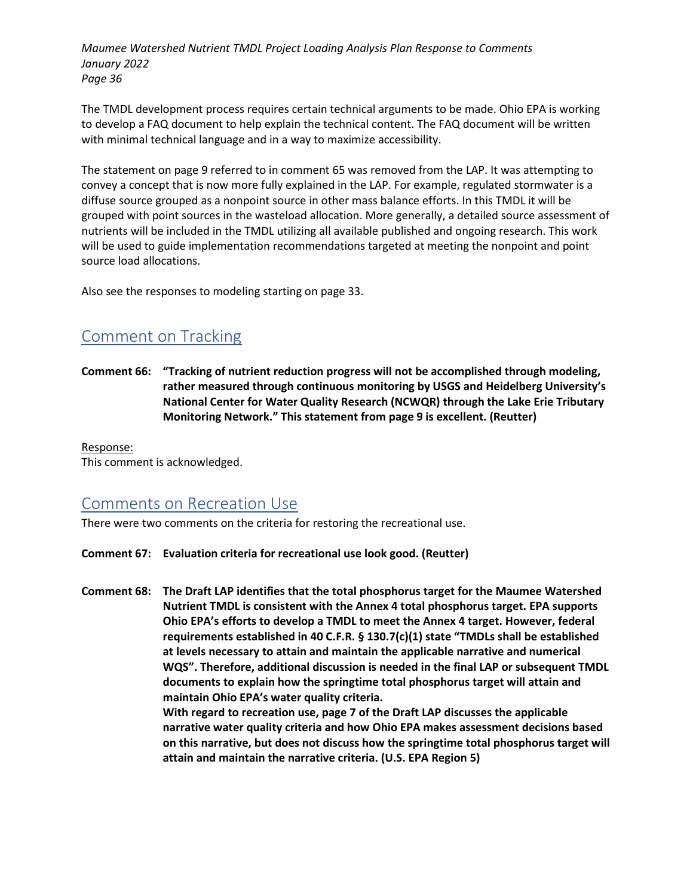The TMDL development process requires certain technical arguments to be made. Ohio EPA is working to develop a FAQ document to help explain the technical content. The FAQ document will be written with minimal technical language and in a way to maximize accessibility.

The statement on page 9 referred to in comment 65 was removed from the LAP. It was attempting to convey a concept that is now more fully explained in the LAP. For example, regulated stormwater is a diffuse source grouped as a nonpoint source in other mass balance efforts. In this TMDL it will be grouped with point sources in the wasteload allocation. More generally, a detailed source assessment of nutrients will be included in the TMDL utilizing all available published and ongoing research. This work will be used to guide implementation recommendations targeted at meeting the nonpoint and point source load allocations.

Also see the responses to modeling starting on page 33.

# Comment on Tracking

**Comment 66: "Tracking of nutrient reduction progress will not be accomplished through modeling, rather measured through continuous monitoring by USGS and Heidelberg University's National Center for Water Quality Research (NCWQR) through the Lake Erie Tributary Monitoring Network." This statement from page 9 is excellent. (Reutter)**

Response: This comment is acknowledged.

### Comments on Recreation Use

There were two comments on the criteria for restoring the recreational use.

**Comment 67: Evaluation criteria for recreational use look good. (Reutter)**

**Comment 68: The Draft LAP identifies that the total phosphorus target for the Maumee Watershed Nutrient TMDL is consistent with the Annex 4 total phosphorus target. EPA supports Ohio EPA's efforts to develop a TMDL to meet the Annex 4 target. However, federal requirements established in 40 C.F.R. § 130.7(c)(1) state "TMDLs shall be established at levels necessary to attain and maintain the applicable narrative and numerical WQS". Therefore, additional discussion is needed in the final LAP or subsequent TMDL documents to explain how the springtime total phosphorus target will attain and maintain Ohio EPA's water quality criteria. With regard to recreation use, page 7 of the Draft LAP discusses the applicable narrative water quality criteria and how Ohio EPA makes assessment decisions based on this narrative, but does not discuss how the springtime total phosphorus target will attain and maintain the narrative criteria. (U.S. EPA Region 5)**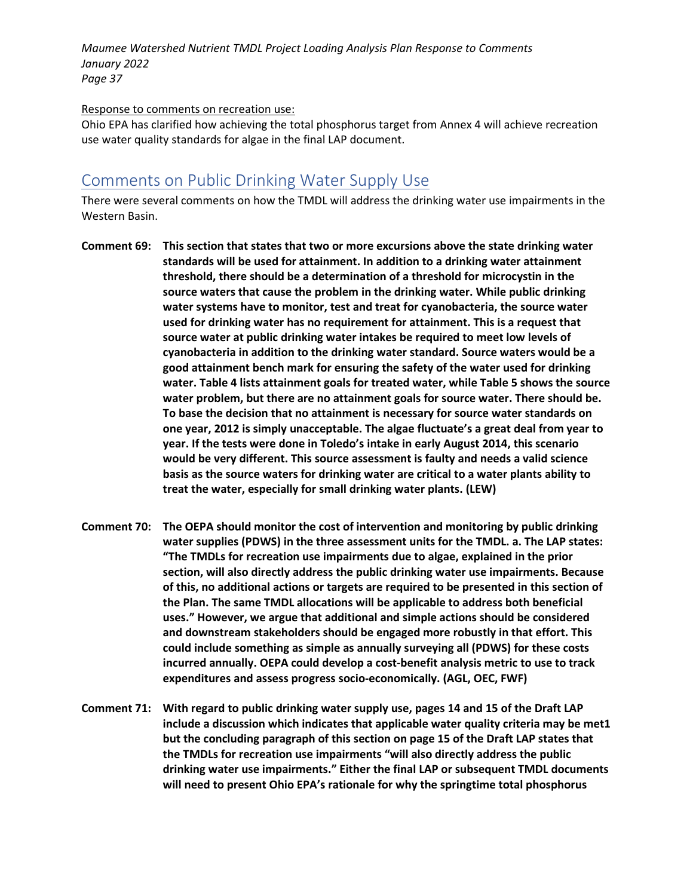### Response to comments on recreation use:

Ohio EPA has clarified how achieving the total phosphorus target from Annex 4 will achieve recreation use water quality standards for algae in the final LAP document.

### Comments on Public Drinking Water Supply Use

There were several comments on how the TMDL will address the drinking water use impairments in the Western Basin.

- **Comment 69: This section that states that two or more excursions above the state drinking water standards will be used for attainment. In addition to a drinking water attainment threshold, there should be a determination of a threshold for microcystin in the source waters that cause the problem in the drinking water. While public drinking water systems have to monitor, test and treat for cyanobacteria, the source water used for drinking water has no requirement for attainment. This is a request that source water at public drinking water intakes be required to meet low levels of cyanobacteria in addition to the drinking water standard. Source waters would be a good attainment bench mark for ensuring the safety of the water used for drinking water. Table 4 lists attainment goals for treated water, while Table 5 shows the source water problem, but there are no attainment goals for source water. There should be. To base the decision that no attainment is necessary for source water standards on one year, 2012 is simply unacceptable. The algae fluctuate's a great deal from year to year. If the tests were done in Toledo's intake in early August 2014, this scenario would be very different. This source assessment is faulty and needs a valid science basis as the source waters for drinking water are critical to a water plants ability to treat the water, especially for small drinking water plants. (LEW)**
- **Comment 70: The OEPA should monitor the cost of intervention and monitoring by public drinking water supplies (PDWS) in the three assessment units for the TMDL. a. The LAP states: "The TMDLs for recreation use impairments due to algae, explained in the prior section, will also directly address the public drinking water use impairments. Because of this, no additional actions or targets are required to be presented in this section of the Plan. The same TMDL allocations will be applicable to address both beneficial uses." However, we argue that additional and simple actions should be considered and downstream stakeholders should be engaged more robustly in that effort. This could include something as simple as annually surveying all (PDWS) for these costs incurred annually. OEPA could develop a cost-benefit analysis metric to use to track expenditures and assess progress socio-economically. (AGL, OEC, FWF)**
- **Comment 71: With regard to public drinking water supply use, pages 14 and 15 of the Draft LAP include a discussion which indicates that applicable water quality criteria may be met1 but the concluding paragraph of this section on page 15 of the Draft LAP states that the TMDLs for recreation use impairments "will also directly address the public drinking water use impairments." Either the final LAP or subsequent TMDL documents will need to present Ohio EPA's rationale for why the springtime total phosphorus**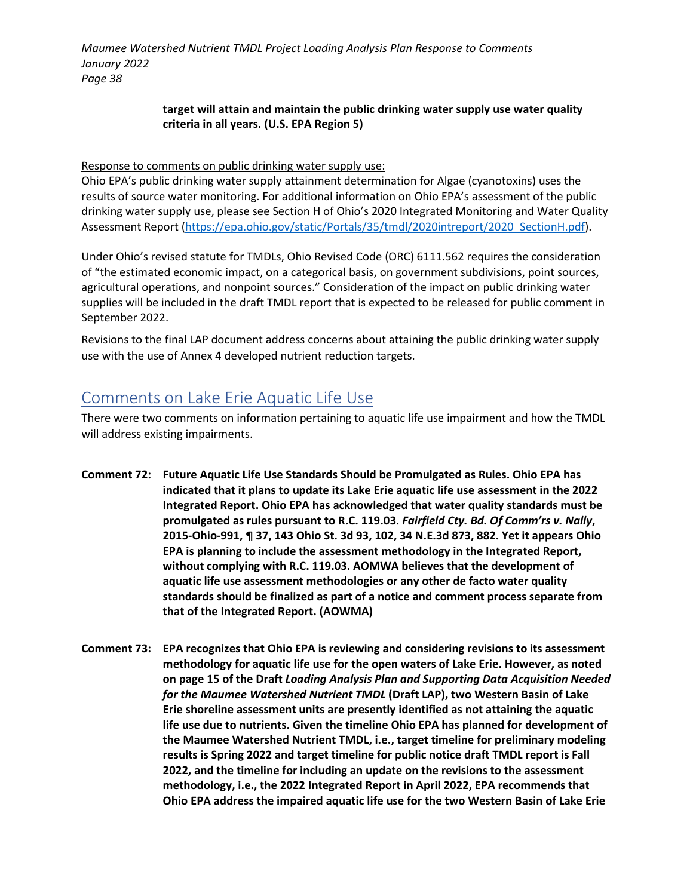### **target will attain and maintain the public drinking water supply use water quality criteria in all years. (U.S. EPA Region 5)**

Response to comments on public drinking water supply use:

Ohio EPA's public drinking water supply attainment determination for Algae (cyanotoxins) uses the results of source water monitoring. For additional information on Ohio EPA's assessment of the public drinking water supply use, please see Section H of Ohio's 2020 Integrated Monitoring and Water Quality Assessment Report [\(https://epa.ohio.gov/static/Portals/35/tmdl/2020intreport/2020\\_SectionH.pdf\)](https://epa.ohio.gov/static/Portals/35/tmdl/2020intreport/2020_SectionH.pdf).

Under Ohio's revised statute for TMDLs, Ohio Revised Code (ORC) 6111.562 requires the consideration of "the estimated economic impact, on a categorical basis, on government subdivisions, point sources, agricultural operations, and nonpoint sources." Consideration of the impact on public drinking water supplies will be included in the draft TMDL report that is expected to be released for public comment in September 2022.

Revisions to the final LAP document address concerns about attaining the public drinking water supply use with the use of Annex 4 developed nutrient reduction targets.

### Comments on Lake Erie Aquatic Life Use

There were two comments on information pertaining to aquatic life use impairment and how the TMDL will address existing impairments.

- **Comment 72: Future Aquatic Life Use Standards Should be Promulgated as Rules. Ohio EPA has indicated that it plans to update its Lake Erie aquatic life use assessment in the 2022 Integrated Report. Ohio EPA has acknowledged that water quality standards must be promulgated as rules pursuant to R.C. 119.03.** *Fairfield Cty. Bd. Of Comm'rs v. Nally***, 2015-Ohio-991, ¶ 37, 143 Ohio St. 3d 93, 102, 34 N.E.3d 873, 882. Yet it appears Ohio EPA is planning to include the assessment methodology in the Integrated Report, without complying with R.C. 119.03. AOMWA believes that the development of aquatic life use assessment methodologies or any other de facto water quality standards should be finalized as part of a notice and comment process separate from that of the Integrated Report. (AOWMA)**
- **Comment 73: EPA recognizes that Ohio EPA is reviewing and considering revisions to its assessment methodology for aquatic life use for the open waters of Lake Erie. However, as noted on page 15 of the Draft** *Loading Analysis Plan and Supporting Data Acquisition Needed for the Maumee Watershed Nutrient TMDL* **(Draft LAP), two Western Basin of Lake Erie shoreline assessment units are presently identified as not attaining the aquatic life use due to nutrients. Given the timeline Ohio EPA has planned for development of the Maumee Watershed Nutrient TMDL, i.e., target timeline for preliminary modeling results is Spring 2022 and target timeline for public notice draft TMDL report is Fall 2022, and the timeline for including an update on the revisions to the assessment methodology, i.e., the 2022 Integrated Report in April 2022, EPA recommends that Ohio EPA address the impaired aquatic life use for the two Western Basin of Lake Erie**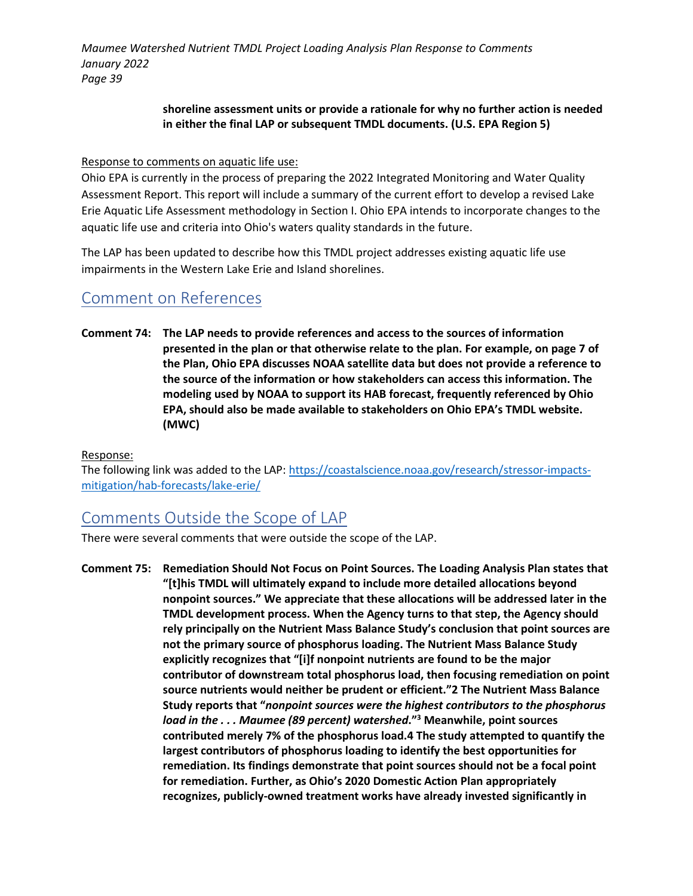### **shoreline assessment units or provide a rationale for why no further action is needed in either the final LAP or subsequent TMDL documents. (U.S. EPA Region 5)**

### Response to comments on aquatic life use:

Ohio EPA is currently in the process of preparing the 2022 Integrated Monitoring and Water Quality Assessment Report. This report will include a summary of the current effort to develop a revised Lake Erie Aquatic Life Assessment methodology in Section I. Ohio EPA intends to incorporate changes to the aquatic life use and criteria into Ohio's waters quality standards in the future.

The LAP has been updated to describe how this TMDL project addresses existing aquatic life use impairments in the Western Lake Erie and Island shorelines.

### Comment on References

**Comment 74: The LAP needs to provide references and access to the sources of information presented in the plan or that otherwise relate to the plan. For example, on page 7 of the Plan, Ohio EPA discusses NOAA satellite data but does not provide a reference to the source of the information or how stakeholders can access this information. The modeling used by NOAA to support its HAB forecast, frequently referenced by Ohio EPA, should also be made available to stakeholders on Ohio EPA's TMDL website. (MWC)**

### Response:

The following link was added to the LAP: [https://coastalscience.noaa.gov/research/stressor-impacts](https://coastalscience.noaa.gov/research/stressor-impacts-mitigation/hab-forecasts/lake-erie/)[mitigation/hab-forecasts/lake-erie/](https://coastalscience.noaa.gov/research/stressor-impacts-mitigation/hab-forecasts/lake-erie/)

# Comments Outside the Scope of LAP

There were several comments that were outside the scope of the LAP.

**Comment 75: Remediation Should Not Focus on Point Sources. The Loading Analysis Plan states that "[t]his TMDL will ultimately expand to include more detailed allocations beyond nonpoint sources." We appreciate that these allocations will be addressed later in the TMDL development process. When the Agency turns to that step, the Agency should rely principally on the Nutrient Mass Balance Study's conclusion that point sources are not the primary source of phosphorus loading. The Nutrient Mass Balance Study explicitly recognizes that "[i]f nonpoint nutrients are found to be the major contributor of downstream total phosphorus load, then focusing remediation on point source nutrients would neither be prudent or efficient."2 The Nutrient Mass Balance Study reports that "***nonpoint sources were the highest contributors to the phosphorus load in the . . . Maumee (89 percent) watershed***."3 Meanwhile, point sources contributed merely 7% of the phosphorus load.4 The study attempted to quantify the largest contributors of phosphorus loading to identify the best opportunities for remediation. Its findings demonstrate that point sources should not be a focal point for remediation. Further, as Ohio's 2020 Domestic Action Plan appropriately recognizes, publicly-owned treatment works have already invested significantly in**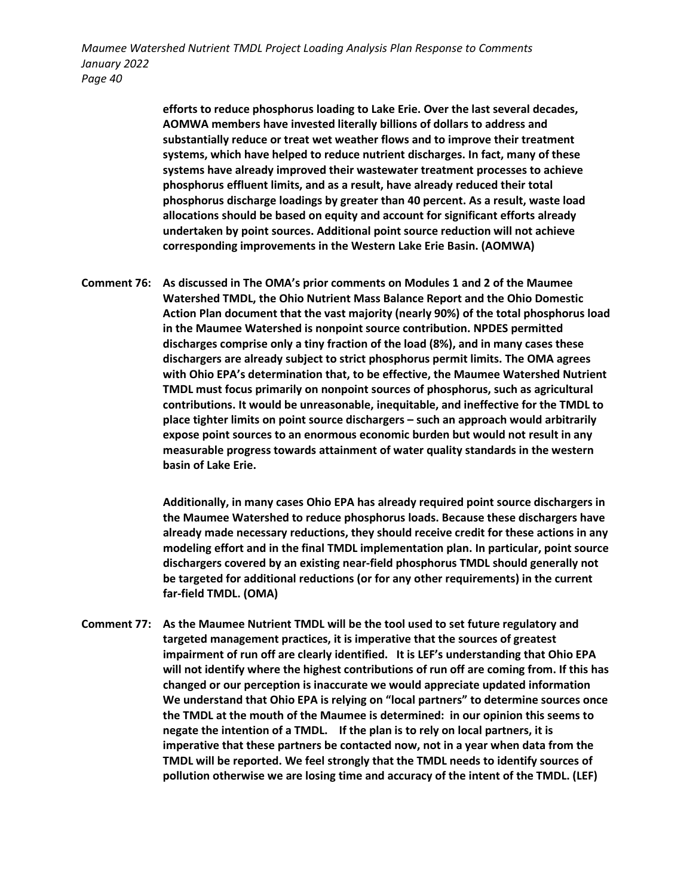> **efforts to reduce phosphorus loading to Lake Erie. Over the last several decades, AOMWA members have invested literally billions of dollars to address and substantially reduce or treat wet weather flows and to improve their treatment systems, which have helped to reduce nutrient discharges. In fact, many of these systems have already improved their wastewater treatment processes to achieve phosphorus effluent limits, and as a result, have already reduced their total phosphorus discharge loadings by greater than 40 percent. As a result, waste load allocations should be based on equity and account for significant efforts already undertaken by point sources. Additional point source reduction will not achieve corresponding improvements in the Western Lake Erie Basin. (AOMWA)**

**Comment 76: As discussed in The OMA's prior comments on Modules 1 and 2 of the Maumee Watershed TMDL, the Ohio Nutrient Mass Balance Report and the Ohio Domestic Action Plan document that the vast majority (nearly 90%) of the total phosphorus load in the Maumee Watershed is nonpoint source contribution. NPDES permitted discharges comprise only a tiny fraction of the load (8%), and in many cases these dischargers are already subject to strict phosphorus permit limits. The OMA agrees with Ohio EPA's determination that, to be effective, the Maumee Watershed Nutrient TMDL must focus primarily on nonpoint sources of phosphorus, such as agricultural contributions. It would be unreasonable, inequitable, and ineffective for the TMDL to place tighter limits on point source dischargers – such an approach would arbitrarily expose point sources to an enormous economic burden but would not result in any measurable progress towards attainment of water quality standards in the western basin of Lake Erie.** 

> **Additionally, in many cases Ohio EPA has already required point source dischargers in the Maumee Watershed to reduce phosphorus loads. Because these dischargers have already made necessary reductions, they should receive credit for these actions in any modeling effort and in the final TMDL implementation plan. In particular, point source dischargers covered by an existing near-field phosphorus TMDL should generally not be targeted for additional reductions (or for any other requirements) in the current far-field TMDL. (OMA)**

**Comment 77: As the Maumee Nutrient TMDL will be the tool used to set future regulatory and targeted management practices, it is imperative that the sources of greatest impairment of run off are clearly identified. It is LEF's understanding that Ohio EPA will not identify where the highest contributions of run off are coming from. If this has changed or our perception is inaccurate we would appreciate updated information We understand that Ohio EPA is relying on "local partners" to determine sources once the TMDL at the mouth of the Maumee is determined: in our opinion this seems to negate the intention of a TMDL. If the plan is to rely on local partners, it is imperative that these partners be contacted now, not in a year when data from the TMDL will be reported. We feel strongly that the TMDL needs to identify sources of pollution otherwise we are losing time and accuracy of the intent of the TMDL. (LEF)**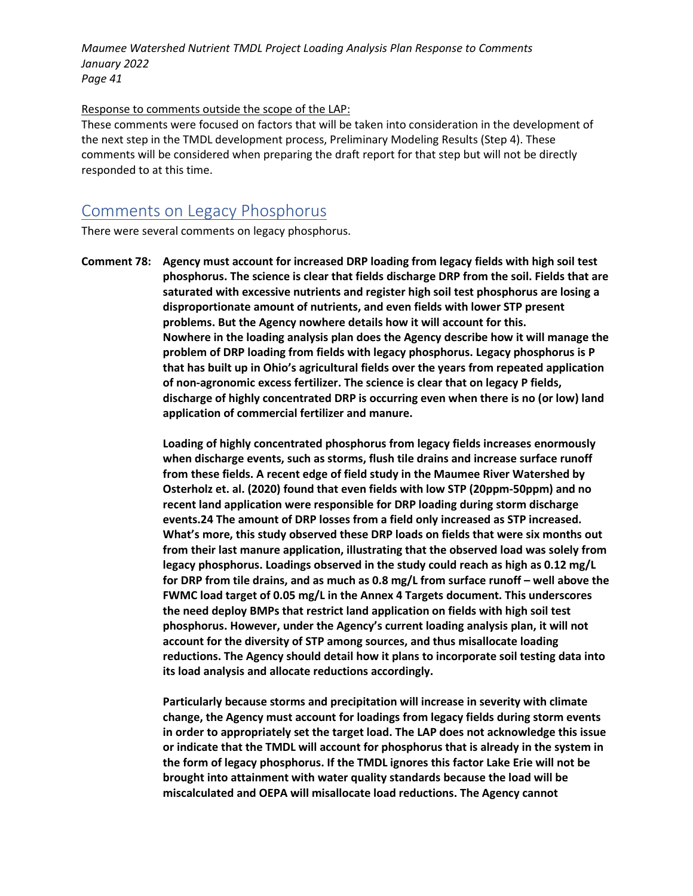### Response to comments outside the scope of the LAP:

These comments were focused on factors that will be taken into consideration in the development of the next step in the TMDL development process, Preliminary Modeling Results (Step 4). These comments will be considered when preparing the draft report for that step but will not be directly responded to at this time.

### Comments on Legacy Phosphorus

There were several comments on legacy phosphorus.

**Comment 78: Agency must account for increased DRP loading from legacy fields with high soil test phosphorus. The science is clear that fields discharge DRP from the soil. Fields that are saturated with excessive nutrients and register high soil test phosphorus are losing a disproportionate amount of nutrients, and even fields with lower STP present problems. But the Agency nowhere details how it will account for this. Nowhere in the loading analysis plan does the Agency describe how it will manage the problem of DRP loading from fields with legacy phosphorus. Legacy phosphorus is P that has built up in Ohio's agricultural fields over the years from repeated application of non-agronomic excess fertilizer. The science is clear that on legacy P fields, discharge of highly concentrated DRP is occurring even when there is no (or low) land application of commercial fertilizer and manure.**

> **Loading of highly concentrated phosphorus from legacy fields increases enormously when discharge events, such as storms, flush tile drains and increase surface runoff from these fields. A recent edge of field study in the Maumee River Watershed by Osterholz et. al. (2020) found that even fields with low STP (20ppm-50ppm) and no recent land application were responsible for DRP loading during storm discharge events.24 The amount of DRP losses from a field only increased as STP increased. What's more, this study observed these DRP loads on fields that were six months out from their last manure application, illustrating that the observed load was solely from legacy phosphorus. Loadings observed in the study could reach as high as 0.12 mg/L for DRP from tile drains, and as much as 0.8 mg/L from surface runoff – well above the FWMC load target of 0.05 mg/L in the Annex 4 Targets document. This underscores the need deploy BMPs that restrict land application on fields with high soil test phosphorus. However, under the Agency's current loading analysis plan, it will not account for the diversity of STP among sources, and thus misallocate loading reductions. The Agency should detail how it plans to incorporate soil testing data into its load analysis and allocate reductions accordingly.**

> **Particularly because storms and precipitation will increase in severity with climate change, the Agency must account for loadings from legacy fields during storm events in order to appropriately set the target load. The LAP does not acknowledge this issue or indicate that the TMDL will account for phosphorus that is already in the system in the form of legacy phosphorus. If the TMDL ignores this factor Lake Erie will not be brought into attainment with water quality standards because the load will be miscalculated and OEPA will misallocate load reductions. The Agency cannot**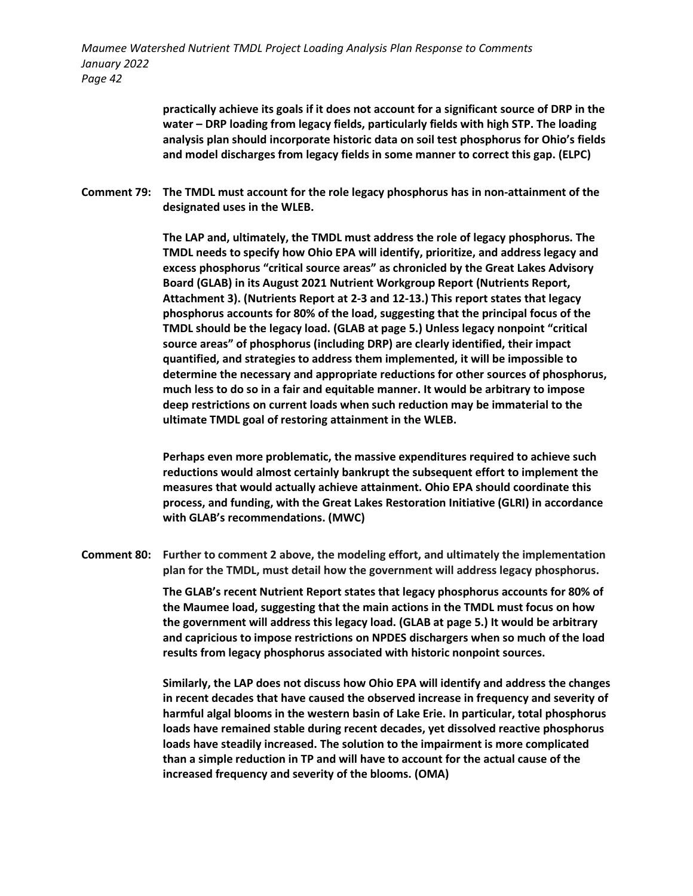> **practically achieve its goals if it does not account for a significant source of DRP in the water – DRP loading from legacy fields, particularly fields with high STP. The loading analysis plan should incorporate historic data on soil test phosphorus for Ohio's fields and model discharges from legacy fields in some manner to correct this gap. (ELPC)**

**Comment 79: The TMDL must account for the role legacy phosphorus has in non-attainment of the designated uses in the WLEB.** 

> **The LAP and, ultimately, the TMDL must address the role of legacy phosphorus. The TMDL needs to specify how Ohio EPA will identify, prioritize, and address legacy and excess phosphorus "critical source areas" as chronicled by the Great Lakes Advisory Board (GLAB) in its August 2021 Nutrient Workgroup Report (Nutrients Report, Attachment 3). (Nutrients Report at 2-3 and 12-13.) This report states that legacy phosphorus accounts for 80% of the load, suggesting that the principal focus of the TMDL should be the legacy load. (GLAB at page 5.) Unless legacy nonpoint "critical source areas" of phosphorus (including DRP) are clearly identified, their impact quantified, and strategies to address them implemented, it will be impossible to determine the necessary and appropriate reductions for other sources of phosphorus, much less to do so in a fair and equitable manner. It would be arbitrary to impose deep restrictions on current loads when such reduction may be immaterial to the ultimate TMDL goal of restoring attainment in the WLEB.**

> **Perhaps even more problematic, the massive expenditures required to achieve such reductions would almost certainly bankrupt the subsequent effort to implement the measures that would actually achieve attainment. Ohio EPA should coordinate this process, and funding, with the Great Lakes Restoration Initiative (GLRI) in accordance with GLAB's recommendations. (MWC)**

**Comment 80: Further to comment 2 above, the modeling effort, and ultimately the implementation plan for the TMDL, must detail how the government will address legacy phosphorus.** 

> **The GLAB's recent Nutrient Report states that legacy phosphorus accounts for 80% of the Maumee load, suggesting that the main actions in the TMDL must focus on how the government will address this legacy load. (GLAB at page 5.) It would be arbitrary and capricious to impose restrictions on NPDES dischargers when so much of the load results from legacy phosphorus associated with historic nonpoint sources.**

**Similarly, the LAP does not discuss how Ohio EPA will identify and address the changes in recent decades that have caused the observed increase in frequency and severity of harmful algal blooms in the western basin of Lake Erie. In particular, total phosphorus loads have remained stable during recent decades, yet dissolved reactive phosphorus loads have steadily increased. The solution to the impairment is more complicated than a simple reduction in TP and will have to account for the actual cause of the increased frequency and severity of the blooms. (OMA)**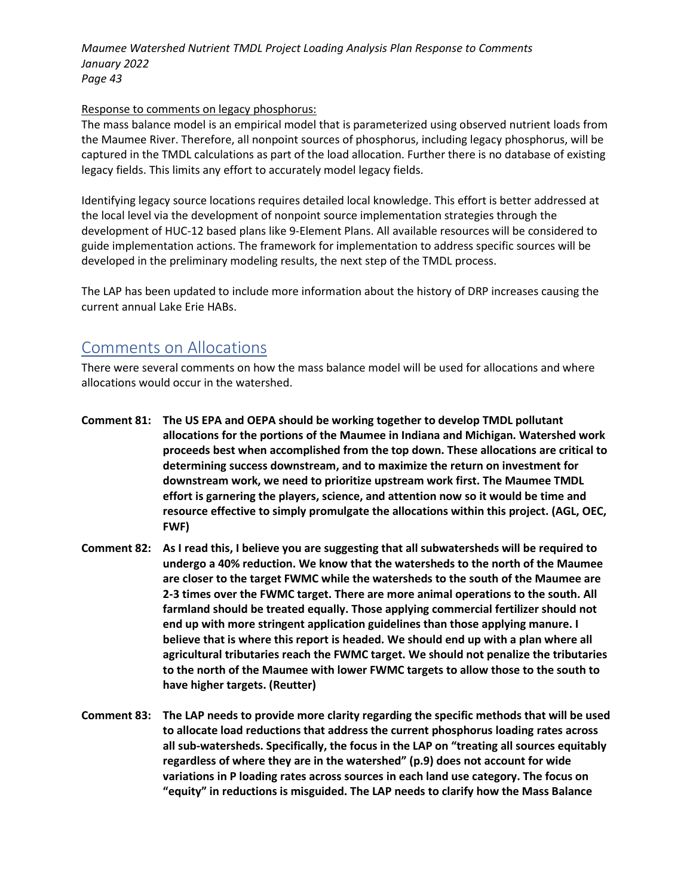### Response to comments on legacy phosphorus:

The mass balance model is an empirical model that is parameterized using observed nutrient loads from the Maumee River. Therefore, all nonpoint sources of phosphorus, including legacy phosphorus, will be captured in the TMDL calculations as part of the load allocation. Further there is no database of existing legacy fields. This limits any effort to accurately model legacy fields.

Identifying legacy source locations requires detailed local knowledge. This effort is better addressed at the local level via the development of nonpoint source implementation strategies through the development of HUC-12 based plans like 9-Element Plans. All available resources will be considered to guide implementation actions. The framework for implementation to address specific sources will be developed in the preliminary modeling results, the next step of the TMDL process.

The LAP has been updated to include more information about the history of DRP increases causing the current annual Lake Erie HABs.

# Comments on Allocations

There were several comments on how the mass balance model will be used for allocations and where allocations would occur in the watershed.

- **Comment 81: The US EPA and OEPA should be working together to develop TMDL pollutant allocations for the portions of the Maumee in Indiana and Michigan. Watershed work proceeds best when accomplished from the top down. These allocations are critical to determining success downstream, and to maximize the return on investment for downstream work, we need to prioritize upstream work first. The Maumee TMDL effort is garnering the players, science, and attention now so it would be time and resource effective to simply promulgate the allocations within this project. (AGL, OEC, FWF)**
- **Comment 82: As I read this, I believe you are suggesting that all subwatersheds will be required to undergo a 40% reduction. We know that the watersheds to the north of the Maumee are closer to the target FWMC while the watersheds to the south of the Maumee are 2-3 times over the FWMC target. There are more animal operations to the south. All farmland should be treated equally. Those applying commercial fertilizer should not end up with more stringent application guidelines than those applying manure. I believe that is where this report is headed. We should end up with a plan where all agricultural tributaries reach the FWMC target. We should not penalize the tributaries to the north of the Maumee with lower FWMC targets to allow those to the south to have higher targets. (Reutter)**
- **Comment 83: The LAP needs to provide more clarity regarding the specific methods that will be used to allocate load reductions that address the current phosphorus loading rates across all sub-watersheds. Specifically, the focus in the LAP on "treating all sources equitably regardless of where they are in the watershed" (p.9) does not account for wide variations in P loading rates across sources in each land use category. The focus on "equity" in reductions is misguided. The LAP needs to clarify how the Mass Balance**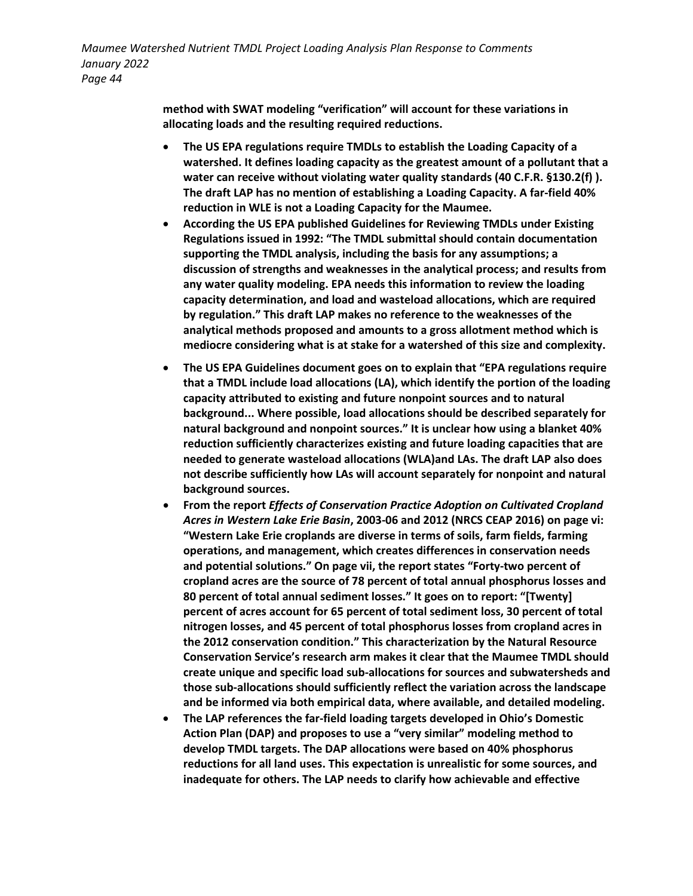> **method with SWAT modeling "verification" will account for these variations in allocating loads and the resulting required reductions.**

- **The US EPA regulations require TMDLs to establish the Loading Capacity of a watershed. It defines loading capacity as the greatest amount of a pollutant that a water can receive without violating water quality standards (40 C.F.R. §130.2(f) ). The draft LAP has no mention of establishing a Loading Capacity. A far-field 40% reduction in WLE is not a Loading Capacity for the Maumee.**
- **According the US EPA published Guidelines for Reviewing TMDLs under Existing Regulations issued in 1992: "The TMDL submittal should contain documentation supporting the TMDL analysis, including the basis for any assumptions; a discussion of strengths and weaknesses in the analytical process; and results from any water quality modeling. EPA needs this information to review the loading capacity determination, and load and wasteload allocations, which are required by regulation." This draft LAP makes no reference to the weaknesses of the analytical methods proposed and amounts to a gross allotment method which is mediocre considering what is at stake for a watershed of this size and complexity.**
- **The US EPA Guidelines document goes on to explain that "EPA regulations require that a TMDL include load allocations (LA), which identify the portion of the loading capacity attributed to existing and future nonpoint sources and to natural background... Where possible, load allocations should be described separately for natural background and nonpoint sources." It is unclear how using a blanket 40% reduction sufficiently characterizes existing and future loading capacities that are needed to generate wasteload allocations (WLA)and LAs. The draft LAP also does not describe sufficiently how LAs will account separately for nonpoint and natural background sources.**
- **From the report** *Effects of Conservation Practice Adoption on Cultivated Cropland Acres in Western Lake Erie Basin***, 2003-06 and 2012 (NRCS CEAP 2016) on page vi: "Western Lake Erie croplands are diverse in terms of soils, farm fields, farming operations, and management, which creates differences in conservation needs and potential solutions." On page vii, the report states "Forty-two percent of cropland acres are the source of 78 percent of total annual phosphorus losses and 80 percent of total annual sediment losses." It goes on to report: "[Twenty] percent of acres account for 65 percent of total sediment loss, 30 percent of total nitrogen losses, and 45 percent of total phosphorus losses from cropland acres in the 2012 conservation condition." This characterization by the Natural Resource Conservation Service's research arm makes it clear that the Maumee TMDL should create unique and specific load sub-allocations for sources and subwatersheds and those sub-allocations should sufficiently reflect the variation across the landscape and be informed via both empirical data, where available, and detailed modeling.**
- **The LAP references the far-field loading targets developed in Ohio's Domestic Action Plan (DAP) and proposes to use a "very similar" modeling method to develop TMDL targets. The DAP allocations were based on 40% phosphorus reductions for all land uses. This expectation is unrealistic for some sources, and inadequate for others. The LAP needs to clarify how achievable and effective**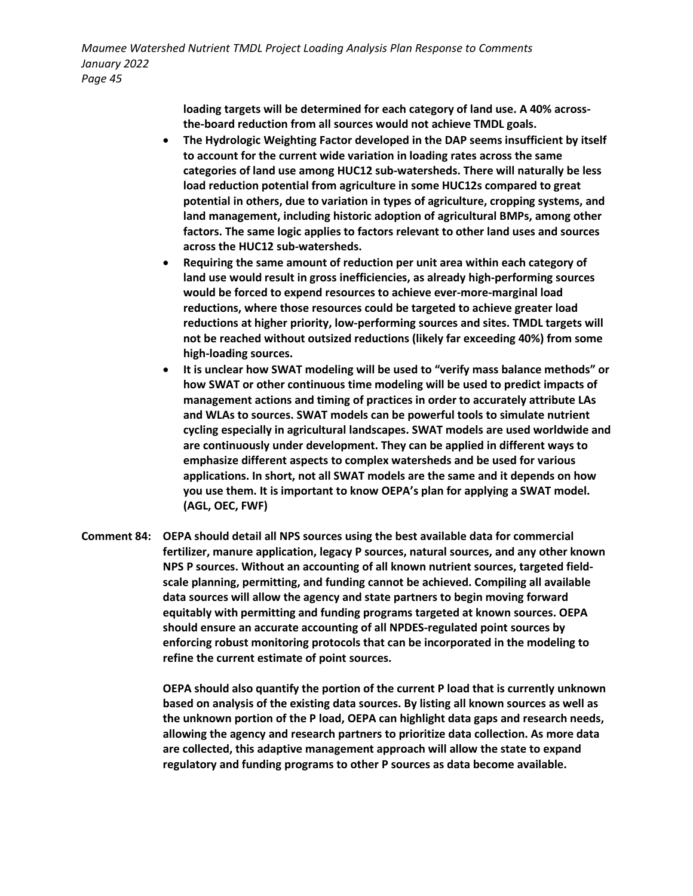> **loading targets will be determined for each category of land use. A 40% acrossthe-board reduction from all sources would not achieve TMDL goals.**

- **The Hydrologic Weighting Factor developed in the DAP seems insufficient by itself to account for the current wide variation in loading rates across the same categories of land use among HUC12 sub-watersheds. There will naturally be less load reduction potential from agriculture in some HUC12s compared to great potential in others, due to variation in types of agriculture, cropping systems, and land management, including historic adoption of agricultural BMPs, among other factors. The same logic applies to factors relevant to other land uses and sources across the HUC12 sub-watersheds.**
- **Requiring the same amount of reduction per unit area within each category of land use would result in gross inefficiencies, as already high-performing sources would be forced to expend resources to achieve ever-more-marginal load reductions, where those resources could be targeted to achieve greater load reductions at higher priority, low-performing sources and sites. TMDL targets will not be reached without outsized reductions (likely far exceeding 40%) from some high-loading sources.**
- **It is unclear how SWAT modeling will be used to "verify mass balance methods" or how SWAT or other continuous time modeling will be used to predict impacts of management actions and timing of practices in order to accurately attribute LAs and WLAs to sources. SWAT models can be powerful tools to simulate nutrient cycling especially in agricultural landscapes. SWAT models are used worldwide and are continuously under development. They can be applied in different ways to emphasize different aspects to complex watersheds and be used for various applications. In short, not all SWAT models are the same and it depends on how you use them. It is important to know OEPA's plan for applying a SWAT model. (AGL, OEC, FWF)**
- **Comment 84: OEPA should detail all NPS sources using the best available data for commercial fertilizer, manure application, legacy P sources, natural sources, and any other known NPS P sources. Without an accounting of all known nutrient sources, targeted fieldscale planning, permitting, and funding cannot be achieved. Compiling all available data sources will allow the agency and state partners to begin moving forward equitably with permitting and funding programs targeted at known sources. OEPA should ensure an accurate accounting of all NPDES-regulated point sources by enforcing robust monitoring protocols that can be incorporated in the modeling to refine the current estimate of point sources.**

**OEPA should also quantify the portion of the current P load that is currently unknown based on analysis of the existing data sources. By listing all known sources as well as the unknown portion of the P load, OEPA can highlight data gaps and research needs, allowing the agency and research partners to prioritize data collection. As more data are collected, this adaptive management approach will allow the state to expand regulatory and funding programs to other P sources as data become available.**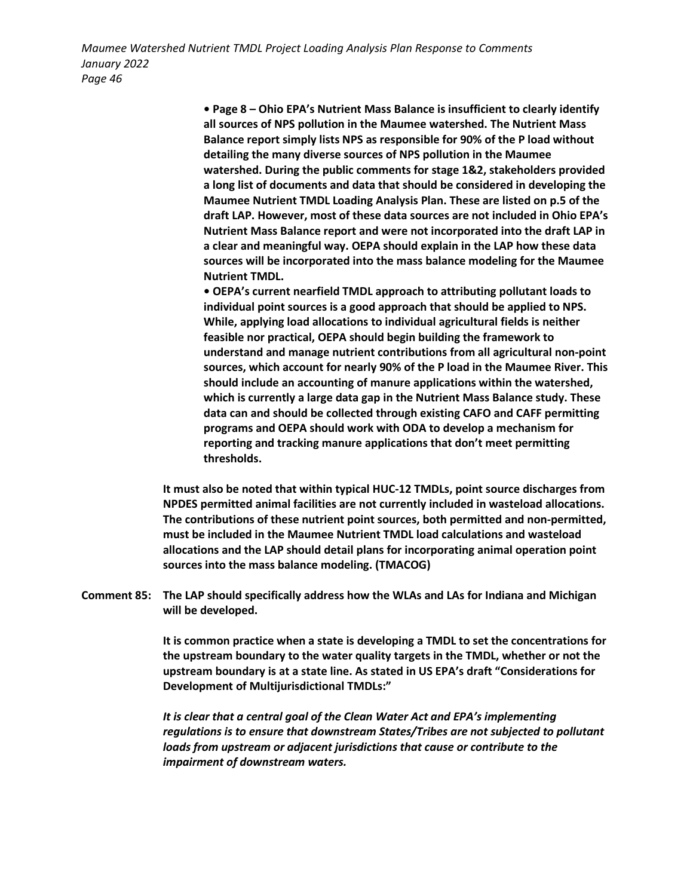> **• Page 8 – Ohio EPA's Nutrient Mass Balance is insufficient to clearly identify all sources of NPS pollution in the Maumee watershed. The Nutrient Mass Balance report simply lists NPS as responsible for 90% of the P load without detailing the many diverse sources of NPS pollution in the Maumee watershed. During the public comments for stage 1&2, stakeholders provided a long list of documents and data that should be considered in developing the Maumee Nutrient TMDL Loading Analysis Plan. These are listed on p.5 of the draft LAP. However, most of these data sources are not included in Ohio EPA's Nutrient Mass Balance report and were not incorporated into the draft LAP in a clear and meaningful way. OEPA should explain in the LAP how these data sources will be incorporated into the mass balance modeling for the Maumee Nutrient TMDL.**

> **• OEPA's current nearfield TMDL approach to attributing pollutant loads to individual point sources is a good approach that should be applied to NPS. While, applying load allocations to individual agricultural fields is neither feasible nor practical, OEPA should begin building the framework to understand and manage nutrient contributions from all agricultural non-point sources, which account for nearly 90% of the P load in the Maumee River. This should include an accounting of manure applications within the watershed, which is currently a large data gap in the Nutrient Mass Balance study. These data can and should be collected through existing CAFO and CAFF permitting programs and OEPA should work with ODA to develop a mechanism for reporting and tracking manure applications that don't meet permitting thresholds.**

**It must also be noted that within typical HUC-12 TMDLs, point source discharges from NPDES permitted animal facilities are not currently included in wasteload allocations. The contributions of these nutrient point sources, both permitted and non-permitted, must be included in the Maumee Nutrient TMDL load calculations and wasteload allocations and the LAP should detail plans for incorporating animal operation point sources into the mass balance modeling. (TMACOG)**

**Comment 85: The LAP should specifically address how the WLAs and LAs for Indiana and Michigan will be developed.** 

> **It is common practice when a state is developing a TMDL to set the concentrations for the upstream boundary to the water quality targets in the TMDL, whether or not the upstream boundary is at a state line. As stated in US EPA's draft "Considerations for Development of Multijurisdictional TMDLs:"**

> *It is clear that a central goal of the Clean Water Act and EPA's implementing regulations is to ensure that downstream States/Tribes are not subjected to pollutant loads from upstream or adjacent jurisdictions that cause or contribute to the impairment of downstream waters.*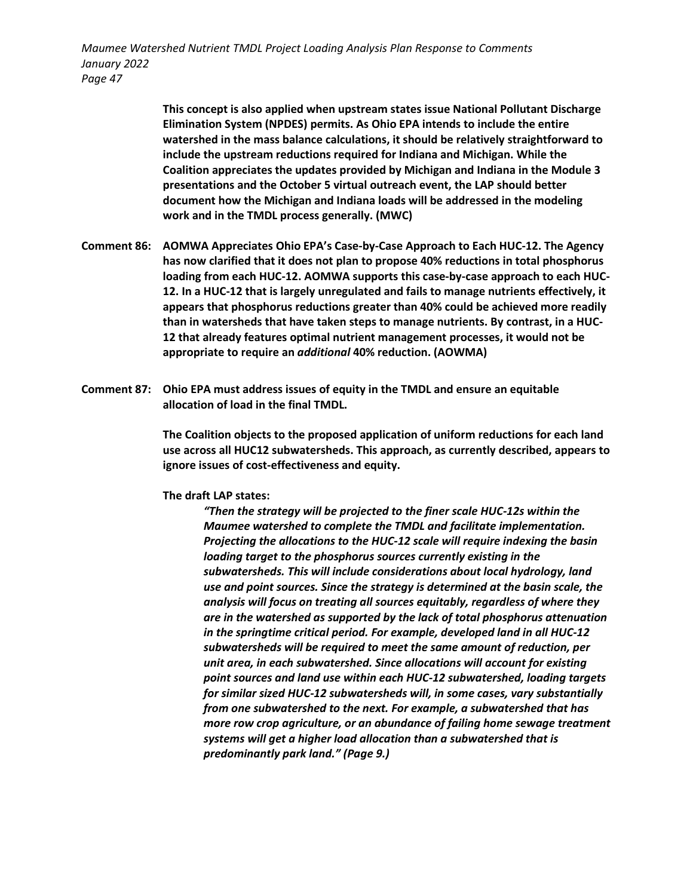> **This concept is also applied when upstream states issue National Pollutant Discharge Elimination System (NPDES) permits. As Ohio EPA intends to include the entire watershed in the mass balance calculations, it should be relatively straightforward to include the upstream reductions required for Indiana and Michigan. While the Coalition appreciates the updates provided by Michigan and Indiana in the Module 3 presentations and the October 5 virtual outreach event, the LAP should better document how the Michigan and Indiana loads will be addressed in the modeling work and in the TMDL process generally. (MWC)**

- **Comment 86: AOMWA Appreciates Ohio EPA's Case-by-Case Approach to Each HUC-12. The Agency has now clarified that it does not plan to propose 40% reductions in total phosphorus loading from each HUC-12. AOMWA supports this case-by-case approach to each HUC-12. In a HUC-12 that is largely unregulated and fails to manage nutrients effectively, it appears that phosphorus reductions greater than 40% could be achieved more readily than in watersheds that have taken steps to manage nutrients. By contrast, in a HUC-12 that already features optimal nutrient management processes, it would not be appropriate to require an** *additional* **40% reduction. (AOWMA)**
- **Comment 87: Ohio EPA must address issues of equity in the TMDL and ensure an equitable allocation of load in the final TMDL.**

**The Coalition objects to the proposed application of uniform reductions for each land use across all HUC12 subwatersheds. This approach, as currently described, appears to ignore issues of cost-effectiveness and equity.** 

#### **The draft LAP states:**

*"Then the strategy will be projected to the finer scale HUC-12s within the Maumee watershed to complete the TMDL and facilitate implementation. Projecting the allocations to the HUC-12 scale will require indexing the basin loading target to the phosphorus sources currently existing in the subwatersheds. This will include considerations about local hydrology, land use and point sources. Since the strategy is determined at the basin scale, the analysis will focus on treating all sources equitably, regardless of where they are in the watershed as supported by the lack of total phosphorus attenuation in the springtime critical period. For example, developed land in all HUC-12 subwatersheds will be required to meet the same amount of reduction, per unit area, in each subwatershed. Since allocations will account for existing point sources and land use within each HUC-12 subwatershed, loading targets for similar sized HUC-12 subwatersheds will, in some cases, vary substantially from one subwatershed to the next. For example, a subwatershed that has more row crop agriculture, or an abundance of failing home sewage treatment systems will get a higher load allocation than a subwatershed that is predominantly park land." (Page 9.)*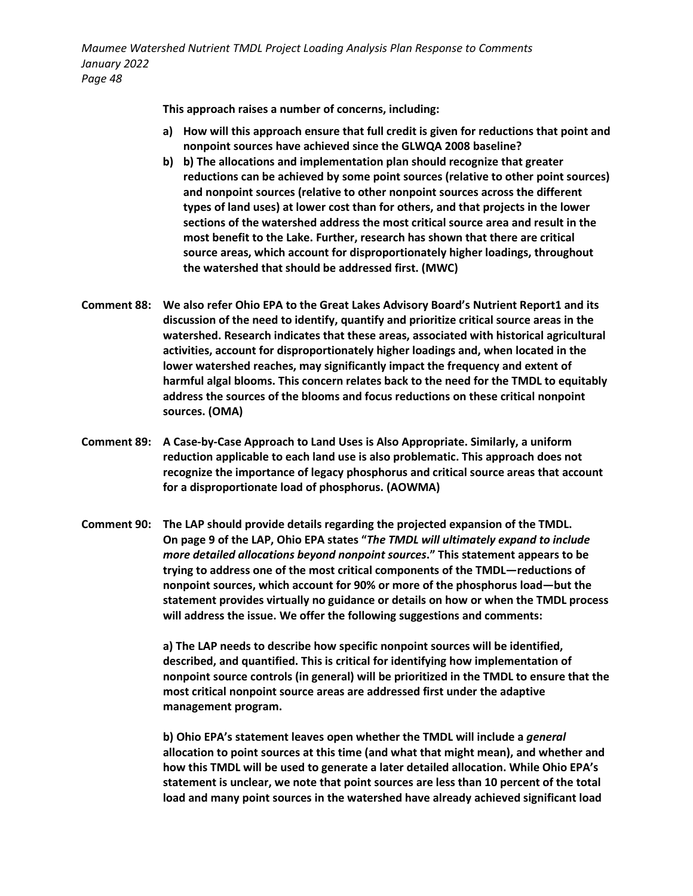**This approach raises a number of concerns, including:**

- **a) How will this approach ensure that full credit is given for reductions that point and nonpoint sources have achieved since the GLWQA 2008 baseline?**
- **b) b) The allocations and implementation plan should recognize that greater reductions can be achieved by some point sources (relative to other point sources) and nonpoint sources (relative to other nonpoint sources across the different types of land uses) at lower cost than for others, and that projects in the lower sections of the watershed address the most critical source area and result in the most benefit to the Lake. Further, research has shown that there are critical source areas, which account for disproportionately higher loadings, throughout the watershed that should be addressed first. (MWC)**
- **Comment 88: We also refer Ohio EPA to the Great Lakes Advisory Board's Nutrient Report1 and its discussion of the need to identify, quantify and prioritize critical source areas in the watershed. Research indicates that these areas, associated with historical agricultural activities, account for disproportionately higher loadings and, when located in the lower watershed reaches, may significantly impact the frequency and extent of harmful algal blooms. This concern relates back to the need for the TMDL to equitably address the sources of the blooms and focus reductions on these critical nonpoint sources. (OMA)**
- **Comment 89: A Case-by-Case Approach to Land Uses is Also Appropriate. Similarly, a uniform reduction applicable to each land use is also problematic. This approach does not recognize the importance of legacy phosphorus and critical source areas that account for a disproportionate load of phosphorus. (AOWMA)**
- **Comment 90: The LAP should provide details regarding the projected expansion of the TMDL. On page 9 of the LAP, Ohio EPA states "***The TMDL will ultimately expand to include more detailed allocations beyond nonpoint sources***." This statement appears to be trying to address one of the most critical components of the TMDL—reductions of nonpoint sources, which account for 90% or more of the phosphorus load—but the statement provides virtually no guidance or details on how or when the TMDL process will address the issue. We offer the following suggestions and comments:**

**a) The LAP needs to describe how specific nonpoint sources will be identified, described, and quantified. This is critical for identifying how implementation of nonpoint source controls (in general) will be prioritized in the TMDL to ensure that the most critical nonpoint source areas are addressed first under the adaptive management program.** 

**b) Ohio EPA's statement leaves open whether the TMDL will include a** *general*  **allocation to point sources at this time (and what that might mean), and whether and how this TMDL will be used to generate a later detailed allocation. While Ohio EPA's statement is unclear, we note that point sources are less than 10 percent of the total load and many point sources in the watershed have already achieved significant load**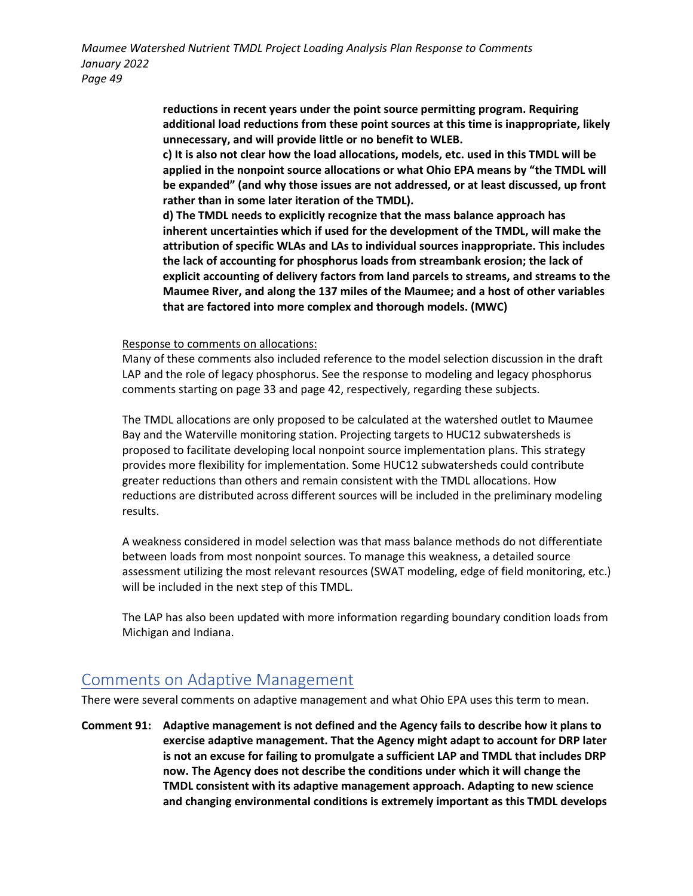> **reductions in recent years under the point source permitting program. Requiring additional load reductions from these point sources at this time is inappropriate, likely unnecessary, and will provide little or no benefit to WLEB.**

> **c) It is also not clear how the load allocations, models, etc. used in this TMDL will be applied in the nonpoint source allocations or what Ohio EPA means by "the TMDL will be expanded" (and why those issues are not addressed, or at least discussed, up front rather than in some later iteration of the TMDL).**

> **d) The TMDL needs to explicitly recognize that the mass balance approach has inherent uncertainties which if used for the development of the TMDL, will make the attribution of specific WLAs and LAs to individual sources inappropriate. This includes the lack of accounting for phosphorus loads from streambank erosion; the lack of explicit accounting of delivery factors from land parcels to streams, and streams to the Maumee River, and along the 137 miles of the Maumee; and a host of other variables that are factored into more complex and thorough models. (MWC)**

Response to comments on allocations:

Many of these comments also included reference to the model selection discussion in the draft LAP and the role of legacy phosphorus. See the response to modeling and legacy phosphorus comments starting on page 33 and page 42, respectively, regarding these subjects.

The TMDL allocations are only proposed to be calculated at the watershed outlet to Maumee Bay and the Waterville monitoring station. Projecting targets to HUC12 subwatersheds is proposed to facilitate developing local nonpoint source implementation plans. This strategy provides more flexibility for implementation. Some HUC12 subwatersheds could contribute greater reductions than others and remain consistent with the TMDL allocations. How reductions are distributed across different sources will be included in the preliminary modeling results.

A weakness considered in model selection was that mass balance methods do not differentiate between loads from most nonpoint sources. To manage this weakness, a detailed source assessment utilizing the most relevant resources (SWAT modeling, edge of field monitoring, etc.) will be included in the next step of this TMDL.

The LAP has also been updated with more information regarding boundary condition loads from Michigan and Indiana.

## Comments on Adaptive Management

There were several comments on adaptive management and what Ohio EPA uses this term to mean.

**Comment 91: Adaptive management is not defined and the Agency fails to describe how it plans to exercise adaptive management. That the Agency might adapt to account for DRP later is not an excuse for failing to promulgate a sufficient LAP and TMDL that includes DRP now. The Agency does not describe the conditions under which it will change the TMDL consistent with its adaptive management approach. Adapting to new science and changing environmental conditions is extremely important as this TMDL develops**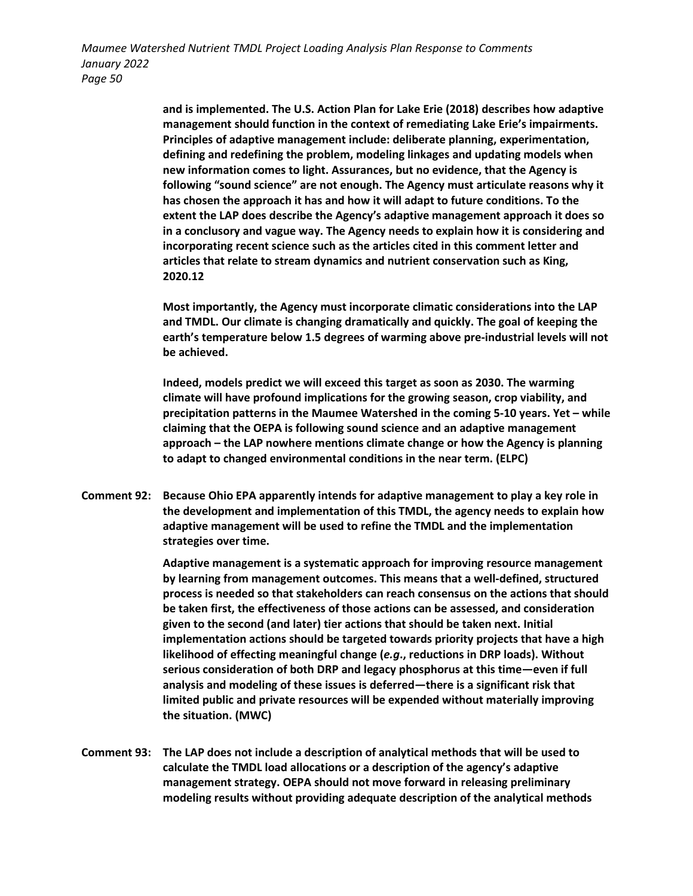> **and is implemented. The U.S. Action Plan for Lake Erie (2018) describes how adaptive management should function in the context of remediating Lake Erie's impairments. Principles of adaptive management include: deliberate planning, experimentation, defining and redefining the problem, modeling linkages and updating models when new information comes to light. Assurances, but no evidence, that the Agency is following "sound science" are not enough. The Agency must articulate reasons why it has chosen the approach it has and how it will adapt to future conditions. To the extent the LAP does describe the Agency's adaptive management approach it does so in a conclusory and vague way. The Agency needs to explain how it is considering and incorporating recent science such as the articles cited in this comment letter and articles that relate to stream dynamics and nutrient conservation such as King, 2020.12**

> **Most importantly, the Agency must incorporate climatic considerations into the LAP and TMDL. Our climate is changing dramatically and quickly. The goal of keeping the earth's temperature below 1.5 degrees of warming above pre-industrial levels will not be achieved.**

> **Indeed, models predict we will exceed this target as soon as 2030. The warming climate will have profound implications for the growing season, crop viability, and precipitation patterns in the Maumee Watershed in the coming 5-10 years. Yet – while claiming that the OEPA is following sound science and an adaptive management approach – the LAP nowhere mentions climate change or how the Agency is planning to adapt to changed environmental conditions in the near term. (ELPC)**

**Comment 92: Because Ohio EPA apparently intends for adaptive management to play a key role in the development and implementation of this TMDL, the agency needs to explain how adaptive management will be used to refine the TMDL and the implementation strategies over time.** 

> **Adaptive management is a systematic approach for improving resource management by learning from management outcomes. This means that a well-defined, structured process is needed so that stakeholders can reach consensus on the actions that should be taken first, the effectiveness of those actions can be assessed, and consideration given to the second (and later) tier actions that should be taken next. Initial implementation actions should be targeted towards priority projects that have a high likelihood of effecting meaningful change (***e.g***., reductions in DRP loads). Without serious consideration of both DRP and legacy phosphorus at this time—even if full analysis and modeling of these issues is deferred—there is a significant risk that limited public and private resources will be expended without materially improving the situation. (MWC)**

**Comment 93: The LAP does not include a description of analytical methods that will be used to calculate the TMDL load allocations or a description of the agency's adaptive management strategy. OEPA should not move forward in releasing preliminary modeling results without providing adequate description of the analytical methods**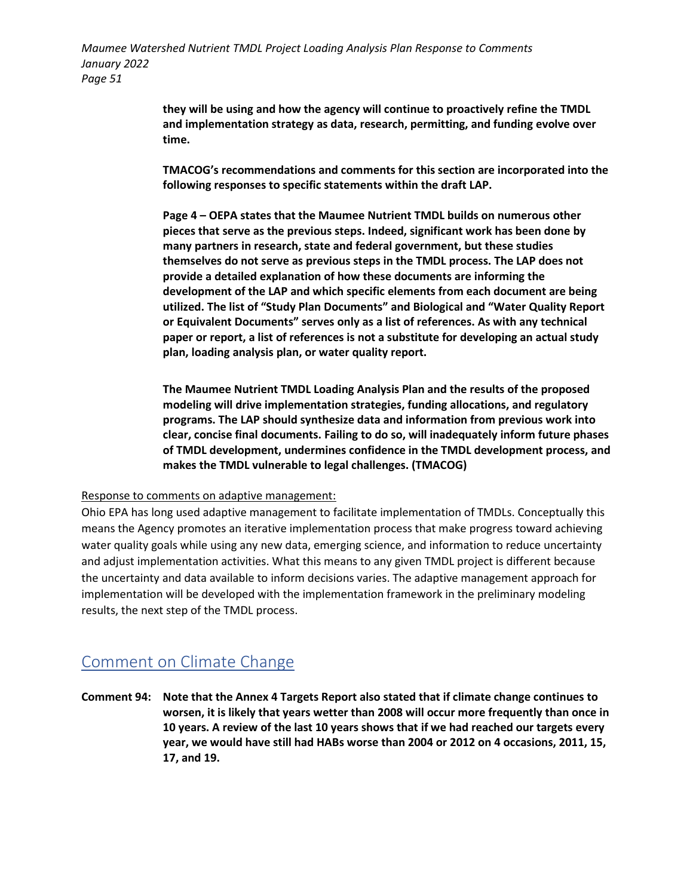> **they will be using and how the agency will continue to proactively refine the TMDL and implementation strategy as data, research, permitting, and funding evolve over time.**

**TMACOG's recommendations and comments for this section are incorporated into the following responses to specific statements within the draft LAP.** 

**Page 4 – OEPA states that the Maumee Nutrient TMDL builds on numerous other pieces that serve as the previous steps. Indeed, significant work has been done by many partners in research, state and federal government, but these studies themselves do not serve as previous steps in the TMDL process. The LAP does not provide a detailed explanation of how these documents are informing the development of the LAP and which specific elements from each document are being utilized. The list of "Study Plan Documents" and Biological and "Water Quality Report or Equivalent Documents" serves only as a list of references. As with any technical paper or report, a list of references is not a substitute for developing an actual study plan, loading analysis plan, or water quality report.** 

**The Maumee Nutrient TMDL Loading Analysis Plan and the results of the proposed modeling will drive implementation strategies, funding allocations, and regulatory programs. The LAP should synthesize data and information from previous work into clear, concise final documents. Failing to do so, will inadequately inform future phases of TMDL development, undermines confidence in the TMDL development process, and makes the TMDL vulnerable to legal challenges. (TMACOG)**

#### Response to comments on adaptive management:

Ohio EPA has long used adaptive management to facilitate implementation of TMDLs. Conceptually this means the Agency promotes an iterative implementation process that make progress toward achieving water quality goals while using any new data, emerging science, and information to reduce uncertainty and adjust implementation activities. What this means to any given TMDL project is different because the uncertainty and data available to inform decisions varies. The adaptive management approach for implementation will be developed with the implementation framework in the preliminary modeling results, the next step of the TMDL process.

### Comment on Climate Change

**Comment 94: Note that the Annex 4 Targets Report also stated that if climate change continues to worsen, it is likely that years wetter than 2008 will occur more frequently than once in 10 years. A review of the last 10 years shows that if we had reached our targets every year, we would have still had HABs worse than 2004 or 2012 on 4 occasions, 2011, 15, 17, and 19.**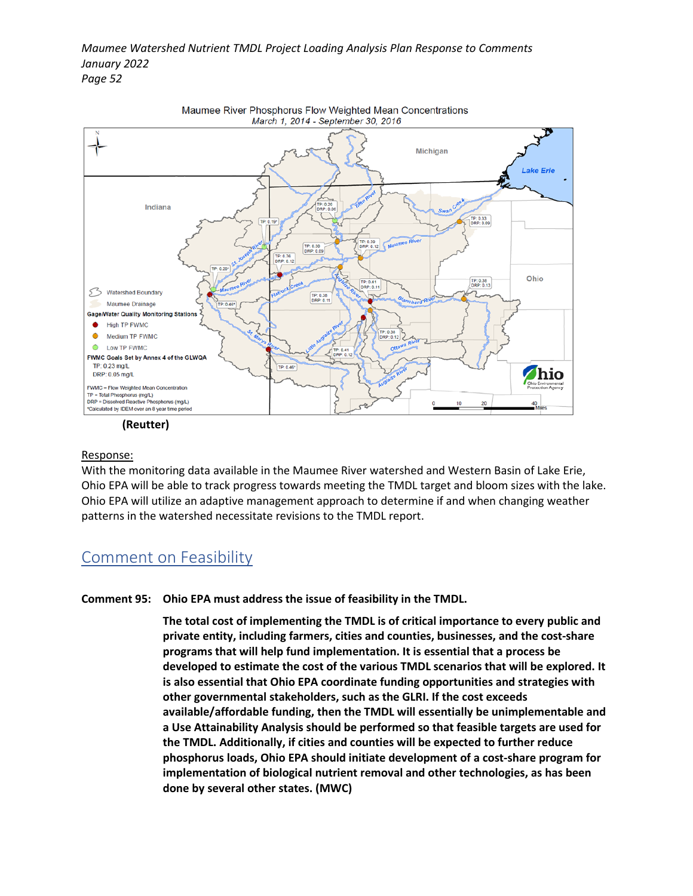

#### Response:

With the monitoring data available in the Maumee River watershed and Western Basin of Lake Erie, Ohio EPA will be able to track progress towards meeting the TMDL target and bloom sizes with the lake. Ohio EPA will utilize an adaptive management approach to determine if and when changing weather patterns in the watershed necessitate revisions to the TMDL report.

### Comment on Feasibility

**Comment 95: Ohio EPA must address the issue of feasibility in the TMDL.** 

**The total cost of implementing the TMDL is of critical importance to every public and private entity, including farmers, cities and counties, businesses, and the cost-share programs that will help fund implementation. It is essential that a process be developed to estimate the cost of the various TMDL scenarios that will be explored. It is also essential that Ohio EPA coordinate funding opportunities and strategies with other governmental stakeholders, such as the GLRI. If the cost exceeds available/affordable funding, then the TMDL will essentially be unimplementable and a Use Attainability Analysis should be performed so that feasible targets are used for the TMDL. Additionally, if cities and counties will be expected to further reduce phosphorus loads, Ohio EPA should initiate development of a cost-share program for implementation of biological nutrient removal and other technologies, as has been done by several other states. (MWC)**